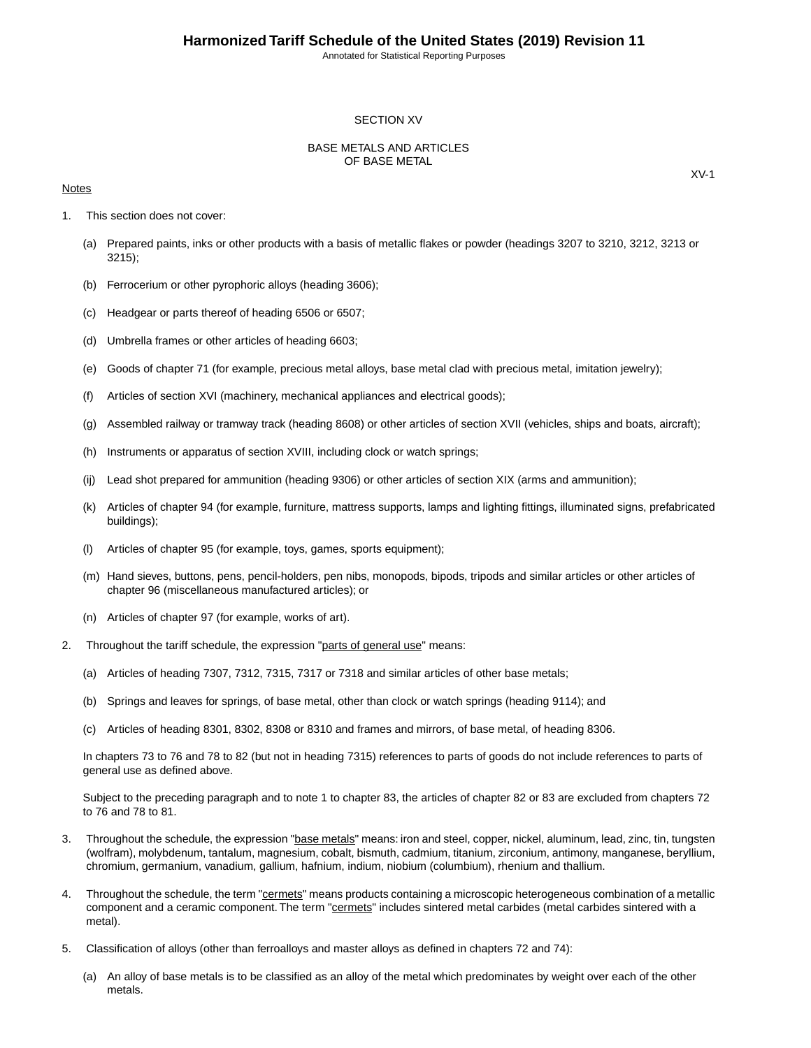#### SECTION XV

#### BASE METALS AND ARTICLES OF BASE METAL

#### **Notes**

- 1. This section does not cover:
	- (a) Prepared paints, inks or other products with a basis of metallic flakes or powder (headings 3207 to 3210, 3212, 3213 or 3215);
	- (b) Ferrocerium or other pyrophoric alloys (heading 3606);
	- (c) Headgear or parts thereof of heading 6506 or 6507;
	- (d) Umbrella frames or other articles of heading 6603;
	- (e) Goods of chapter 71 (for example, precious metal alloys, base metal clad with precious metal, imitation jewelry);
	- (f) Articles of section XVI (machinery, mechanical appliances and electrical goods);
	- (g) Assembled railway or tramway track (heading 8608) or other articles of section XVII (vehicles, ships and boats, aircraft);
	- (h) Instruments or apparatus of section XVIII, including clock or watch springs;
	- (ij) Lead shot prepared for ammunition (heading 9306) or other articles of section XIX (arms and ammunition);
	- (k) Articles of chapter 94 (for example, furniture, mattress supports, lamps and lighting fittings, illuminated signs, prefabricated buildings);
	- (l) Articles of chapter 95 (for example, toys, games, sports equipment);
	- (m) Hand sieves, buttons, pens, pencil-holders, pen nibs, monopods, bipods, tripods and similar articles or other articles of chapter 96 (miscellaneous manufactured articles); or
	- (n) Articles of chapter 97 (for example, works of art).
- 2. Throughout the tariff schedule, the expression "parts of general use" means:
	- (a) Articles of heading 7307, 7312, 7315, 7317 or 7318 and similar articles of other base metals;
	- (b) Springs and leaves for springs, of base metal, other than clock or watch springs (heading 9114); and
	- (c) Articles of heading 8301, 8302, 8308 or 8310 and frames and mirrors, of base metal, of heading 8306.

In chapters 73 to 76 and 78 to 82 (but not in heading 7315) references to parts of goods do not include references to parts of general use as defined above.

Subject to the preceding paragraph and to note 1 to chapter 83, the articles of chapter 82 or 83 are excluded from chapters 72 to 76 and 78 to 81.

- 3. Throughout the schedule, the expression "base metals" means: iron and steel, copper, nickel, aluminum, lead, zinc, tin, tungsten (wolfram), molybdenum, tantalum, magnesium, cobalt, bismuth, cadmium, titanium, zirconium, antimony, manganese, beryllium, chromium, germanium, vanadium, gallium, hafnium, indium, niobium (columbium), rhenium and thallium.
- 4. Throughout the schedule, the term "cermets" means products containing a microscopic heterogeneous combination of a metallic component and a ceramic component. The term "cermets" includes sintered metal carbides (metal carbides sintered with a metal).
- 5. Classification of alloys (other than ferroalloys and master alloys as defined in chapters 72 and 74):
	- (a) An alloy of base metals is to be classified as an alloy of the metal which predominates by weight over each of the other metals.

XV-1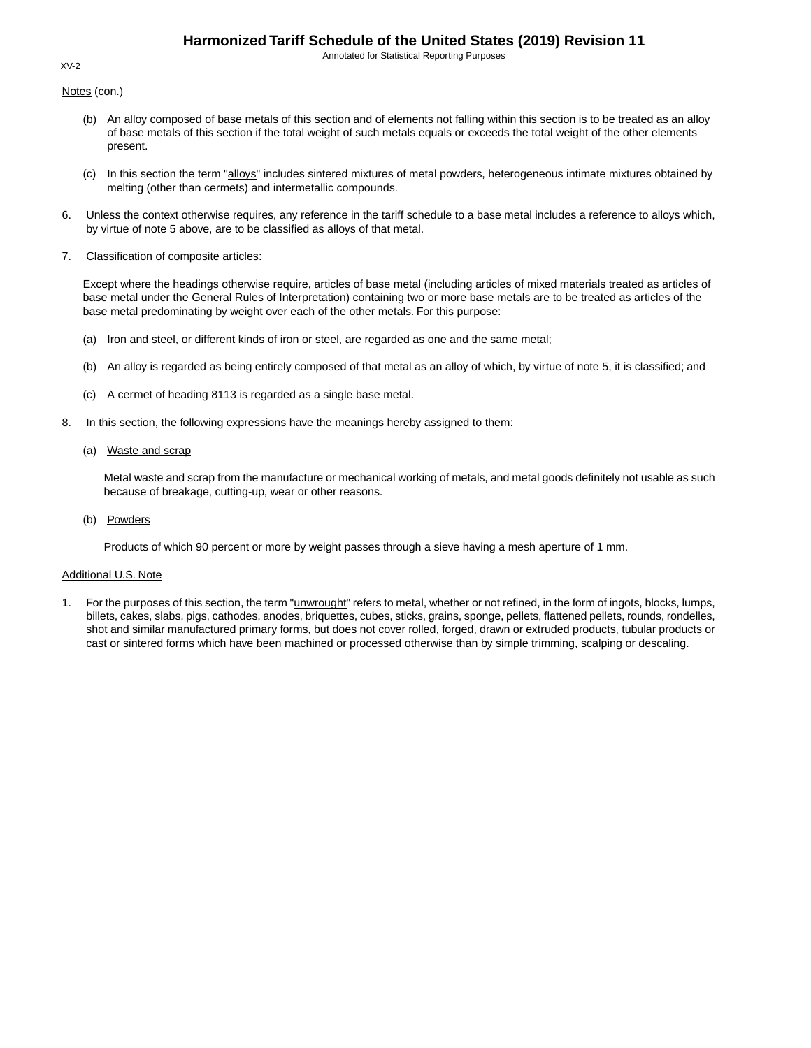Annotated for Statistical Reporting Purposes

Notes (con.)

- (b) An alloy composed of base metals of this section and of elements not falling within this section is to be treated as an alloy of base metals of this section if the total weight of such metals equals or exceeds the total weight of the other elements present.
- (c) In this section the term "alloys" includes sintered mixtures of metal powders, heterogeneous intimate mixtures obtained by melting (other than cermets) and intermetallic compounds.
- 6. Unless the context otherwise requires, any reference in the tariff schedule to a base metal includes a reference to alloys which, by virtue of note 5 above, are to be classified as alloys of that metal.
- 7. Classification of composite articles:

Except where the headings otherwise require, articles of base metal (including articles of mixed materials treated as articles of base metal under the General Rules of Interpretation) containing two or more base metals are to be treated as articles of the base metal predominating by weight over each of the other metals. For this purpose:

- (a) Iron and steel, or different kinds of iron or steel, are regarded as one and the same metal;
- (b) An alloy is regarded as being entirely composed of that metal as an alloy of which, by virtue of note 5, it is classified; and
- (c) A cermet of heading 8113 is regarded as a single base metal.
- 8. In this section, the following expressions have the meanings hereby assigned to them:
	- (a) Waste and scrap

Metal waste and scrap from the manufacture or mechanical working of metals, and metal goods definitely not usable as such because of breakage, cutting-up, wear or other reasons.

(b) Powders

Products of which 90 percent or more by weight passes through a sieve having a mesh aperture of 1 mm.

#### Additional U.S. Note

1. For the purposes of this section, the term "*unwrought*" refers to metal, whether or not refined, in the form of ingots, blocks, lumps, billets, cakes, slabs, pigs, cathodes, anodes, briquettes, cubes, sticks, grains, sponge, pellets, flattened pellets, rounds, rondelles, shot and similar manufactured primary forms, but does not cover rolled, forged, drawn or extruded products, tubular products or cast or sintered forms which have been machined or processed otherwise than by simple trimming, scalping or descaling.

#### XV-2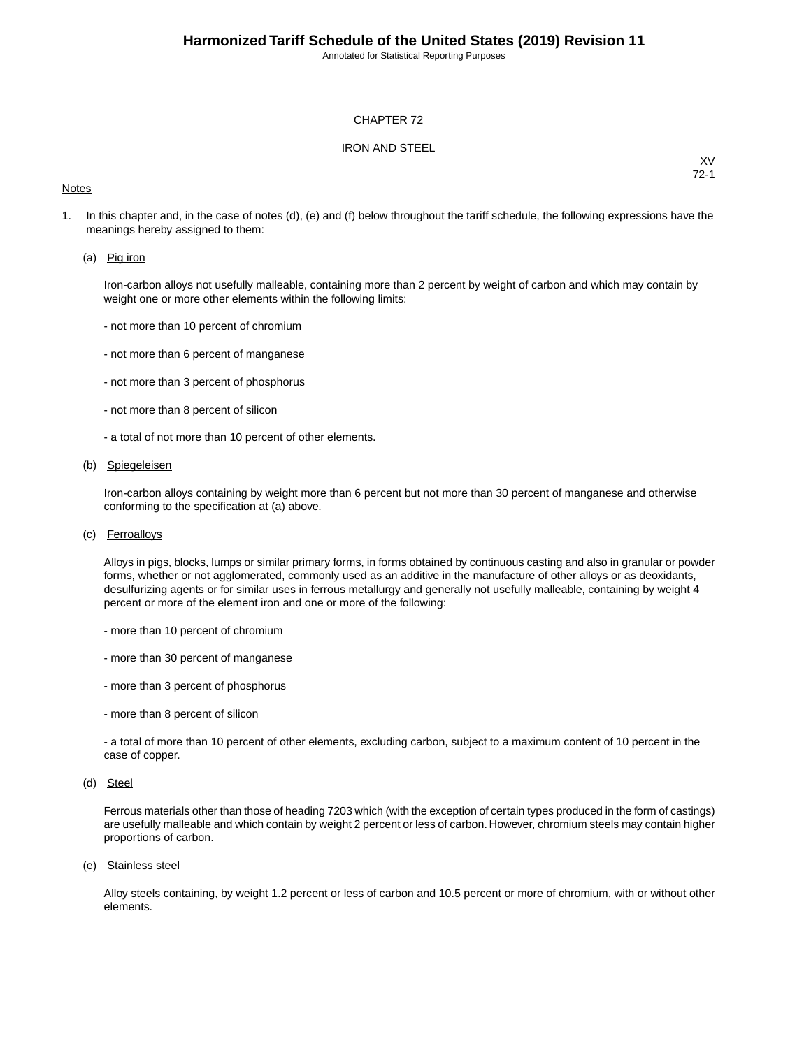#### CHAPTER 72

#### IRON AND STEEL

#### **Notes**

XV 72-1

1. In this chapter and, in the case of notes (d), (e) and (f) below throughout the tariff schedule, the following expressions have the meanings hereby assigned to them:

#### (a) Pig iron

Iron-carbon alloys not usefully malleable, containing more than 2 percent by weight of carbon and which may contain by weight one or more other elements within the following limits:

- not more than 10 percent of chromium
- not more than 6 percent of manganese
- not more than 3 percent of phosphorus
- not more than 8 percent of silicon
- a total of not more than 10 percent of other elements.

#### (b) Spiegeleisen

Iron-carbon alloys containing by weight more than 6 percent but not more than 30 percent of manganese and otherwise conforming to the specification at (a) above.

(c) Ferroalloys

Alloys in pigs, blocks, lumps or similar primary forms, in forms obtained by continuous casting and also in granular or powder forms, whether or not agglomerated, commonly used as an additive in the manufacture of other alloys or as deoxidants, desulfurizing agents or for similar uses in ferrous metallurgy and generally not usefully malleable, containing by weight 4 percent or more of the element iron and one or more of the following:

- more than 10 percent of chromium
- more than 30 percent of manganese
- more than 3 percent of phosphorus
- more than 8 percent of silicon

- a total of more than 10 percent of other elements, excluding carbon, subject to a maximum content of 10 percent in the case of copper.

(d) Steel

Ferrous materials other than those of heading 7203 which (with the exception of certain types produced in the form of castings) are usefully malleable and which contain by weight 2 percent or less of carbon. However, chromium steels may contain higher proportions of carbon.

(e) Stainless steel

Alloy steels containing, by weight 1.2 percent or less of carbon and 10.5 percent or more of chromium, with or without other elements.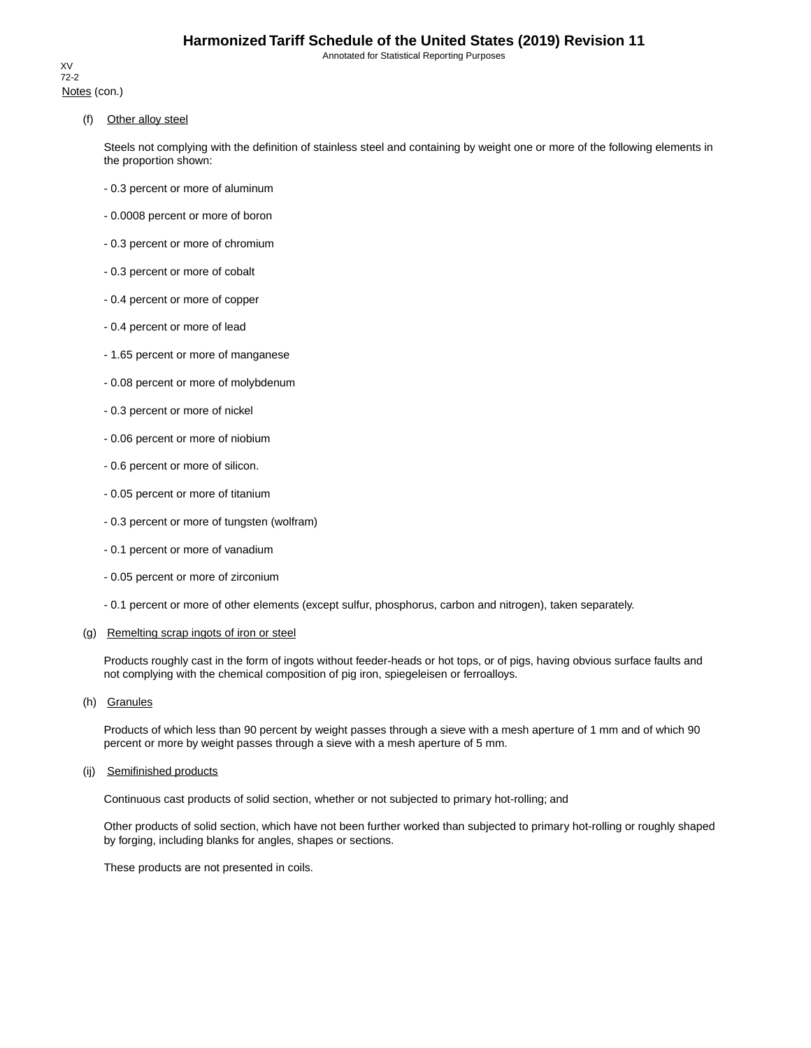Notes (con.) XV 72-2

(f) Other alloy steel

Steels not complying with the definition of stainless steel and containing by weight one or more of the following elements in the proportion shown:

- 0.3 percent or more of aluminum
- 0.0008 percent or more of boron
- 0.3 percent or more of chromium
- 0.3 percent or more of cobalt
- 0.4 percent or more of copper
- 0.4 percent or more of lead
- 1.65 percent or more of manganese
- 0.08 percent or more of molybdenum
- 0.3 percent or more of nickel
- 0.06 percent or more of niobium
- 0.6 percent or more of silicon.
- 0.05 percent or more of titanium
- 0.3 percent or more of tungsten (wolfram)
- 0.1 percent or more of vanadium
- 0.05 percent or more of zirconium
- 0.1 percent or more of other elements (except sulfur, phosphorus, carbon and nitrogen), taken separately.

#### (g) Remelting scrap ingots of iron or steel

Products roughly cast in the form of ingots without feeder-heads or hot tops, or of pigs, having obvious surface faults and not complying with the chemical composition of pig iron, spiegeleisen or ferroalloys.

(h) Granules

Products of which less than 90 percent by weight passes through a sieve with a mesh aperture of 1 mm and of which 90 percent or more by weight passes through a sieve with a mesh aperture of 5 mm.

#### (ij) Semifinished products

Continuous cast products of solid section, whether or not subjected to primary hot-rolling; and

Other products of solid section, which have not been further worked than subjected to primary hot-rolling or roughly shaped by forging, including blanks for angles, shapes or sections.

These products are not presented in coils.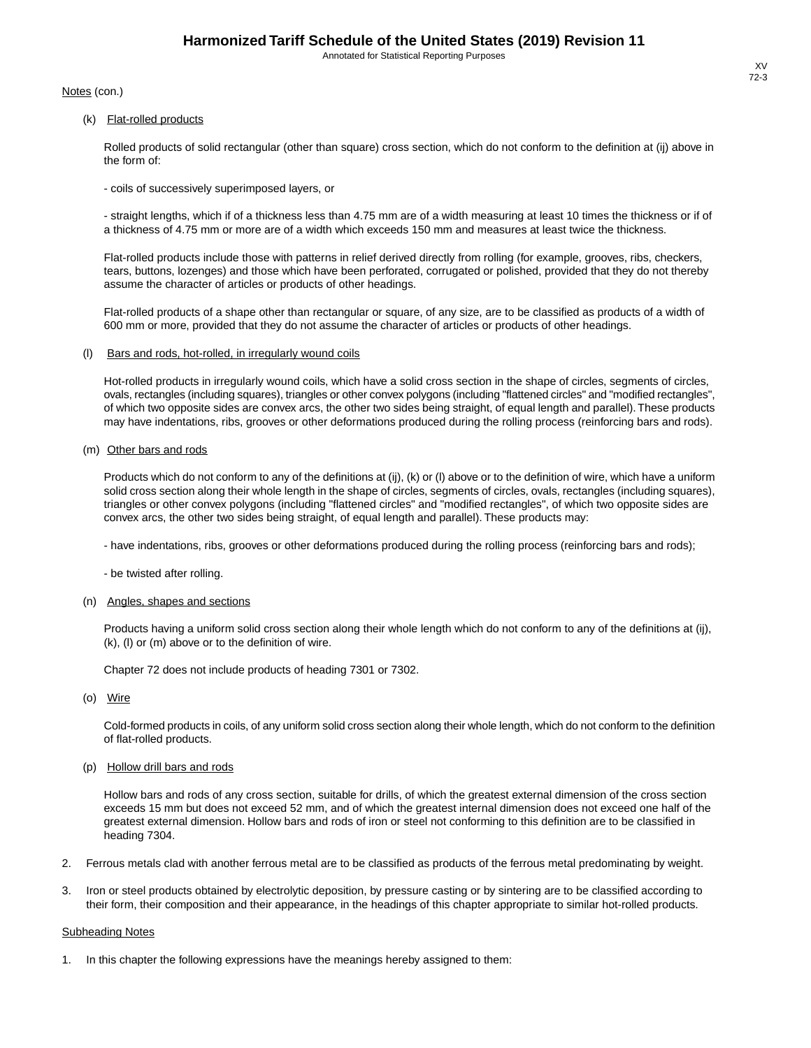Notes (con.)

(k) Flat-rolled products

Rolled products of solid rectangular (other than square) cross section, which do not conform to the definition at (ij) above in the form of:

- coils of successively superimposed layers, or

- straight lengths, which if of a thickness less than 4.75 mm are of a width measuring at least 10 times the thickness or if of a thickness of 4.75 mm or more are of a width which exceeds 150 mm and measures at least twice the thickness.

Flat-rolled products include those with patterns in relief derived directly from rolling (for example, grooves, ribs, checkers, tears, buttons, lozenges) and those which have been perforated, corrugated or polished, provided that they do not thereby assume the character of articles or products of other headings.

Flat-rolled products of a shape other than rectangular or square, of any size, are to be classified as products of a width of 600 mm or more, provided that they do not assume the character of articles or products of other headings.

(l) Bars and rods, hot-rolled, in irregularly wound coils

Hot-rolled products in irregularly wound coils, which have a solid cross section in the shape of circles, segments of circles, ovals, rectangles (including squares), triangles or other convex polygons (including "flattened circles" and "modified rectangles", of which two opposite sides are convex arcs, the other two sides being straight, of equal length and parallel).These products may have indentations, ribs, grooves or other deformations produced during the rolling process (reinforcing bars and rods).

(m) Other bars and rods

Products which do not conform to any of the definitions at (ij), (k) or (l) above or to the definition of wire, which have a uniform solid cross section along their whole length in the shape of circles, segments of circles, ovals, rectangles (including squares), triangles or other convex polygons (including "flattened circles" and "modified rectangles", of which two opposite sides are convex arcs, the other two sides being straight, of equal length and parallel). These products may:

- have indentations, ribs, grooves or other deformations produced during the rolling process (reinforcing bars and rods);

- be twisted after rolling.

#### (n) Angles, shapes and sections

Products having a uniform solid cross section along their whole length which do not conform to any of the definitions at (ij), (k), (l) or (m) above or to the definition of wire.

Chapter 72 does not include products of heading 7301 or 7302.

(o) Wire

Cold-formed products in coils, of any uniform solid cross section along their whole length, which do not conform to the definition of flat-rolled products.

(p) Hollow drill bars and rods

Hollow bars and rods of any cross section, suitable for drills, of which the greatest external dimension of the cross section exceeds 15 mm but does not exceed 52 mm, and of which the greatest internal dimension does not exceed one half of the greatest external dimension. Hollow bars and rods of iron or steel not conforming to this definition are to be classified in heading 7304.

- 2. Ferrous metals clad with another ferrous metal are to be classified as products of the ferrous metal predominating by weight.
- 3. Iron or steel products obtained by electrolytic deposition, by pressure casting or by sintering are to be classified according to their form, their composition and their appearance, in the headings of this chapter appropriate to similar hot-rolled products.

#### Subheading Notes

1. In this chapter the following expressions have the meanings hereby assigned to them: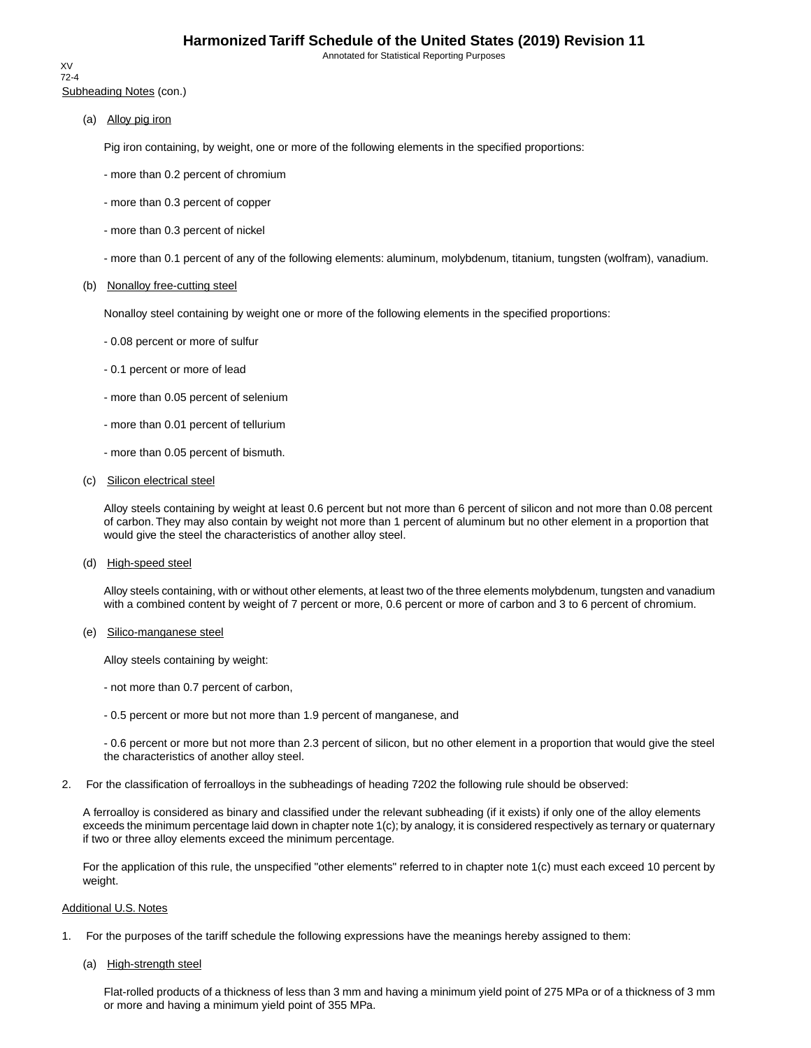Subheading Notes (con.) XV 72-4

(a) Alloy pig iron

Pig iron containing, by weight, one or more of the following elements in the specified proportions:

- more than 0.2 percent of chromium
- more than 0.3 percent of copper
- more than 0.3 percent of nickel
- more than 0.1 percent of any of the following elements: aluminum, molybdenum, titanium, tungsten (wolfram), vanadium.

#### (b) Nonalloy free-cutting steel

Nonalloy steel containing by weight one or more of the following elements in the specified proportions:

- 0.08 percent or more of sulfur
- 0.1 percent or more of lead
- more than 0.05 percent of selenium
- more than 0.01 percent of tellurium
- more than 0.05 percent of bismuth.
- (c) Silicon electrical steel

Alloy steels containing by weight at least 0.6 percent but not more than 6 percent of silicon and not more than 0.08 percent of carbon. They may also contain by weight not more than 1 percent of aluminum but no other element in a proportion that would give the steel the characteristics of another alloy steel.

(d) High-speed steel

Alloy steels containing, with or without other elements, at least two of the three elements molybdenum, tungsten and vanadium with a combined content by weight of 7 percent or more, 0.6 percent or more of carbon and 3 to 6 percent of chromium.

(e) Silico-manganese steel

Alloy steels containing by weight:

- not more than 0.7 percent of carbon,
- 0.5 percent or more but not more than 1.9 percent of manganese, and

- 0.6 percent or more but not more than 2.3 percent of silicon, but no other element in a proportion that would give the steel the characteristics of another alloy steel.

2. For the classification of ferroalloys in the subheadings of heading 7202 the following rule should be observed:

A ferroalloy is considered as binary and classified under the relevant subheading (if it exists) if only one of the alloy elements exceeds the minimum percentage laid down in chapter note 1(c); by analogy, it is considered respectively as ternary or quaternary if two or three alloy elements exceed the minimum percentage.

For the application of this rule, the unspecified "other elements" referred to in chapter note 1(c) must each exceed 10 percent by weight.

#### Additional U.S. Notes

- 1. For the purposes of the tariff schedule the following expressions have the meanings hereby assigned to them:
	- (a) High-strength steel

Flat-rolled products of a thickness of less than 3 mm and having a minimum yield point of 275 MPa or of a thickness of 3 mm or more and having a minimum yield point of 355 MPa.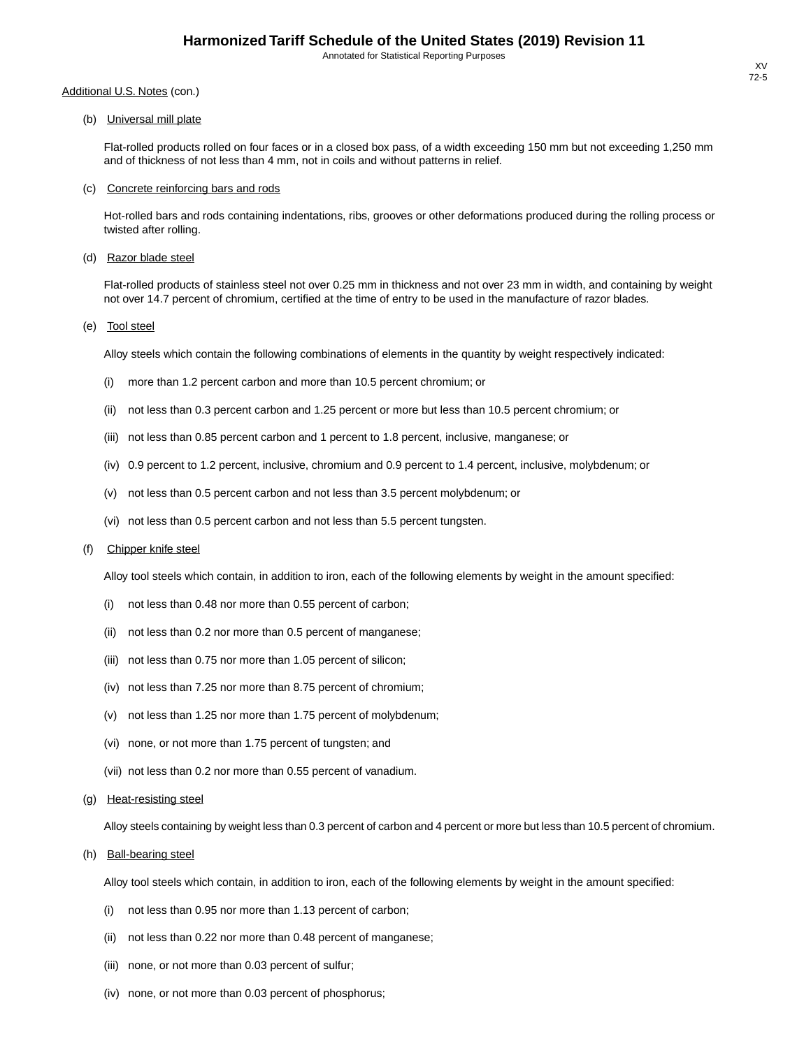(b) Universal mill plate

Flat-rolled products rolled on four faces or in a closed box pass, of a width exceeding 150 mm but not exceeding 1,250 mm and of thickness of not less than 4 mm, not in coils and without patterns in relief.

#### (c) Concrete reinforcing bars and rods

Hot-rolled bars and rods containing indentations, ribs, grooves or other deformations produced during the rolling process or twisted after rolling.

(d) Razor blade steel

Flat-rolled products of stainless steel not over 0.25 mm in thickness and not over 23 mm in width, and containing by weight not over 14.7 percent of chromium, certified at the time of entry to be used in the manufacture of razor blades.

(e) Tool steel

Alloy steels which contain the following combinations of elements in the quantity by weight respectively indicated:

- (i) more than 1.2 percent carbon and more than 10.5 percent chromium; or
- (ii) not less than 0.3 percent carbon and 1.25 percent or more but less than 10.5 percent chromium; or
- (iii) not less than 0.85 percent carbon and 1 percent to 1.8 percent, inclusive, manganese; or
- (iv) 0.9 percent to 1.2 percent, inclusive, chromium and 0.9 percent to 1.4 percent, inclusive, molybdenum; or
- (v) not less than 0.5 percent carbon and not less than 3.5 percent molybdenum; or
- (vi) not less than 0.5 percent carbon and not less than 5.5 percent tungsten.

#### (f) Chipper knife steel

Alloy tool steels which contain, in addition to iron, each of the following elements by weight in the amount specified:

- (i) not less than 0.48 nor more than 0.55 percent of carbon;
- (ii) not less than 0.2 nor more than 0.5 percent of manganese;
- (iii) not less than 0.75 nor more than 1.05 percent of silicon;
- (iv) not less than 7.25 nor more than 8.75 percent of chromium;
- (v) not less than 1.25 nor more than 1.75 percent of molybdenum;
- (vi) none, or not more than 1.75 percent of tungsten; and
- (vii) not less than 0.2 nor more than 0.55 percent of vanadium.
- (g) Heat-resisting steel

Alloy steels containing by weight less than 0.3 percent of carbon and 4 percent or more but less than 10.5 percent of chromium.

(h) Ball-bearing steel

Alloy tool steels which contain, in addition to iron, each of the following elements by weight in the amount specified:

- (i) not less than 0.95 nor more than 1.13 percent of carbon;
- (ii) not less than 0.22 nor more than 0.48 percent of manganese;
- (iii) none, or not more than 0.03 percent of sulfur;
- (iv) none, or not more than 0.03 percent of phosphorus;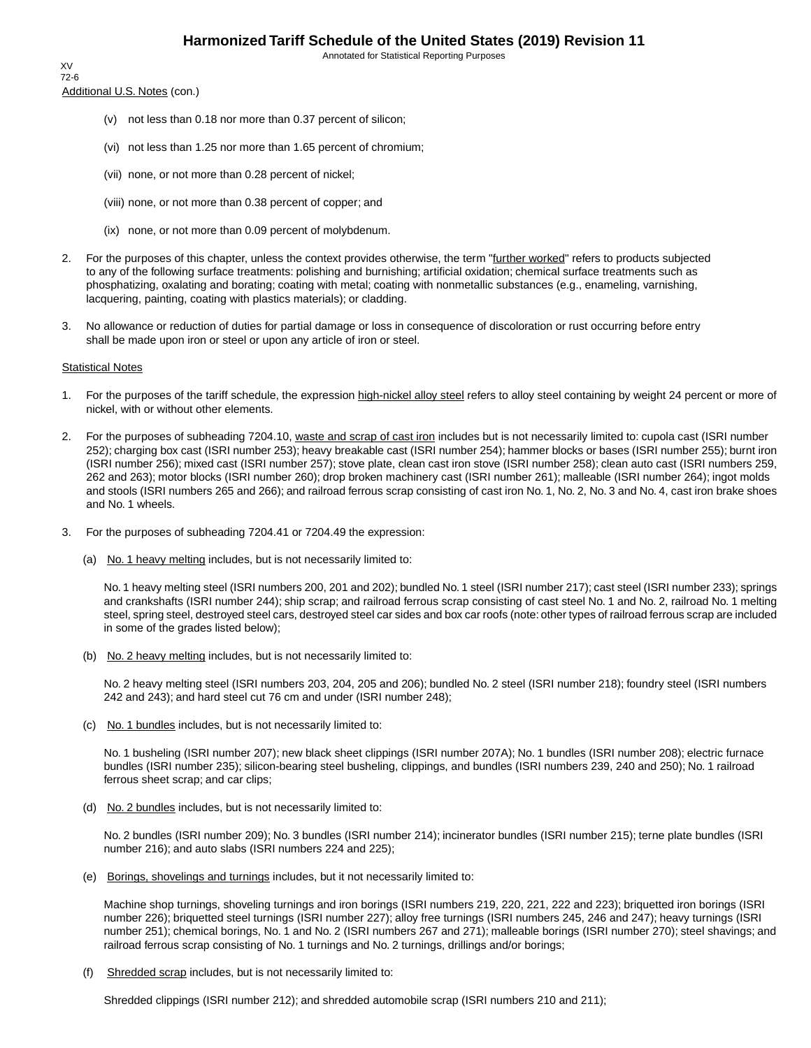Additional U.S. Notes (con.) XV 72-6

- (v) not less than 0.18 nor more than 0.37 percent of silicon;
- (vi) not less than 1.25 nor more than 1.65 percent of chromium;
- (vii) none, or not more than 0.28 percent of nickel;
- (viii) none, or not more than 0.38 percent of copper; and
- (ix) none, or not more than 0.09 percent of molybdenum.
- 2. For the purposes of this chapter, unless the context provides otherwise, the term "further worked" refers to products subjected to any of the following surface treatments: polishing and burnishing; artificial oxidation; chemical surface treatments such as phosphatizing, oxalating and borating; coating with metal; coating with nonmetallic substances (e.g., enameling, varnishing, lacquering, painting, coating with plastics materials); or cladding.
- 3. No allowance or reduction of duties for partial damage or loss in consequence of discoloration or rust occurring before entry shall be made upon iron or steel or upon any article of iron or steel.

#### Statistical Notes

- 1. For the purposes of the tariff schedule, the expression high-nickel alloy steel refers to alloy steel containing by weight 24 percent or more of nickel, with or without other elements.
- 2. For the purposes of subheading 7204.10, waste and scrap of cast iron includes but is not necessarily limited to: cupola cast (ISRI number 252); charging box cast (ISRI number 253); heavy breakable cast (ISRI number 254); hammer blocks or bases (ISRI number 255); burnt iron (ISRI number 256); mixed cast (ISRI number 257); stove plate, clean cast iron stove (ISRI number 258); clean auto cast (ISRI numbers 259, 262 and 263); motor blocks (ISRI number 260); drop broken machinery cast (ISRI number 261); malleable (ISRI number 264); ingot molds and stools (ISRI numbers 265 and 266); and railroad ferrous scrap consisting of cast iron No. 1, No. 2, No. 3 and No. 4, cast iron brake shoes and No. 1 wheels.
- 3. For the purposes of subheading 7204.41 or 7204.49 the expression:
	- (a) No. 1 heavy melting includes, but is not necessarily limited to:

No. 1 heavy melting steel (ISRI numbers 200, 201 and 202); bundled No. 1 steel (ISRI number 217); cast steel (ISRI number 233); springs and crankshafts (ISRI number 244); ship scrap; and railroad ferrous scrap consisting of cast steel No. 1 and No. 2, railroad No. 1 melting steel, spring steel, destroyed steel cars, destroyed steel car sides and box car roofs (note: other types of railroad ferrous scrap are included in some of the grades listed below);

(b) No. 2 heavy melting includes, but is not necessarily limited to:

No. 2 heavy melting steel (ISRI numbers 203, 204, 205 and 206); bundled No. 2 steel (ISRI number 218); foundry steel (ISRI numbers 242 and 243); and hard steel cut 76 cm and under (ISRI number 248);

(c) No. 1 bundles includes, but is not necessarily limited to:

No. 1 busheling (ISRI number 207); new black sheet clippings (ISRI number 207A); No. 1 bundles (ISRI number 208); electric furnace bundles (ISRI number 235); silicon-bearing steel busheling, clippings, and bundles (ISRI numbers 239, 240 and 250); No. 1 railroad ferrous sheet scrap; and car clips;

(d) No. 2 bundles includes, but is not necessarily limited to:

No. 2 bundles (ISRI number 209); No. 3 bundles (ISRI number 214); incinerator bundles (ISRI number 215); terne plate bundles (ISRI number 216); and auto slabs (ISRI numbers 224 and 225);

(e) Borings, shovelings and turnings includes, but it not necessarily limited to:

Machine shop turnings, shoveling turnings and iron borings (ISRI numbers 219, 220, 221, 222 and 223); briquetted iron borings (ISRI number 226); briquetted steel turnings (ISRI number 227); alloy free turnings (ISRI numbers 245, 246 and 247); heavy turnings (ISRI number 251); chemical borings, No. 1 and No. 2 (ISRI numbers 267 and 271); malleable borings (ISRI number 270); steel shavings; and railroad ferrous scrap consisting of No. 1 turnings and No. 2 turnings, drillings and/or borings;

(f) Shredded scrap includes, but is not necessarily limited to:

Shredded clippings (ISRI number 212); and shredded automobile scrap (ISRI numbers 210 and 211);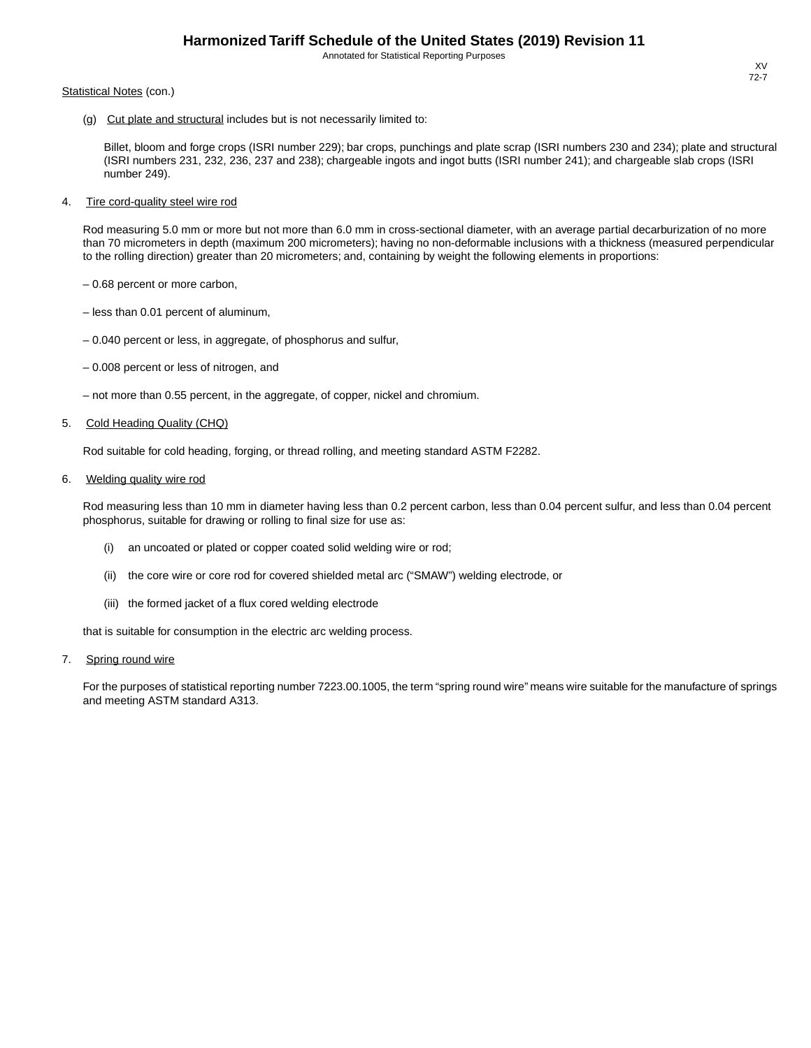#### Statistical Notes (con.)

(g) Cut plate and structural includes but is not necessarily limited to:

Billet, bloom and forge crops (ISRI number 229); bar crops, punchings and plate scrap (ISRI numbers 230 and 234); plate and structural (ISRI numbers 231, 232, 236, 237 and 238); chargeable ingots and ingot butts (ISRI number 241); and chargeable slab crops (ISRI number 249).

4. Tire cord-quality steel wire rod

Rod measuring 5.0 mm or more but not more than 6.0 mm in cross-sectional diameter, with an average partial decarburization of no more than 70 micrometers in depth (maximum 200 micrometers); having no non-deformable inclusions with a thickness (measured perpendicular to the rolling direction) greater than 20 micrometers; and, containing by weight the following elements in proportions:

- 0.68 percent or more carbon,
- less than 0.01 percent of aluminum,
- 0.040 percent or less, in aggregate, of phosphorus and sulfur,
- 0.008 percent or less of nitrogen, and
- not more than 0.55 percent, in the aggregate, of copper, nickel and chromium.

#### 5. Cold Heading Quality (CHQ)

Rod suitable for cold heading, forging, or thread rolling, and meeting standard ASTM F2282.

6. Welding quality wire rod

Rod measuring less than 10 mm in diameter having less than 0.2 percent carbon, less than 0.04 percent sulfur, and less than 0.04 percent phosphorus, suitable for drawing or rolling to final size for use as:

- (i) an uncoated or plated or copper coated solid welding wire or rod;
- (ii) the core wire or core rod for covered shielded metal arc ("SMAW") welding electrode, or
- (iii) the formed jacket of a flux cored welding electrode

that is suitable for consumption in the electric arc welding process.

#### 7. Spring round wire

For the purposes of statistical reporting number 7223.00.1005, the term "spring round wire" means wire suitable for the manufacture of springs and meeting ASTM standard A313.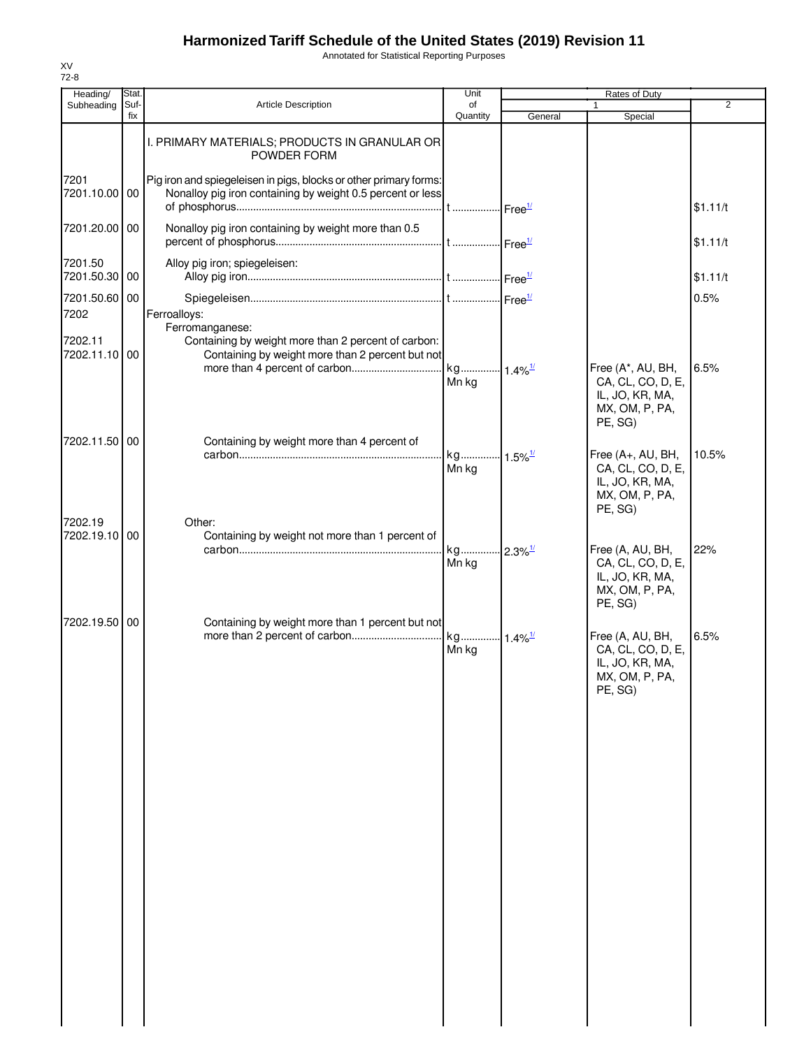Annotated for Statistical Reporting Purposes

| Heading/                         | Stat.       |                                                                                                                                            | Unit                           |         | Rates of Duty                                                                          |                |
|----------------------------------|-------------|--------------------------------------------------------------------------------------------------------------------------------------------|--------------------------------|---------|----------------------------------------------------------------------------------------|----------------|
| Subheading                       | Suf-<br>fix | <b>Article Description</b>                                                                                                                 | of<br>Quantity                 | General | 1<br>Special                                                                           | $\overline{2}$ |
|                                  |             | I. PRIMARY MATERIALS; PRODUCTS IN GRANULAR OR<br>POWDER FORM                                                                               |                                |         |                                                                                        |                |
| 7201<br>7201.10.00 00            |             | Pig iron and spiegeleisen in pigs, blocks or other primary forms:<br>Nonalloy pig iron containing by weight 0.5 percent or less            |                                |         |                                                                                        | \$1.11/t       |
| 7201.20.00 00                    |             | Nonalloy pig iron containing by weight more than 0.5                                                                                       |                                |         |                                                                                        | \$1.11/t       |
| 7201.50<br>7201.50.30 00         |             | Alloy pig iron; spiegeleisen:                                                                                                              |                                |         |                                                                                        | \$1.11/t       |
| 7201.50.60 00                    |             |                                                                                                                                            |                                |         |                                                                                        | 0.5%           |
| 7202<br>7202.11<br>7202.11.10 00 |             | Ferroalloys:<br>Ferromanganese:<br>Containing by weight more than 2 percent of carbon:<br>Containing by weight more than 2 percent but not |                                |         |                                                                                        |                |
|                                  |             |                                                                                                                                            | Mn kg                          |         | Free (A*, AU, BH,<br>CA, CL, CO, D, E,<br>IL, JO, KR, MA,<br>MX, OM, P, PA,<br>PE, SG) | 6.5%           |
| 7202.11.50 00                    |             | Containing by weight more than 4 percent of                                                                                                |                                |         |                                                                                        |                |
|                                  |             |                                                                                                                                            | kg 1.5% <sup>1/</sup>          |         | Free (A+, AU, BH,                                                                      | 10.5%          |
| 7202.19                          |             | Other:                                                                                                                                     | Mn kg                          |         | CA, CL, CO, D, E,<br>IL, JO, KR, MA,<br>MX, OM, P, PA,<br>PE, SG)                      |                |
| 7202.19.10 00                    |             | Containing by weight not more than 1 percent of                                                                                            |                                |         |                                                                                        |                |
|                                  |             |                                                                                                                                            | kg 2.3% <sup>1/</sup><br>Mn kg |         | Free (A, AU, BH,<br>CA, CL, CO, D, E,<br>IL, JO, KR, MA,<br>MX, OM, P, PA,<br>PE, SG)  | 22%            |
| 7202.19.50 00                    |             | Containing by weight more than 1 percent but not                                                                                           |                                |         |                                                                                        |                |
|                                  |             |                                                                                                                                            | Mn kg                          |         | Free (A, AU, BH,<br>CA, CL, CO, D, E,<br>IL, JO, KR, MA,<br>MX, OM, P, PA,<br>PE, SG)  | 6.5%           |
|                                  |             |                                                                                                                                            |                                |         |                                                                                        |                |
|                                  |             |                                                                                                                                            |                                |         |                                                                                        |                |
|                                  |             |                                                                                                                                            |                                |         |                                                                                        |                |
|                                  |             |                                                                                                                                            |                                |         |                                                                                        |                |
|                                  |             |                                                                                                                                            |                                |         |                                                                                        |                |
|                                  |             |                                                                                                                                            |                                |         |                                                                                        |                |
|                                  |             |                                                                                                                                            |                                |         |                                                                                        |                |
|                                  |             |                                                                                                                                            |                                |         |                                                                                        |                |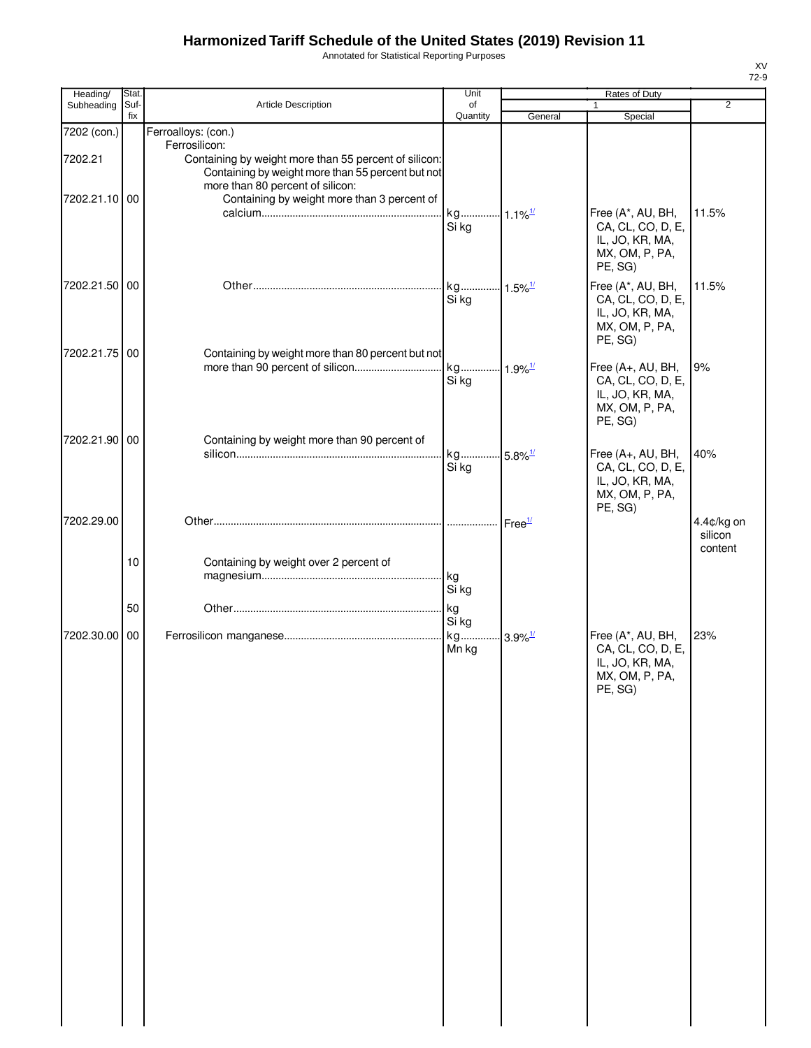Annotated for Statistical Reporting Purposes

| Suf-<br>fix      | Article Description                                                                           | of<br>Quantity                                                                   | General                                                                                                                                 | $\mathbf{1}$<br>Special                                                                             | $\overline{2}$                   |
|------------------|-----------------------------------------------------------------------------------------------|----------------------------------------------------------------------------------|-----------------------------------------------------------------------------------------------------------------------------------------|-----------------------------------------------------------------------------------------------------|----------------------------------|
|                  |                                                                                               |                                                                                  |                                                                                                                                         |                                                                                                     |                                  |
|                  | Ferroalloys: (con.)<br>Ferrosilicon:<br>Containing by weight more than 55 percent of silicon: |                                                                                  |                                                                                                                                         |                                                                                                     |                                  |
| 7202.21.10 00    | Containing by weight more than 3 percent of                                                   | Si kg                                                                            |                                                                                                                                         | Free (A*, AU, BH,<br>CA, CL, CO, D, E,<br>IL, JO, KR, MA,<br>MX, OM, P, PA,<br>PE, SG)              | 11.5%                            |
| 7202.21.50 00    |                                                                                               | Si kg                                                                            |                                                                                                                                         | Free (A*, AU, BH,<br>CA, CL, CO, D, E,<br>IL, JO, KR, MA,<br>MX, OM, P, PA,<br>PE, SG)              | 11.5%                            |
| 7202.21.75 00    |                                                                                               | Si kg                                                                            |                                                                                                                                         | Free (A+, AU, BH,<br>CA, CL, CO, D, E,<br>IL, JO, KR, MA,<br>MX, OM, P, PA,<br>PE, SG)              | 9%                               |
|                  |                                                                                               | Si kg                                                                            |                                                                                                                                         | Free (A+, AU, BH,<br>CA, CL, CO, D, E,<br>IL, JO, KR, MA,<br>MX, OM, P, PA,<br>PE, SG)              | 40%                              |
| 10               | Containing by weight over 2 percent of                                                        |                                                                                  |                                                                                                                                         |                                                                                                     | 4.4¢/kg on<br>silicon<br>content |
|                  |                                                                                               |                                                                                  |                                                                                                                                         |                                                                                                     |                                  |
| 7202.30.00<br>00 |                                                                                               | Si kg<br>Mn kg                                                                   | $3.9\%$ <sup>1/</sup>                                                                                                                   | Free (A*, AU, BH,<br>CA, CL, CO, D, E,<br>IL, JO, KR, MA,<br>MX, OM, P, PA,<br>PE, SG)              | 23%                              |
|                  |                                                                                               |                                                                                  |                                                                                                                                         |                                                                                                     |                                  |
|                  |                                                                                               |                                                                                  |                                                                                                                                         |                                                                                                     |                                  |
| 7202.21.90       | 00<br>50                                                                                      | more than 80 percent of silicon:<br>Containing by weight more than 90 percent of | Containing by weight more than 55 percent but not<br>kg<br>Containing by weight more than 80 percent but not<br>kg<br>Si kg<br>kg<br>kg | $\cdot 1.5\%$ <sup>1/</sup><br>kg 1.9% <sup>1/</sup><br>kg 5.8% <sup>1/</sup><br>Free <sup>1/</sup> |                                  |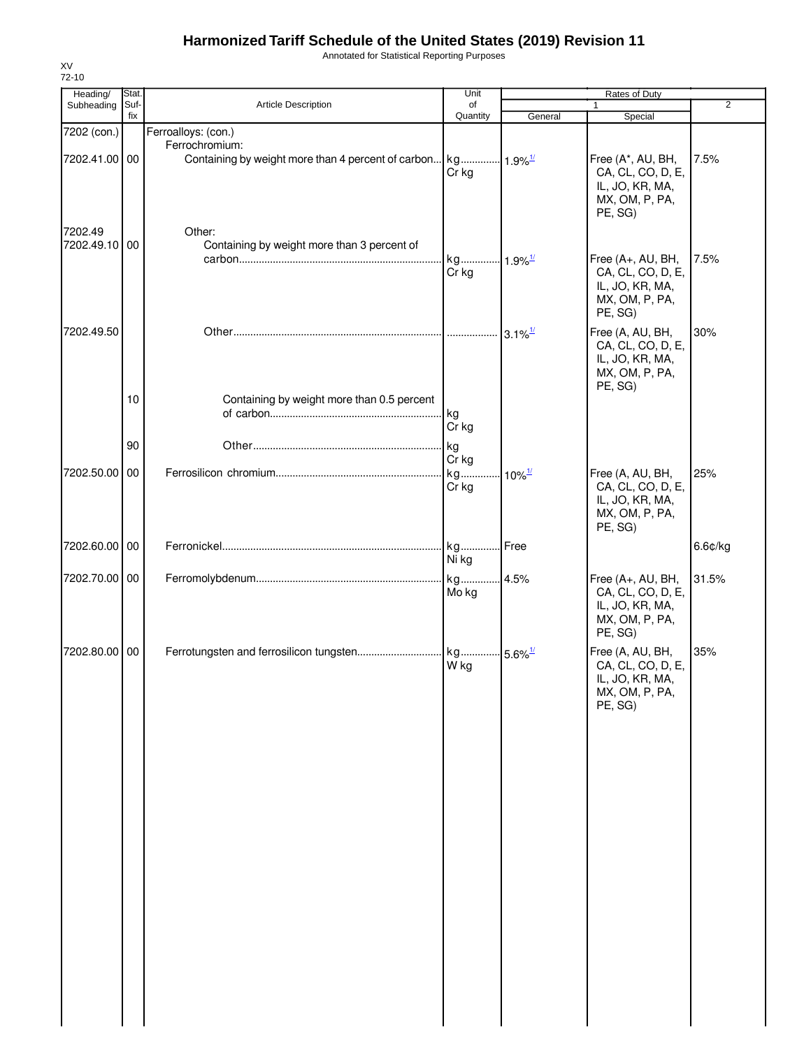Annotated for Statistical Reporting Purposes

| Heading/                 | Stat.       |                                                                                            | Unit           |                        | Rates of Duty                                                                          |                |
|--------------------------|-------------|--------------------------------------------------------------------------------------------|----------------|------------------------|----------------------------------------------------------------------------------------|----------------|
| Subheading               | Suf-<br>fix | Article Description                                                                        | of<br>Quantity | General                | $\mathbf{1}$<br>Special                                                                | $\overline{2}$ |
| 7202 (con.)              |             | Ferroalloys: (con.)                                                                        |                |                        |                                                                                        |                |
| 7202.41.00 00            |             | Ferrochromium:<br>Containing by weight more than 4 percent of carbon kg 1.9% <sup>1/</sup> | Cr kg          |                        | Free (A*, AU, BH,<br>CA, CL, CO, D, E,<br>IL, JO, KR, MA,<br>MX, OM, P, PA,<br>PE, SG) | 7.5%           |
| 7202.49<br>7202.49.10 00 |             | Other:<br>Containing by weight more than 3 percent of                                      | kg<br>Cr kg    | $-1.9\%$ <sup>1/</sup> | Free (A+, AU, BH,<br>CA, CL, CO, D, E,<br>IL, JO, KR, MA,<br>MX, OM, P, PA,<br>PE, SG) | 7.5%           |
| 7202.49.50               |             |                                                                                            |                |                        | Free (A, AU, BH,<br>CA, CL, CO, D, E,<br>IL, JO, KR, MA,<br>MX, OM, P, PA,<br>PE, SG)  | 30%            |
|                          | 10          | Containing by weight more than 0.5 percent                                                 | kg<br>Cr kg    |                        |                                                                                        |                |
|                          | 90          |                                                                                            | kg             |                        |                                                                                        |                |
| 7202.50.00 00            |             |                                                                                            | Cr kg<br>kg    | $10\%$ <sup>1/</sup>   | Free (A, AU, BH,                                                                       | 25%            |
|                          |             |                                                                                            | Cr kg          |                        | CA, CL, CO, D, E,<br>IL, JO, KR, MA,<br>MX, OM, P, PA,<br>PE, SG)                      |                |
| 7202.60.00 00            |             |                                                                                            | Ni kg          |                        |                                                                                        | 6.6¢/kg        |
| 7202.70.00 00            |             |                                                                                            | Mo kg          |                        | Free (A+, AU, BH,<br>CA, CL, CO, D, E,<br>IL, JO, KR, MA,<br>MX, OM, P, PA,<br>PE, SG) | 31.5%          |
| 7202.80.00 00            |             |                                                                                            | W kg           |                        | Free (A, AU, BH,<br>CA, CL, CO, D, E,<br>IL, JO, KR, MA,<br>MX, OM, P, PA,<br>PE, SG)  | 35%            |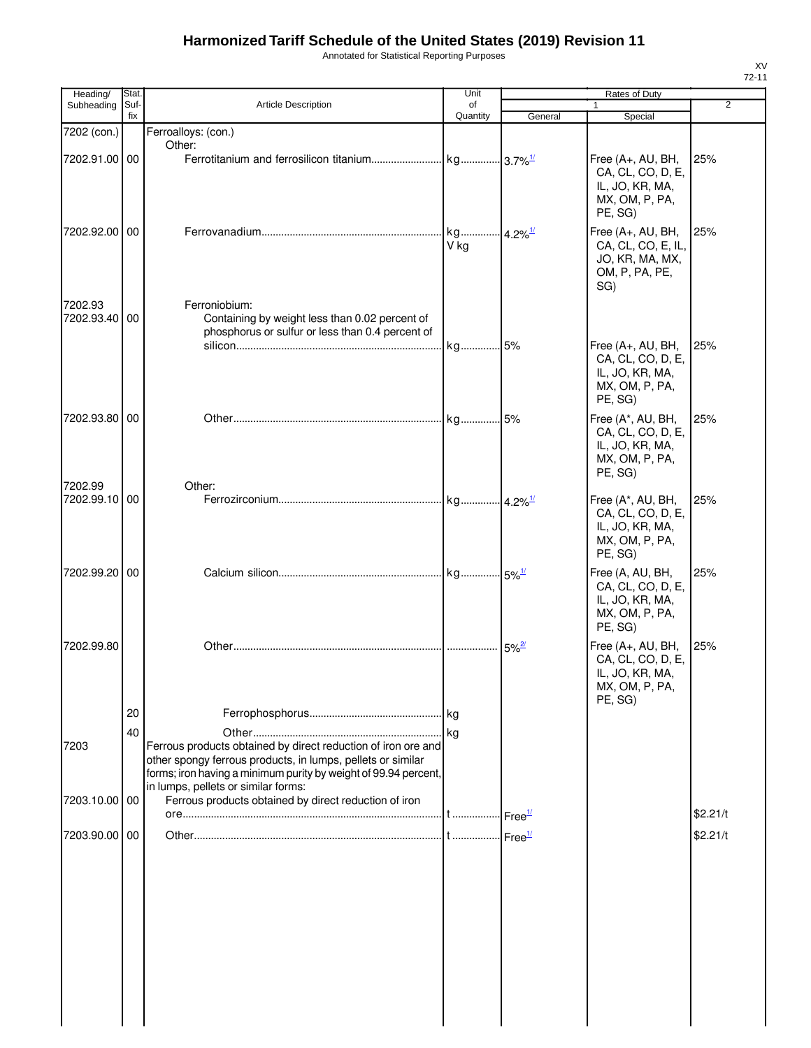Annotated for Statistical Reporting Purposes

|         | Heading/      | Stat.       |                                                                                                                                                                                                                                        | Unit           |                     | Rates of Duty                                                                          |                |
|---------|---------------|-------------|----------------------------------------------------------------------------------------------------------------------------------------------------------------------------------------------------------------------------------------|----------------|---------------------|----------------------------------------------------------------------------------------|----------------|
|         | Subheading    | Suf-<br>fix | <b>Article Description</b>                                                                                                                                                                                                             | of<br>Quantity | General             | $\mathbf{1}$<br>Special                                                                | $\overline{2}$ |
|         | 7202 (con.)   |             | Ferroalloys: (con.)                                                                                                                                                                                                                    |                |                     |                                                                                        |                |
|         | 7202.91.00 00 |             | Other:                                                                                                                                                                                                                                 |                |                     | Free (A+, AU, BH,<br>CA, CL, CO, D, E,<br>IL, JO, KR, MA,<br>MX, OM, P, PA,<br>PE, SG) | 25%            |
|         | 7202.92.00 00 |             |                                                                                                                                                                                                                                        | V kg           |                     | Free (A+, AU, BH,<br>CA, CL, CO, E, IL,<br>JO, KR, MA, MX,<br>OM, P, PA, PE,<br>SG)    | 25%            |
| 7202.93 | 7202.93.40    | 00          | Ferroniobium:<br>Containing by weight less than 0.02 percent of<br>phosphorus or sulfur or less than 0.4 percent of                                                                                                                    | kg 5%          |                     | Free (A+, AU, BH,<br>CA, CL, CO, D, E,<br>IL, JO, KR, MA,<br>MX, OM, P, PA,<br>PE, SG) | 25%            |
|         | 7202.93.80 00 |             |                                                                                                                                                                                                                                        |                |                     | Free (A*, AU, BH,<br>CA, CL, CO, D, E,<br>IL, JO, KR, MA,<br>MX, OM, P, PA,<br>PE, SG) | 25%            |
| 7202.99 | 7202.99.10 00 |             | Other:                                                                                                                                                                                                                                 |                |                     | Free (A*, AU, BH,<br>CA, CL, CO, D, E,<br>IL, JO, KR, MA,<br>MX, OM, P, PA,<br>PE, SG) | 25%            |
|         | 7202.99.20 00 |             |                                                                                                                                                                                                                                        |                |                     | Free (A, AU, BH,<br>CA, CL, CO, D, E,<br>IL, JO, KR, MA,<br>MX, OM, P, PA,<br>PE, SG)  | 25%            |
|         | 7202.99.80    |             |                                                                                                                                                                                                                                        |                | $5\%$ <sup>2/</sup> | Free (A+, AU, BH,<br>CA, CL, CO, D, E,<br>IL, JO, KR, MA,<br>MX, OM, P, PA,<br>PE, SG) | 25%            |
|         |               | 20          |                                                                                                                                                                                                                                        |                |                     |                                                                                        |                |
| 7203    |               | 40          | Ferrous products obtained by direct reduction of iron ore and<br>other spongy ferrous products, in lumps, pellets or similar<br>forms; iron having a minimum purity by weight of 99.94 percent,<br>in lumps, pellets or similar forms: |                |                     |                                                                                        |                |
|         | 7203.10.00 00 |             | Ferrous products obtained by direct reduction of iron                                                                                                                                                                                  |                |                     |                                                                                        | \$2.21/t       |
|         | 7203.90.00 00 |             |                                                                                                                                                                                                                                        |                |                     |                                                                                        | \$2.21/t       |
|         |               |             |                                                                                                                                                                                                                                        |                |                     |                                                                                        |                |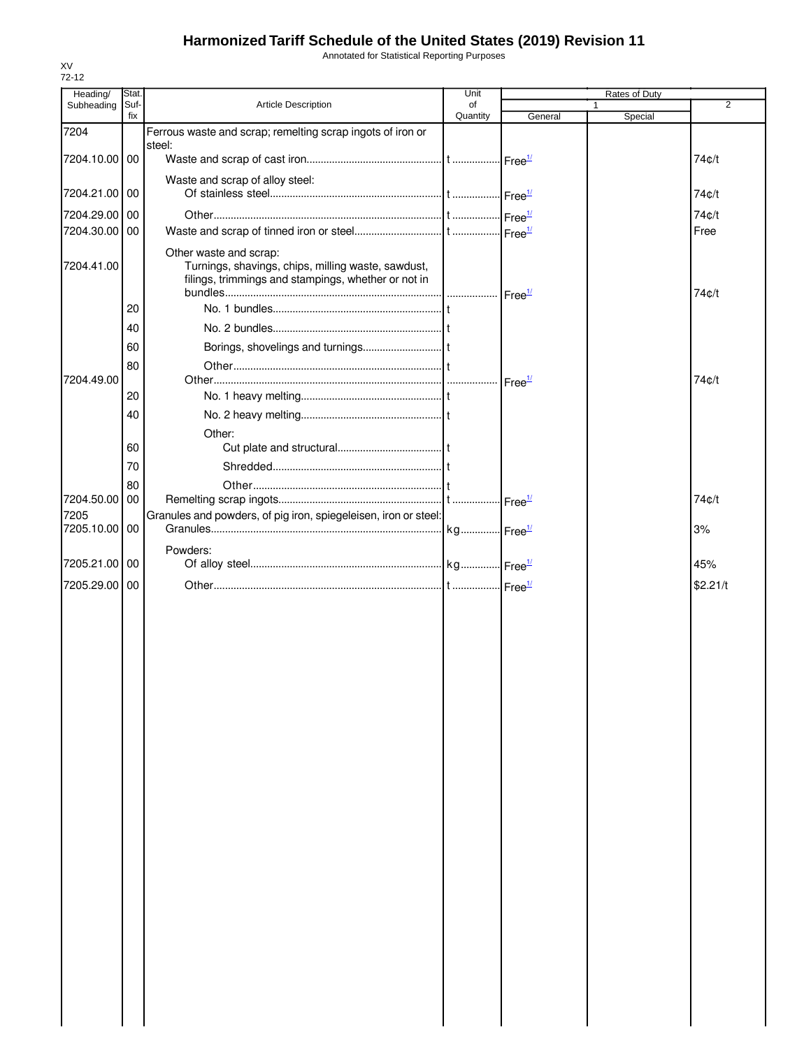Annotated for Statistical Reporting Purposes

| Heading/      | Stat.       |                                                                                                                                     | Unit           |                            | Rates of Duty |                |
|---------------|-------------|-------------------------------------------------------------------------------------------------------------------------------------|----------------|----------------------------|---------------|----------------|
| Subheading    | Suf-<br>fix | Article Description                                                                                                                 | of<br>Quantity | General                    | Special       | $\overline{2}$ |
| 7204          |             | Ferrous waste and scrap; remelting scrap ingots of iron or                                                                          |                |                            |               |                |
| 7204.10.00 00 |             | steel:                                                                                                                              |                |                            |               | 74¢/t          |
|               |             |                                                                                                                                     |                | $\cdot$ Free $\frac{1}{2}$ |               |                |
| 7204.21.00 00 |             | Waste and scrap of alloy steel:                                                                                                     |                |                            |               | 74¢/t          |
| 7204.29.00    | 00          |                                                                                                                                     |                |                            |               |                |
| 7204.30.00 00 |             |                                                                                                                                     |                |                            |               | 74¢/t<br>Free  |
|               |             |                                                                                                                                     |                |                            |               |                |
| 7204.41.00    |             | Other waste and scrap:<br>Turnings, shavings, chips, milling waste, sawdust,<br>filings, trimmings and stampings, whether or not in |                |                            |               | 74¢/t          |
|               | 20          |                                                                                                                                     |                |                            |               |                |
|               | 40          |                                                                                                                                     |                |                            |               |                |
|               | 60          |                                                                                                                                     |                |                            |               |                |
|               | 80          |                                                                                                                                     |                |                            |               |                |
| 7204.49.00    |             |                                                                                                                                     |                |                            |               | 74c/t          |
|               | 20          |                                                                                                                                     |                |                            |               |                |
|               | 40          |                                                                                                                                     |                |                            |               |                |
|               | 60          | Other:                                                                                                                              |                |                            |               |                |
|               | 70          |                                                                                                                                     |                |                            |               |                |
|               | 80          |                                                                                                                                     |                |                            |               |                |
| 7204.50.00    | 00          |                                                                                                                                     |                |                            |               | 74¢/t          |
| 7205          |             | Granules and powders, of pig iron, spiegeleisen, iron or steel:                                                                     |                |                            |               |                |
| 7205.10.00    | 00          |                                                                                                                                     |                |                            |               | 3%             |
|               |             | Powders:                                                                                                                            |                |                            |               |                |
| 7205.21.00    | 00          |                                                                                                                                     |                |                            |               | 45%            |
| 7205.29.00    | 00          |                                                                                                                                     |                |                            |               | \$2.21/t       |
|               |             |                                                                                                                                     |                |                            |               |                |
|               |             |                                                                                                                                     |                |                            |               |                |
|               |             |                                                                                                                                     |                |                            |               |                |
|               |             |                                                                                                                                     |                |                            |               |                |
|               |             |                                                                                                                                     |                |                            |               |                |
|               |             |                                                                                                                                     |                |                            |               |                |
|               |             |                                                                                                                                     |                |                            |               |                |
|               |             |                                                                                                                                     |                |                            |               |                |
|               |             |                                                                                                                                     |                |                            |               |                |
|               |             |                                                                                                                                     |                |                            |               |                |
|               |             |                                                                                                                                     |                |                            |               |                |
|               |             |                                                                                                                                     |                |                            |               |                |
|               |             |                                                                                                                                     |                |                            |               |                |
|               |             |                                                                                                                                     |                |                            |               |                |
|               |             |                                                                                                                                     |                |                            |               |                |
|               |             |                                                                                                                                     |                |                            |               |                |
|               |             |                                                                                                                                     |                |                            |               |                |
|               |             |                                                                                                                                     |                |                            |               |                |
|               |             |                                                                                                                                     |                |                            |               |                |
|               |             |                                                                                                                                     |                |                            |               |                |
|               |             |                                                                                                                                     |                |                            |               |                |
|               |             |                                                                                                                                     |                |                            |               |                |
|               |             |                                                                                                                                     |                |                            |               |                |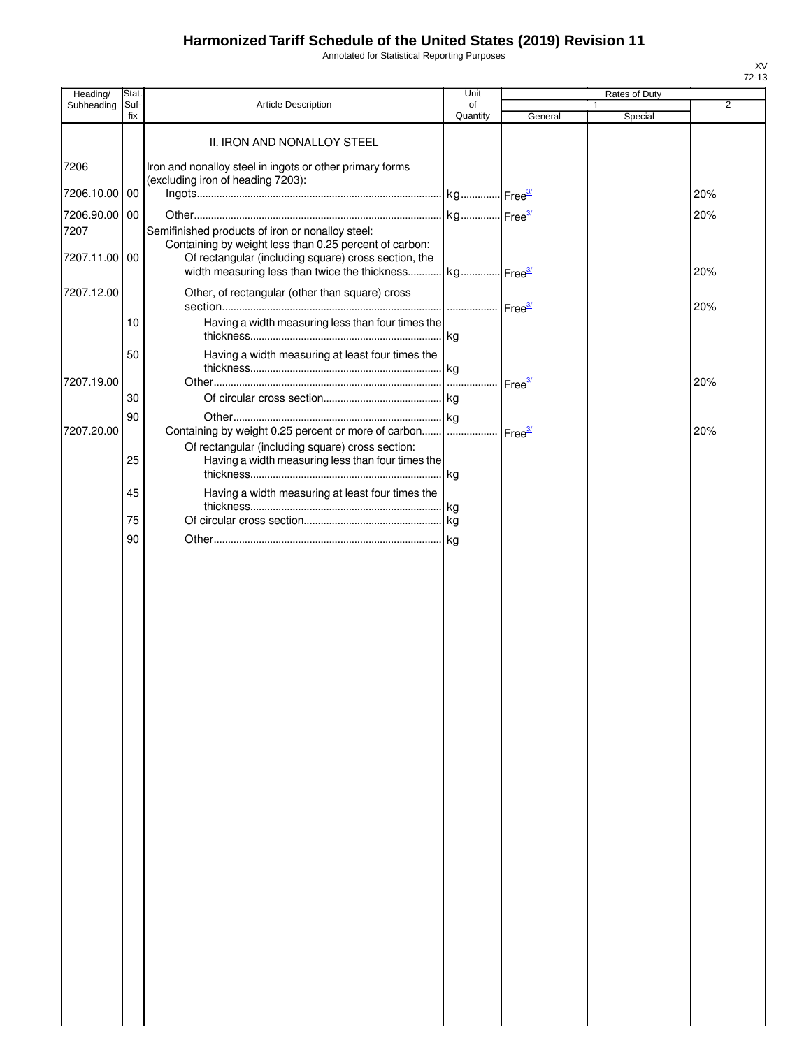Annotated for Statistical Reporting Purposes

| Heading/      | Stat.       |                                                                                                                | Unit           |                    |   | Rates of Duty |                |
|---------------|-------------|----------------------------------------------------------------------------------------------------------------|----------------|--------------------|---|---------------|----------------|
| Subheading    | Suf-<br>fix | Article Description                                                                                            | of<br>Quantity | General            | 1 | Special       | $\overline{2}$ |
|               |             |                                                                                                                |                |                    |   |               |                |
|               |             | II. IRON AND NONALLOY STEEL                                                                                    |                |                    |   |               |                |
| 7206          |             | Iron and nonalloy steel in ingots or other primary forms                                                       |                |                    |   |               |                |
|               |             | (excluding iron of heading 7203):                                                                              |                |                    |   |               |                |
| 7206.10.00 00 |             |                                                                                                                |                |                    |   |               | 20%            |
| 7206.90.00 00 |             |                                                                                                                |                |                    |   |               | 20%            |
| 7207          |             | Semifinished products of iron or nonalloy steel:                                                               |                |                    |   |               |                |
| 7207.11.00 00 |             | Containing by weight less than 0.25 percent of carbon:<br>Of rectangular (including square) cross section, the |                |                    |   |               |                |
|               |             | width measuring less than twice the thickness kg Free <sup>3/</sup>                                            |                |                    |   |               | 20%            |
| 7207.12.00    |             | Other, of rectangular (other than square) cross                                                                |                |                    |   |               |                |
|               |             |                                                                                                                |                | Free <sup>3/</sup> |   |               | 20%            |
|               | 10          | Having a width measuring less than four times the                                                              |                |                    |   |               |                |
|               |             |                                                                                                                |                |                    |   |               |                |
|               | 50          | Having a width measuring at least four times the                                                               |                |                    |   |               |                |
|               |             |                                                                                                                |                |                    |   |               |                |
| 7207.19.00    | 30          |                                                                                                                |                | Free <sup>3/</sup> |   |               | 20%            |
|               |             |                                                                                                                |                |                    |   |               |                |
| 7207.20.00    | 90          | Containing by weight 0.25 percent or more of carbon    Free3                                                   |                |                    |   |               | 20%            |
|               |             | Of rectangular (including square) cross section:                                                               |                |                    |   |               |                |
|               | 25          | Having a width measuring less than four times the                                                              |                |                    |   |               |                |
|               |             |                                                                                                                |                |                    |   |               |                |
|               | 45          | Having a width measuring at least four times the                                                               |                |                    |   |               |                |
|               | 75          |                                                                                                                |                |                    |   |               |                |
|               | 90          |                                                                                                                |                |                    |   |               |                |
|               |             |                                                                                                                |                |                    |   |               |                |
|               |             |                                                                                                                |                |                    |   |               |                |
|               |             |                                                                                                                |                |                    |   |               |                |
|               |             |                                                                                                                |                |                    |   |               |                |
|               |             |                                                                                                                |                |                    |   |               |                |
|               |             |                                                                                                                |                |                    |   |               |                |
|               |             |                                                                                                                |                |                    |   |               |                |
|               |             |                                                                                                                |                |                    |   |               |                |
|               |             |                                                                                                                |                |                    |   |               |                |
|               |             |                                                                                                                |                |                    |   |               |                |
|               |             |                                                                                                                |                |                    |   |               |                |
|               |             |                                                                                                                |                |                    |   |               |                |
|               |             |                                                                                                                |                |                    |   |               |                |
|               |             |                                                                                                                |                |                    |   |               |                |
|               |             |                                                                                                                |                |                    |   |               |                |
|               |             |                                                                                                                |                |                    |   |               |                |
|               |             |                                                                                                                |                |                    |   |               |                |
|               |             |                                                                                                                |                |                    |   |               |                |
|               |             |                                                                                                                |                |                    |   |               |                |
|               |             |                                                                                                                |                |                    |   |               |                |
|               |             |                                                                                                                |                |                    |   |               |                |
|               |             |                                                                                                                |                |                    |   |               |                |
|               |             |                                                                                                                |                |                    |   |               |                |
|               |             |                                                                                                                |                |                    |   |               |                |
|               |             |                                                                                                                |                |                    |   |               |                |
|               |             |                                                                                                                |                |                    |   |               |                |
|               |             |                                                                                                                |                |                    |   |               |                |
|               |             |                                                                                                                |                |                    |   |               |                |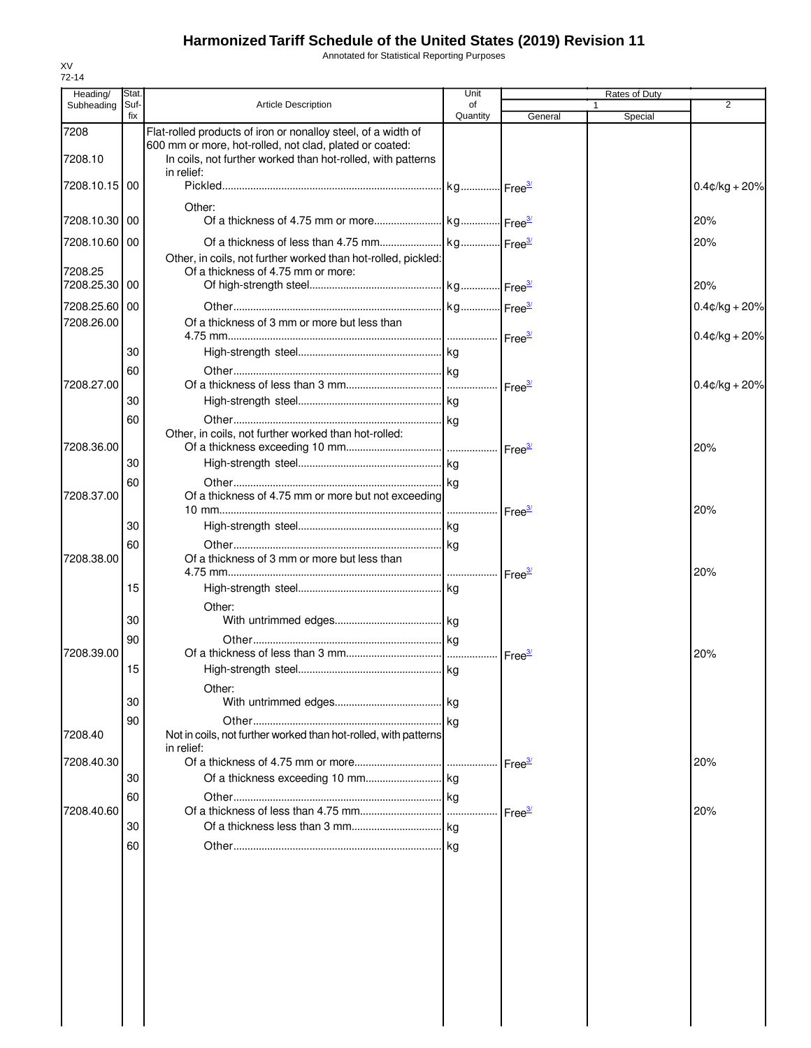Annotated for Statistical Reporting Purposes

| Heading/        | Stat        |                                                                           | Unit           |                            |   | Rates of Duty |                  |
|-----------------|-------------|---------------------------------------------------------------------------|----------------|----------------------------|---|---------------|------------------|
| Subheading      | Suf-<br>fix | <b>Article Description</b>                                                | of<br>Quantity | General                    | 1 | Special       | $\overline{2}$   |
| 7208            |             | Flat-rolled products of iron or nonalloy steel, of a width of             |                |                            |   |               |                  |
|                 |             | 600 mm or more, hot-rolled, not clad, plated or coated:                   |                |                            |   |               |                  |
| 7208.10         |             | In coils, not further worked than hot-rolled, with patterns<br>in relief: |                |                            |   |               |                  |
| 7208.10.15 00   |             |                                                                           |                |                            |   |               | $0.4$ ¢/kg + 20% |
|                 |             | Other:                                                                    |                |                            |   |               |                  |
| 7208.10.30   00 |             |                                                                           |                |                            |   |               | 20%              |
| 7208.10.60 00   |             |                                                                           |                |                            |   |               | 20%              |
|                 |             | Other, in coils, not further worked than hot-rolled, pickled:             |                |                            |   |               |                  |
| 7208.25         |             | Of a thickness of 4.75 mm or more:                                        |                |                            |   |               |                  |
| 7208.25.30 00   |             |                                                                           |                |                            |   |               | 20%              |
| 7208.25.60 00   |             |                                                                           |                |                            |   |               | $0.4$ ¢/kg + 20% |
| 7208.26.00      |             | Of a thickness of 3 mm or more but less than                              |                |                            |   |               |                  |
|                 |             |                                                                           |                |                            |   |               | $0.4$ ¢/kg + 20% |
|                 | 30          |                                                                           |                |                            |   |               |                  |
|                 | 60          |                                                                           |                |                            |   |               |                  |
| 7208.27.00      |             |                                                                           |                | Free <sup>3/</sup>         |   |               | $0.4$ ¢/kg + 20% |
|                 | 30          |                                                                           |                |                            |   |               |                  |
|                 | 60          |                                                                           |                |                            |   |               |                  |
| 7208.36.00      |             | Other, in coils, not further worked than hot-rolled:                      |                |                            |   |               | 20%              |
|                 | 30          |                                                                           |                |                            |   |               |                  |
|                 | 60          |                                                                           |                |                            |   |               |                  |
| 7208.37.00      |             | Of a thickness of 4.75 mm or more but not exceeding                       |                |                            |   |               |                  |
|                 |             |                                                                           |                | $\cdot$ Free $\frac{3}{2}$ |   |               | 20%              |
|                 | 30          |                                                                           |                |                            |   |               |                  |
|                 | 60          |                                                                           |                |                            |   |               |                  |
| 7208.38.00      |             | Of a thickness of 3 mm or more but less than                              |                |                            |   |               |                  |
|                 |             |                                                                           |                |                            |   |               | 20%              |
|                 | 15          |                                                                           |                |                            |   |               |                  |
|                 | 30          | Other:                                                                    |                |                            |   |               |                  |
|                 | 90          |                                                                           |                |                            |   |               |                  |
| 7208.39.00      |             |                                                                           |                |                            |   |               | 20%              |
|                 | 15          |                                                                           |                |                            |   |               |                  |
|                 |             | Other:                                                                    |                |                            |   |               |                  |
|                 | 30          |                                                                           |                |                            |   |               |                  |
|                 | 90          |                                                                           |                |                            |   |               |                  |
| 7208.40         |             | Not in coils, not further worked than hot-rolled, with patterns           |                |                            |   |               |                  |
|                 |             | in relief:                                                                |                |                            |   |               |                  |
| 7208.40.30      | 30          |                                                                           |                | $r = e^{\frac{3}{2}}$      |   |               | 20%              |
|                 |             |                                                                           |                |                            |   |               |                  |
| 7208.40.60      | 60          |                                                                           |                | Free <sup>3/</sup>         |   |               | 20%              |
|                 | 30          |                                                                           |                |                            |   |               |                  |
|                 | 60          |                                                                           |                |                            |   |               |                  |
|                 |             |                                                                           |                |                            |   |               |                  |
|                 |             |                                                                           |                |                            |   |               |                  |
|                 |             |                                                                           |                |                            |   |               |                  |
|                 |             |                                                                           |                |                            |   |               |                  |
|                 |             |                                                                           |                |                            |   |               |                  |
|                 |             |                                                                           |                |                            |   |               |                  |
|                 |             |                                                                           |                |                            |   |               |                  |
|                 |             |                                                                           |                |                            |   |               |                  |
|                 |             |                                                                           |                |                            |   |               |                  |
|                 |             |                                                                           |                |                            |   |               |                  |
|                 |             |                                                                           |                |                            |   |               |                  |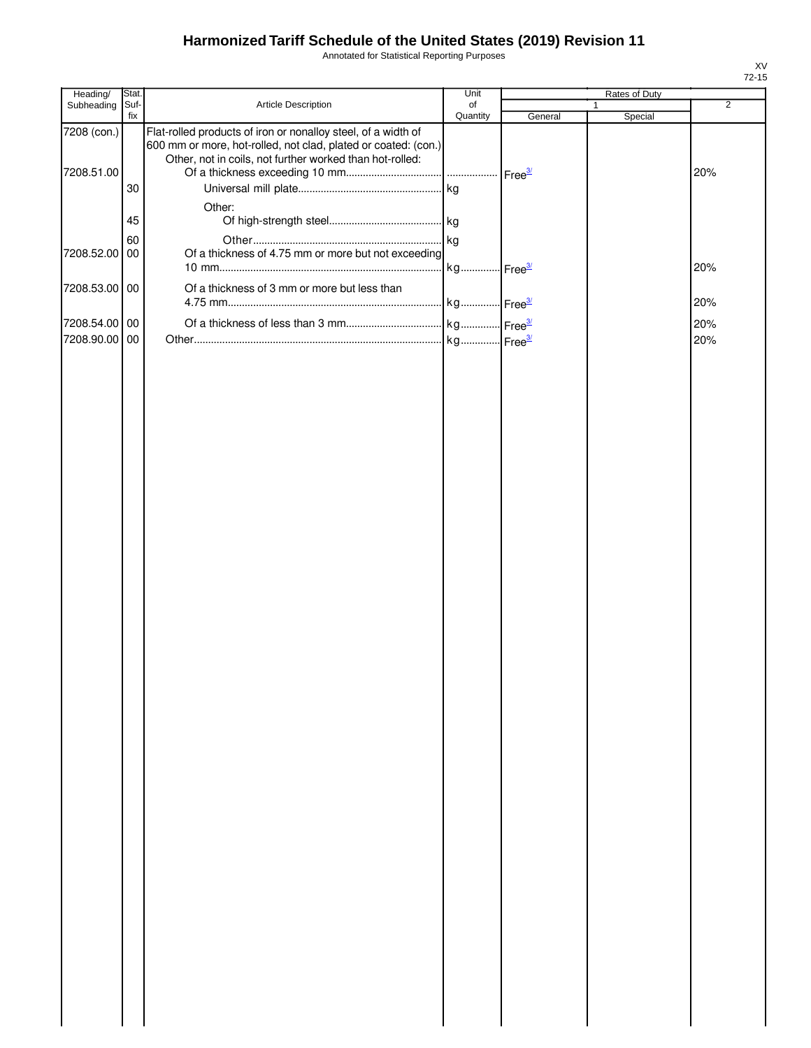Annotated for Statistical Reporting Purposes

| Heading/      | Stat.       |                                                                                                                                                                                             | Unit                  |         | Rates of Duty           |                |
|---------------|-------------|---------------------------------------------------------------------------------------------------------------------------------------------------------------------------------------------|-----------------------|---------|-------------------------|----------------|
| Subheading    | Suf-<br>fix | Article Description                                                                                                                                                                         | of<br>Quantity        | General | $\mathbf{1}$<br>Special | $\overline{2}$ |
| 7208 (con.)   |             | Flat-rolled products of iron or nonalloy steel, of a width of<br>600 mm or more, hot-rolled, not clad, plated or coated: (con.)<br>Other, not in coils, not further worked than hot-rolled: |                       |         |                         |                |
| 7208.51.00    |             |                                                                                                                                                                                             |                       |         |                         | 20%            |
|               | 30          |                                                                                                                                                                                             |                       |         |                         |                |
|               |             | Other:                                                                                                                                                                                      |                       |         |                         |                |
|               | 45          |                                                                                                                                                                                             |                       |         |                         |                |
| 7208.52.00    | 60<br>00    | Of a thickness of 4.75 mm or more but not exceeding                                                                                                                                         |                       |         |                         |                |
|               |             |                                                                                                                                                                                             | kg Free <sup>3/</sup> |         |                         | 20%            |
| 7208.53.00 00 |             | Of a thickness of 3 mm or more but less than                                                                                                                                                |                       |         |                         |                |
|               |             |                                                                                                                                                                                             |                       |         |                         | 20%            |
| 7208.54.00 00 |             |                                                                                                                                                                                             |                       |         |                         | 20%            |
| 7208.90.00    | 00          |                                                                                                                                                                                             |                       |         |                         | 20%            |
|               |             |                                                                                                                                                                                             |                       |         |                         |                |
|               |             |                                                                                                                                                                                             |                       |         |                         |                |
|               |             |                                                                                                                                                                                             |                       |         |                         |                |
|               |             |                                                                                                                                                                                             |                       |         |                         |                |
|               |             |                                                                                                                                                                                             |                       |         |                         |                |
|               |             |                                                                                                                                                                                             |                       |         |                         |                |
|               |             |                                                                                                                                                                                             |                       |         |                         |                |
|               |             |                                                                                                                                                                                             |                       |         |                         |                |
|               |             |                                                                                                                                                                                             |                       |         |                         |                |
|               |             |                                                                                                                                                                                             |                       |         |                         |                |
|               |             |                                                                                                                                                                                             |                       |         |                         |                |
|               |             |                                                                                                                                                                                             |                       |         |                         |                |
|               |             |                                                                                                                                                                                             |                       |         |                         |                |
|               |             |                                                                                                                                                                                             |                       |         |                         |                |
|               |             |                                                                                                                                                                                             |                       |         |                         |                |
|               |             |                                                                                                                                                                                             |                       |         |                         |                |
|               |             |                                                                                                                                                                                             |                       |         |                         |                |
|               |             |                                                                                                                                                                                             |                       |         |                         |                |
|               |             |                                                                                                                                                                                             |                       |         |                         |                |
|               |             |                                                                                                                                                                                             |                       |         |                         |                |
|               |             |                                                                                                                                                                                             |                       |         |                         |                |
|               |             |                                                                                                                                                                                             |                       |         |                         |                |
|               |             |                                                                                                                                                                                             |                       |         |                         |                |
|               |             |                                                                                                                                                                                             |                       |         |                         |                |
|               |             |                                                                                                                                                                                             |                       |         |                         |                |
|               |             |                                                                                                                                                                                             |                       |         |                         |                |
|               |             |                                                                                                                                                                                             |                       |         |                         |                |
|               |             |                                                                                                                                                                                             |                       |         |                         |                |
|               |             |                                                                                                                                                                                             |                       |         |                         |                |
|               |             |                                                                                                                                                                                             |                       |         |                         |                |
|               |             |                                                                                                                                                                                             |                       |         |                         |                |
|               |             |                                                                                                                                                                                             |                       |         |                         |                |
|               |             |                                                                                                                                                                                             |                       |         |                         |                |
|               |             |                                                                                                                                                                                             |                       |         |                         |                |
|               |             |                                                                                                                                                                                             |                       |         |                         |                |
|               |             |                                                                                                                                                                                             |                       |         |                         |                |
|               |             |                                                                                                                                                                                             |                       |         |                         |                |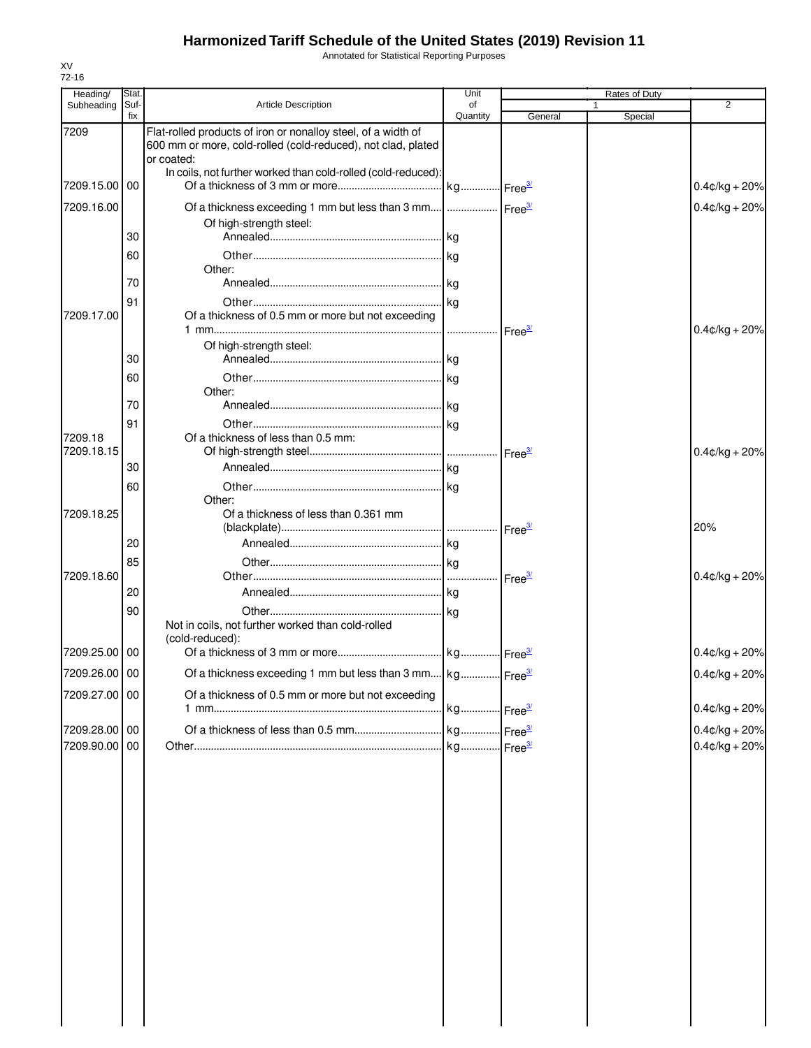Annotated for Statistical Reporting Purposes

| Heading/              | Stat.       |                                                                                                                                             | Unit           |                    | Rates of Duty |                  |
|-----------------------|-------------|---------------------------------------------------------------------------------------------------------------------------------------------|----------------|--------------------|---------------|------------------|
| Subheading            | Suf-<br>fix | <b>Article Description</b>                                                                                                                  | of<br>Quantity | General            | 1<br>Special  | $\overline{2}$   |
| 7209                  |             | Flat-rolled products of iron or nonalloy steel, of a width of<br>600 mm or more, cold-rolled (cold-reduced), not clad, plated<br>or coated: |                |                    |               |                  |
| 7209.15.00 00         |             | In coils, not further worked than cold-rolled (cold-reduced):                                                                               |                |                    |               | $0.4$ ¢/kg + 20% |
| 7209.16.00            |             | Of a thickness exceeding 1 mm but less than 3 mm    Free <sup>34</sup>                                                                      |                |                    |               | $0.4$ ¢/kg + 20% |
|                       | 30          | Of high-strength steel:                                                                                                                     |                |                    |               |                  |
|                       | 60          |                                                                                                                                             |                |                    |               |                  |
|                       | 70          | Other:                                                                                                                                      |                |                    |               |                  |
|                       | 91          |                                                                                                                                             |                |                    |               |                  |
| 7209.17.00            |             | Of a thickness of 0.5 mm or more but not exceeding                                                                                          |                |                    |               | $0.4$ ¢/kg + 20% |
|                       | 30          | Of high-strength steel:                                                                                                                     |                |                    |               |                  |
|                       | 60          |                                                                                                                                             |                |                    |               |                  |
|                       |             | Other:                                                                                                                                      |                |                    |               |                  |
|                       | 70<br>91    |                                                                                                                                             |                |                    |               |                  |
| 7209.18<br>7209.18.15 |             | Of a thickness of less than 0.5 mm:                                                                                                         |                |                    |               |                  |
|                       | 30          |                                                                                                                                             |                | Free <sup>3/</sup> |               | $0.4$ ¢/kg + 20% |
|                       | 60          |                                                                                                                                             |                |                    |               |                  |
| 7209.18.25            |             | Other:<br>Of a thickness of less than 0.361 mm                                                                                              |                |                    |               | 20%              |
|                       | 20          |                                                                                                                                             |                |                    |               |                  |
|                       | 85          |                                                                                                                                             |                |                    |               |                  |
| 7209.18.60            |             |                                                                                                                                             |                |                    |               | $0.4$ ¢/kg + 20% |
|                       | 20<br>90    |                                                                                                                                             |                |                    |               |                  |
|                       |             | Not in coils, not further worked than cold-rolled<br>(cold-reduced):                                                                        |                |                    |               |                  |
| 7209.25.00 00         |             |                                                                                                                                             |                |                    |               | $0.4$ ¢/kg + 20% |
| 7209.26.00 00         |             | Of a thickness exceeding 1 mm but less than 3 mm kg Free <sup>3/</sup>                                                                      |                |                    |               | $0.4$ ¢/kg + 20% |
| 7209.27.00 00         |             | Of a thickness of 0.5 mm or more but not exceeding                                                                                          |                |                    |               | $0.4$ ¢/kg + 20% |
| 7209.28.00 00         |             |                                                                                                                                             |                |                    |               | $0.4$ ¢/kg + 20% |
| 7209.90.00 00         |             |                                                                                                                                             |                |                    |               | $0.4$ ¢/kg + 20% |
|                       |             |                                                                                                                                             |                |                    |               |                  |
|                       |             |                                                                                                                                             |                |                    |               |                  |
|                       |             |                                                                                                                                             |                |                    |               |                  |
|                       |             |                                                                                                                                             |                |                    |               |                  |
|                       |             |                                                                                                                                             |                |                    |               |                  |
|                       |             |                                                                                                                                             |                |                    |               |                  |
|                       |             |                                                                                                                                             |                |                    |               |                  |
|                       |             |                                                                                                                                             |                |                    |               |                  |
|                       |             |                                                                                                                                             |                |                    |               |                  |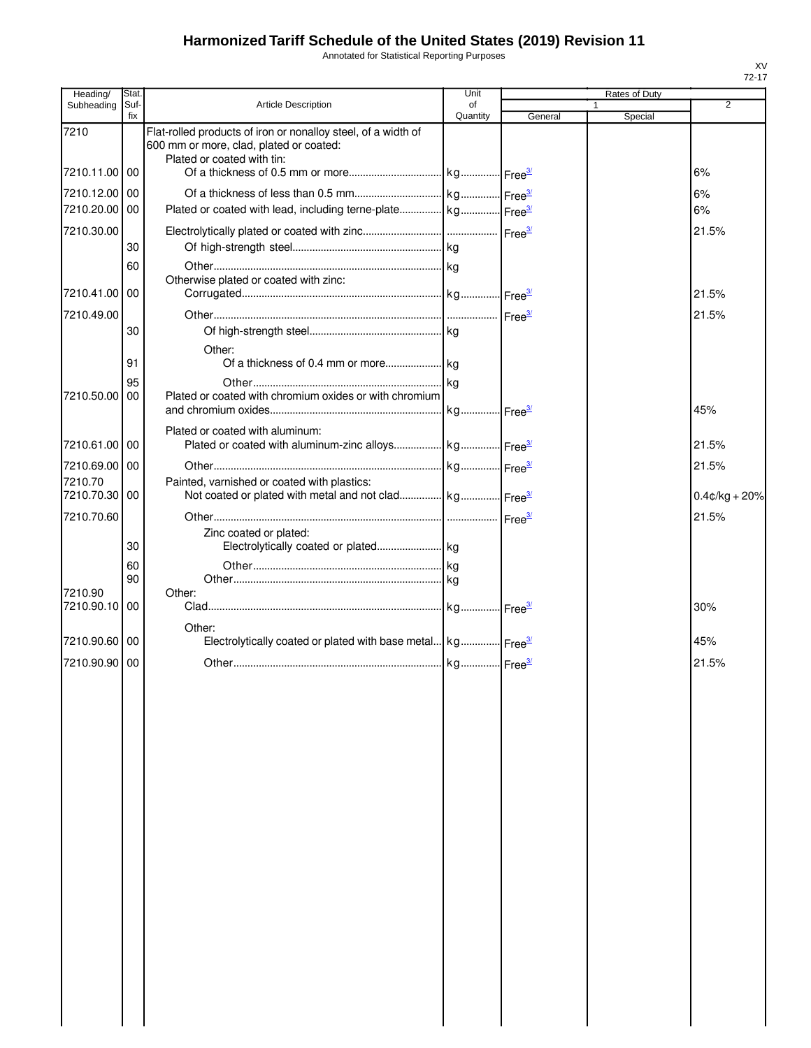Annotated for Statistical Reporting Purposes

| Heading/      | Stat.       |                                                                                                                                        | Unit           |         | Rates of Duty |                  |
|---------------|-------------|----------------------------------------------------------------------------------------------------------------------------------------|----------------|---------|---------------|------------------|
| Subheading    | Suf-<br>fix | <b>Article Description</b>                                                                                                             | of<br>Quantity | General | 1<br>Special  | 2                |
| 7210          |             | Flat-rolled products of iron or nonalloy steel, of a width of<br>600 mm or more, clad, plated or coated:<br>Plated or coated with tin: |                |         |               |                  |
| 7210.11.00 00 |             |                                                                                                                                        |                |         |               | 6%               |
| 7210.12.00 00 |             |                                                                                                                                        |                |         |               | 6%               |
| 7210.20.00 00 |             |                                                                                                                                        |                |         |               | 6%               |
| 7210.30.00    |             |                                                                                                                                        |                |         |               | 21.5%            |
|               | 30          |                                                                                                                                        |                |         |               |                  |
|               | 60          |                                                                                                                                        |                |         |               |                  |
| 7210.41.00 00 |             | Otherwise plated or coated with zinc:                                                                                                  |                |         |               | 21.5%            |
| 7210.49.00    |             |                                                                                                                                        |                |         |               | 21.5%            |
|               | 30          |                                                                                                                                        |                |         |               |                  |
|               |             | Other:                                                                                                                                 |                |         |               |                  |
|               | 91          |                                                                                                                                        |                |         |               |                  |
|               | 95          |                                                                                                                                        |                |         |               |                  |
| 7210.50.00    | 00          | Plated or coated with chromium oxides or with chromium                                                                                 |                |         |               | 45%              |
|               |             |                                                                                                                                        |                |         |               |                  |
| 7210.61.00 00 |             | Plated or coated with aluminum:<br>Plated or coated with aluminum-zinc alloys kg Free <sup>31</sup>                                    |                |         |               | 21.5%            |
| 7210.69.00    | 00          |                                                                                                                                        |                |         |               | 21.5%            |
| 7210.70       |             | Painted, varnished or coated with plastics:                                                                                            |                |         |               |                  |
| 7210.70.30 00 |             | Not coated or plated with metal and not clad kg Free <sup>3/</sup>                                                                     |                |         |               | $0.4$ ¢/kg + 20% |
| 7210.70.60    |             |                                                                                                                                        |                |         |               | 21.5%            |
|               |             | Zinc coated or plated:                                                                                                                 |                |         |               |                  |
|               | 30          |                                                                                                                                        |                |         |               |                  |
|               | 60<br>90    |                                                                                                                                        |                |         |               |                  |
| 7210.90       |             | Other:                                                                                                                                 |                |         |               |                  |
| 7210.90.10    | 00          |                                                                                                                                        |                |         |               | 30%              |
|               |             | Other:                                                                                                                                 |                |         |               |                  |
| 7210.90.60 00 |             | Electrolytically coated or plated with base metal kg Free <sup>34</sup>                                                                |                |         |               | 45%              |
| 7210.90.90 00 |             |                                                                                                                                        |                |         |               | 21.5%            |
|               |             |                                                                                                                                        |                |         |               |                  |
|               |             |                                                                                                                                        |                |         |               |                  |
|               |             |                                                                                                                                        |                |         |               |                  |
|               |             |                                                                                                                                        |                |         |               |                  |
|               |             |                                                                                                                                        |                |         |               |                  |
|               |             |                                                                                                                                        |                |         |               |                  |
|               |             |                                                                                                                                        |                |         |               |                  |
|               |             |                                                                                                                                        |                |         |               |                  |
|               |             |                                                                                                                                        |                |         |               |                  |
|               |             |                                                                                                                                        |                |         |               |                  |
|               |             |                                                                                                                                        |                |         |               |                  |
|               |             |                                                                                                                                        |                |         |               |                  |
|               |             |                                                                                                                                        |                |         |               |                  |
|               |             |                                                                                                                                        |                |         |               |                  |
|               |             |                                                                                                                                        |                |         |               |                  |
|               |             |                                                                                                                                        |                |         |               |                  |
|               |             |                                                                                                                                        |                |         |               |                  |
|               |             |                                                                                                                                        |                |         |               |                  |
|               |             |                                                                                                                                        |                |         |               |                  |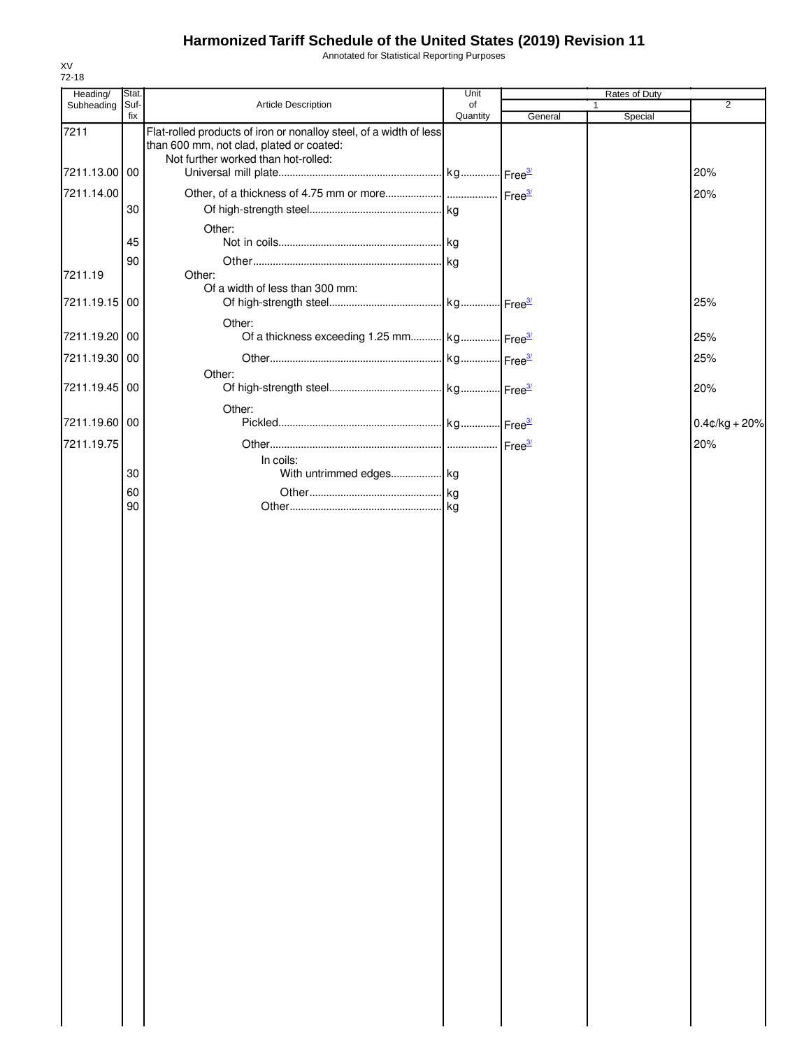Annotated for Statistical Reporting Purposes

| Heading/      | Stat.       |                                                                                                                                                       | Unit           |         | Rates of Duty |                  |
|---------------|-------------|-------------------------------------------------------------------------------------------------------------------------------------------------------|----------------|---------|---------------|------------------|
| Subheading    | Suf-<br>fix | Article Description                                                                                                                                   | of<br>Quantity | General | 1<br>Special  | $\overline{2}$   |
| 7211          |             | Flat-rolled products of iron or nonalloy steel, of a width of less<br>than 600 mm, not clad, plated or coated:<br>Not further worked than hot-rolled: |                |         |               |                  |
| 7211.13.00 00 |             |                                                                                                                                                       |                |         |               | 20%              |
| 7211.14.00    |             |                                                                                                                                                       |                |         |               | 20%              |
|               | 30          |                                                                                                                                                       |                |         |               |                  |
|               |             | Other:                                                                                                                                                |                |         |               |                  |
|               | 45          |                                                                                                                                                       |                |         |               |                  |
| 7211.19       | 90          | Other:                                                                                                                                                |                |         |               |                  |
| 7211.19.15 00 |             | Of a width of less than 300 mm:                                                                                                                       |                |         |               | 25%              |
|               |             | Other:                                                                                                                                                |                |         |               |                  |
| 7211.19.20 00 |             | Of a thickness exceeding 1.25 mm kg Free <sup>3/</sup>                                                                                                |                |         |               | 25%              |
| 7211.19.30    | 00          |                                                                                                                                                       |                |         |               | 25%              |
| 7211.19.45 00 |             | Other:                                                                                                                                                |                |         |               | 20%              |
|               |             | Other:                                                                                                                                                |                |         |               |                  |
| 7211.19.60    | 00          |                                                                                                                                                       |                |         |               | $0.4$ ¢/kg + 20% |
| 7211.19.75    |             | In coils:                                                                                                                                             |                |         |               | 20%              |
|               | 30          | With untrimmed edges kg                                                                                                                               |                |         |               |                  |
|               | 60          |                                                                                                                                                       |                |         |               |                  |
|               | 90          |                                                                                                                                                       |                |         |               |                  |
|               |             |                                                                                                                                                       |                |         |               |                  |
|               |             |                                                                                                                                                       |                |         |               |                  |
|               |             |                                                                                                                                                       |                |         |               |                  |
|               |             |                                                                                                                                                       |                |         |               |                  |
|               |             |                                                                                                                                                       |                |         |               |                  |
|               |             |                                                                                                                                                       |                |         |               |                  |
|               |             |                                                                                                                                                       |                |         |               |                  |
|               |             |                                                                                                                                                       |                |         |               |                  |
|               |             |                                                                                                                                                       |                |         |               |                  |
|               |             |                                                                                                                                                       |                |         |               |                  |
|               |             |                                                                                                                                                       |                |         |               |                  |
|               |             |                                                                                                                                                       |                |         |               |                  |
|               |             |                                                                                                                                                       |                |         |               |                  |
|               |             |                                                                                                                                                       |                |         |               |                  |
|               |             |                                                                                                                                                       |                |         |               |                  |
|               |             |                                                                                                                                                       |                |         |               |                  |
|               |             |                                                                                                                                                       |                |         |               |                  |
|               |             |                                                                                                                                                       |                |         |               |                  |
|               |             |                                                                                                                                                       |                |         |               |                  |
|               |             |                                                                                                                                                       |                |         |               |                  |
|               |             |                                                                                                                                                       |                |         |               |                  |
|               |             |                                                                                                                                                       |                |         |               |                  |
|               |             |                                                                                                                                                       |                |         |               |                  |
|               |             |                                                                                                                                                       |                |         |               |                  |
|               |             |                                                                                                                                                       |                |         |               |                  |
|               |             |                                                                                                                                                       |                |         |               |                  |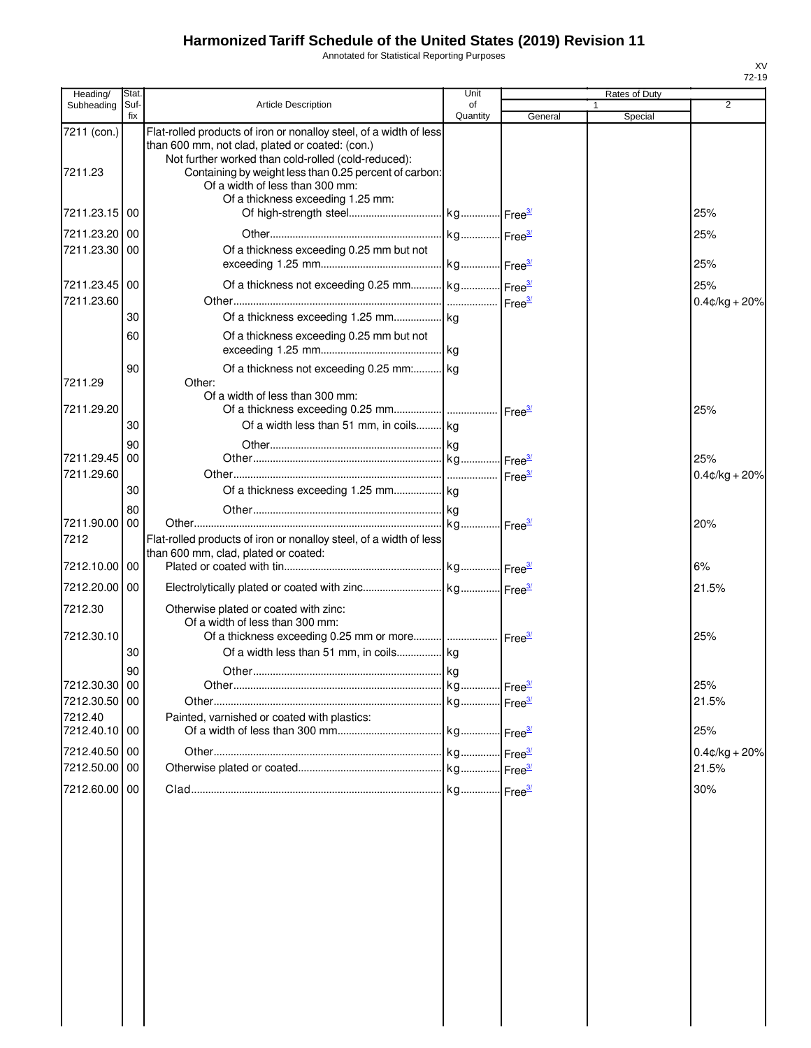Annotated for Statistical Reporting Purposes

| Heading/                 | Stat        |                                                                                                                                                                                                                                        | Unit           |                    | Rates of Duty |                  |
|--------------------------|-------------|----------------------------------------------------------------------------------------------------------------------------------------------------------------------------------------------------------------------------------------|----------------|--------------------|---------------|------------------|
| Subheading               | Suf-<br>fix | <b>Article Description</b>                                                                                                                                                                                                             | of<br>Quantity | General            | 1<br>Special  | 2                |
| 7211 (con.)<br>7211.23   |             | Flat-rolled products of iron or nonalloy steel, of a width of less<br>than 600 mm, not clad, plated or coated: (con.)<br>Not further worked than cold-rolled (cold-reduced):<br>Containing by weight less than 0.25 percent of carbon: |                |                    |               |                  |
|                          |             | Of a width of less than 300 mm:<br>Of a thickness exceeding 1.25 mm:                                                                                                                                                                   |                |                    |               |                  |
| 7211.23.15 00            |             |                                                                                                                                                                                                                                        |                |                    |               | 25%              |
| 7211.23.20 00            |             |                                                                                                                                                                                                                                        |                |                    |               | 25%              |
| 7211.23.30 00            |             | Of a thickness exceeding 0.25 mm but not                                                                                                                                                                                               |                |                    |               | 25%              |
| 7211.23.45 00            |             | Of a thickness not exceeding 0.25 mm kg Free <sup>3/</sup>                                                                                                                                                                             |                |                    |               | 25%              |
| 7211.23.60               | 30          |                                                                                                                                                                                                                                        |                |                    |               | $0.4$ ¢/kg + 20% |
|                          | 60          | Of a thickness exceeding 0.25 mm but not                                                                                                                                                                                               |                |                    |               |                  |
|                          | 90          | Of a thickness not exceeding 0.25 mm: kg                                                                                                                                                                                               |                |                    |               |                  |
| 7211.29                  |             | Other:<br>Of a width of less than 300 mm:                                                                                                                                                                                              |                |                    |               |                  |
| 7211.29.20               |             |                                                                                                                                                                                                                                        |                |                    |               | 25%              |
|                          | 30          | Of a width less than 51 mm, in coils kg                                                                                                                                                                                                |                |                    |               |                  |
| 7211.29.45 00            | 90          |                                                                                                                                                                                                                                        |                |                    |               | 25%              |
| 7211.29.60               |             |                                                                                                                                                                                                                                        |                | Free <sup>3/</sup> |               | $0.4$ ¢/kg + 20% |
|                          | 30          |                                                                                                                                                                                                                                        |                |                    |               |                  |
|                          | 80          |                                                                                                                                                                                                                                        |                |                    |               |                  |
| 7211.90.00 00            |             |                                                                                                                                                                                                                                        |                |                    |               | 20%              |
| 7212                     |             | Flat-rolled products of iron or nonalloy steel, of a width of less<br>than 600 mm, clad, plated or coated:                                                                                                                             |                |                    |               |                  |
| 7212.10.00 00            |             |                                                                                                                                                                                                                                        |                |                    |               | 6%               |
| 7212.20.00 00            |             |                                                                                                                                                                                                                                        |                |                    |               | 21.5%            |
| 7212.30                  |             | Otherwise plated or coated with zinc:<br>Of a width of less than 300 mm:                                                                                                                                                               |                |                    |               |                  |
| 7212.30.10               | 30          | Of a width less than 51 mm, in coils kg                                                                                                                                                                                                |                |                    |               | 25%              |
|                          | 90          |                                                                                                                                                                                                                                        |                |                    |               |                  |
| 7212.30.30 00            |             |                                                                                                                                                                                                                                        |                |                    |               | 25%              |
| 7212.30.50 00            |             |                                                                                                                                                                                                                                        |                |                    |               | 21.5%            |
| 7212.40<br>7212.40.10 00 |             | Painted, varnished or coated with plastics:                                                                                                                                                                                            |                |                    |               | 25%              |
| 7212.40.50 00            |             |                                                                                                                                                                                                                                        |                |                    |               | $0.4$ ¢/kg + 20% |
| 7212.50.00 00            |             |                                                                                                                                                                                                                                        |                |                    |               | 21.5%            |
| 7212.60.00 00            |             |                                                                                                                                                                                                                                        |                |                    |               | 30%              |
|                          |             |                                                                                                                                                                                                                                        |                |                    |               |                  |
|                          |             |                                                                                                                                                                                                                                        |                |                    |               |                  |
|                          |             |                                                                                                                                                                                                                                        |                |                    |               |                  |
|                          |             |                                                                                                                                                                                                                                        |                |                    |               |                  |
|                          |             |                                                                                                                                                                                                                                        |                |                    |               |                  |
|                          |             |                                                                                                                                                                                                                                        |                |                    |               |                  |
|                          |             |                                                                                                                                                                                                                                        |                |                    |               |                  |
|                          |             |                                                                                                                                                                                                                                        |                |                    |               |                  |
|                          |             |                                                                                                                                                                                                                                        |                |                    |               |                  |
|                          |             |                                                                                                                                                                                                                                        |                |                    |               |                  |
|                          |             |                                                                                                                                                                                                                                        |                |                    |               |                  |
|                          |             |                                                                                                                                                                                                                                        |                |                    |               |                  |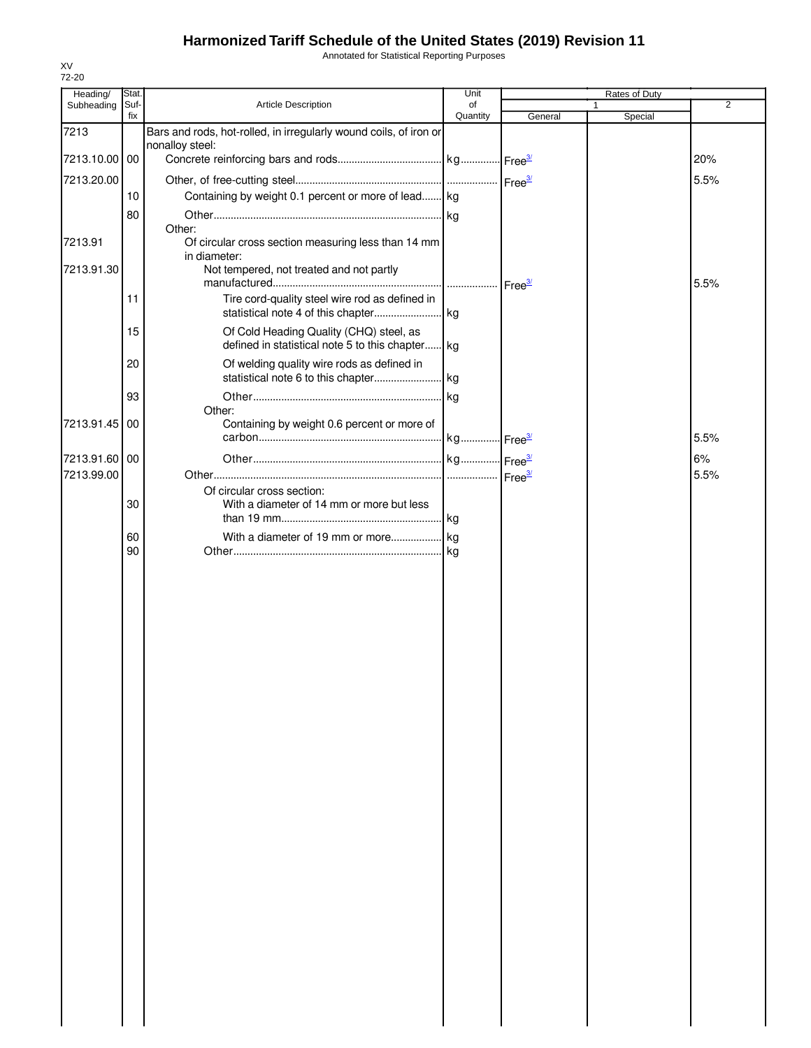Annotated for Statistical Reporting Purposes

| Heading/      | Stat.       |                                                                         | Unit           |                    | Rates of Duty |                |
|---------------|-------------|-------------------------------------------------------------------------|----------------|--------------------|---------------|----------------|
| Subheading    | Suf-<br>fix | <b>Article Description</b>                                              | of<br>Quantity | General            | 1<br>Special  | $\overline{2}$ |
| 7213          |             | Bars and rods, hot-rolled, in irregularly wound coils, of iron or       |                |                    |               |                |
|               |             | nonalloy steel:                                                         |                |                    |               |                |
| 7213.10.00 00 |             |                                                                         |                |                    |               | 20%            |
| 7213.20.00    |             |                                                                         |                | Free <sup>3/</sup> |               | 5.5%           |
|               | 10          | Containing by weight 0.1 percent or more of lead kg                     |                |                    |               |                |
|               | 80          | Other:                                                                  |                |                    |               |                |
| 7213.91       |             | Of circular cross section measuring less than 14 mm                     |                |                    |               |                |
| 7213.91.30    |             | in diameter:<br>Not tempered, not treated and not partly                |                |                    |               |                |
|               |             |                                                                         | .              | Free <sup>3/</sup> |               | 5.5%           |
|               | 11          | Tire cord-quality steel wire rod as defined in                          |                |                    |               |                |
|               | 15          | Of Cold Heading Quality (CHQ) steel, as                                 |                |                    |               |                |
|               |             | defined in statistical note 5 to this chapter kg                        |                |                    |               |                |
|               | 20          | Of welding quality wire rods as defined in                              |                |                    |               |                |
|               |             |                                                                         |                |                    |               |                |
|               | 93          | Other:                                                                  | . kg           |                    |               |                |
| 7213.91.45    | 00          | Containing by weight 0.6 percent or more of                             |                |                    |               |                |
|               |             |                                                                         |                |                    |               | 5.5%           |
| 7213.91.60 00 |             |                                                                         |                |                    |               | 6%             |
| 7213.99.00    |             |                                                                         |                | Free <sup>3/</sup> |               | 5.5%           |
|               | 30          | Of circular cross section:<br>With a diameter of 14 mm or more but less |                |                    |               |                |
|               | 60          |                                                                         |                |                    |               |                |
|               | 90          |                                                                         |                |                    |               |                |
|               |             |                                                                         |                |                    |               |                |
|               |             |                                                                         |                |                    |               |                |
|               |             |                                                                         |                |                    |               |                |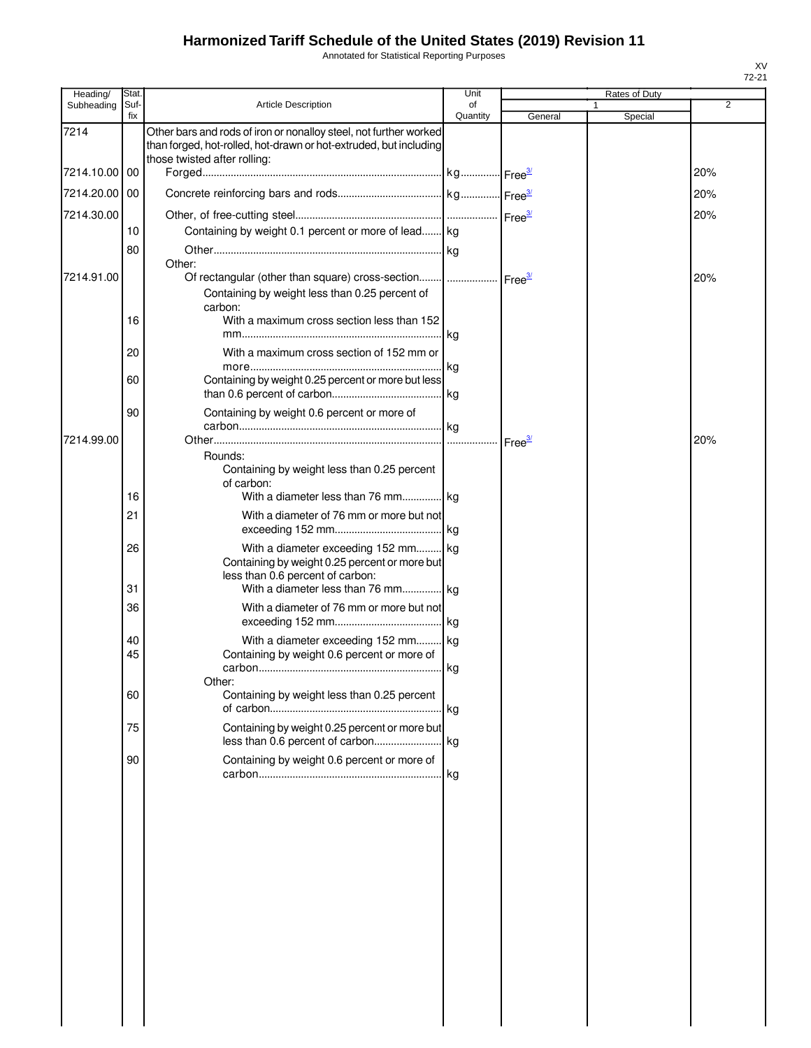Annotated for Statistical Reporting Purposes

| Heading/<br>Subheading | Stat.<br>Suf- | <b>Article Description</b>                                                                                                                                             | Unit<br>of |         | Rates of Duty | 2   |
|------------------------|---------------|------------------------------------------------------------------------------------------------------------------------------------------------------------------------|------------|---------|---------------|-----|
|                        | fix           |                                                                                                                                                                        | Quantity   | General | Special       |     |
| 7214                   |               | Other bars and rods of iron or nonalloy steel, not further worked<br>than forged, hot-rolled, hot-drawn or hot-extruded, but including<br>those twisted after rolling: |            |         |               |     |
| 7214.10.00 00          |               |                                                                                                                                                                        |            |         |               | 20% |
| 7214.20.00 00          |               |                                                                                                                                                                        |            |         |               | 20% |
|                        |               |                                                                                                                                                                        |            |         |               |     |
| 7214.30.00             |               |                                                                                                                                                                        |            |         |               | 20% |
|                        | 10            | Containing by weight 0.1 percent or more of lead kg                                                                                                                    |            |         |               |     |
|                        | 80            | Other:                                                                                                                                                                 |            |         |               |     |
| 7214.91.00             |               | Of rectangular (other than square) cross-section    Free <sup>3/</sup>                                                                                                 |            |         |               | 20% |
|                        | 16            | Containing by weight less than 0.25 percent of<br>carbon:<br>With a maximum cross section less than 152                                                                |            |         |               |     |
|                        |               |                                                                                                                                                                        |            |         |               |     |
|                        | 20            | With a maximum cross section of 152 mm or                                                                                                                              |            |         |               |     |
|                        |               |                                                                                                                                                                        |            |         |               |     |
|                        | 60            | Containing by weight 0.25 percent or more but less                                                                                                                     |            |         |               |     |
|                        | 90            | Containing by weight 0.6 percent or more of                                                                                                                            |            |         |               |     |
| 7214.99.00             |               |                                                                                                                                                                        |            |         |               | 20% |
|                        | 16            | Rounds:<br>Containing by weight less than 0.25 percent<br>of carbon:<br>With a diameter less than 76 mm kg                                                             |            |         |               |     |
|                        | 21            | With a diameter of 76 mm or more but not                                                                                                                               |            |         |               |     |
|                        |               |                                                                                                                                                                        |            |         |               |     |
|                        | 26            | With a diameter exceeding 152 mm kg<br>Containing by weight 0.25 percent or more but<br>less than 0.6 percent of carbon:                                               |            |         |               |     |
|                        | 31            | With a diameter less than 76 mm kg                                                                                                                                     |            |         |               |     |
|                        | 36            | With a diameter of 76 mm or more but not                                                                                                                               |            |         |               |     |
|                        | 40            | With a diameter exceeding 152 mm kg                                                                                                                                    |            |         |               |     |
|                        | 45            | Containing by weight 0.6 percent or more of                                                                                                                            |            |         |               |     |
|                        | 60            | Other:                                                                                                                                                                 |            |         |               |     |
|                        |               | Containing by weight less than 0.25 percent                                                                                                                            |            |         |               |     |
|                        | 75            | Containing by weight 0.25 percent or more but                                                                                                                          |            |         |               |     |
|                        |               |                                                                                                                                                                        |            |         |               |     |
|                        | 90            | Containing by weight 0.6 percent or more of                                                                                                                            |            |         |               |     |
|                        |               |                                                                                                                                                                        | l kg       |         |               |     |
|                        |               |                                                                                                                                                                        |            |         |               |     |
|                        |               |                                                                                                                                                                        |            |         |               |     |
|                        |               |                                                                                                                                                                        |            |         |               |     |
|                        |               |                                                                                                                                                                        |            |         |               |     |
|                        |               |                                                                                                                                                                        |            |         |               |     |
|                        |               |                                                                                                                                                                        |            |         |               |     |
|                        |               |                                                                                                                                                                        |            |         |               |     |
|                        |               |                                                                                                                                                                        |            |         |               |     |
|                        |               |                                                                                                                                                                        |            |         |               |     |
|                        |               |                                                                                                                                                                        |            |         |               |     |
|                        |               |                                                                                                                                                                        |            |         |               |     |
|                        |               |                                                                                                                                                                        |            |         |               |     |
|                        |               |                                                                                                                                                                        |            |         |               |     |
|                        |               |                                                                                                                                                                        |            |         |               |     |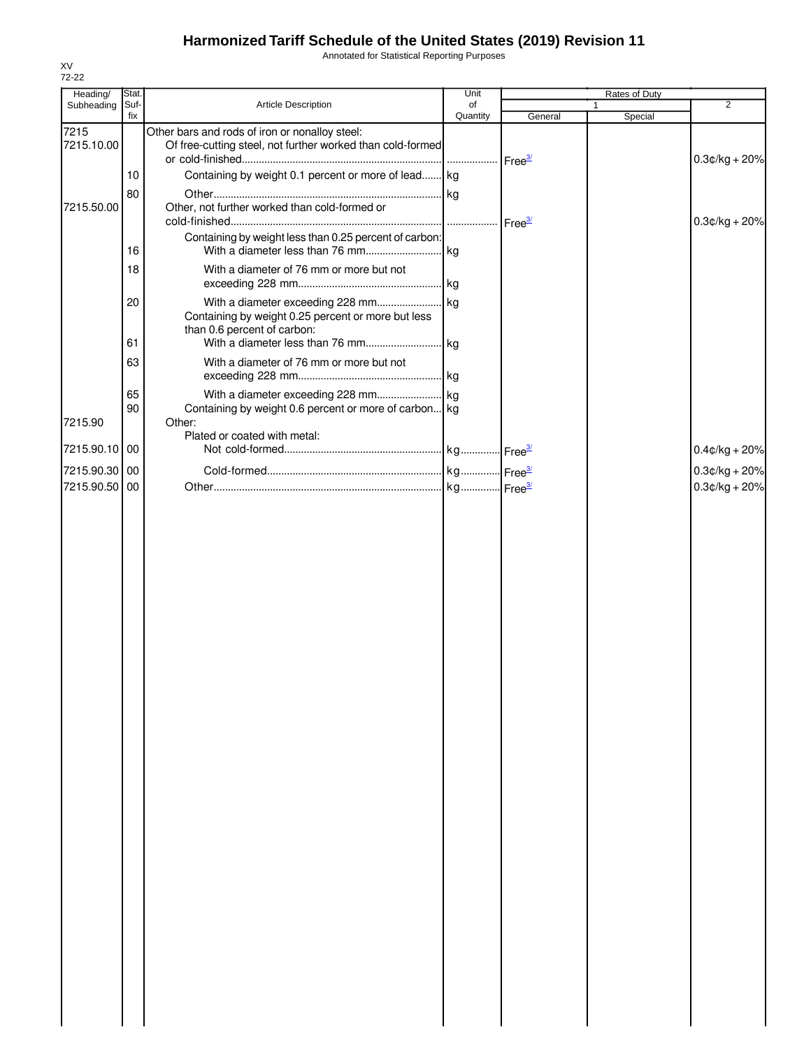Annotated for Statistical Reporting Purposes

| Heading/           | Stat.       |                                                                                                              | Unit           |         | Rates of Duty |                  |
|--------------------|-------------|--------------------------------------------------------------------------------------------------------------|----------------|---------|---------------|------------------|
| Subheading         | Suf-<br>fix | Article Description                                                                                          | of<br>Quantity | General | 1<br>Special  | $\overline{2}$   |
| 7215<br>7215.10.00 |             | Other bars and rods of iron or nonalloy steel:<br>Of free-cutting steel, not further worked than cold-formed |                |         |               | $0.3$ ¢/kg + 20% |
|                    | 10          | Containing by weight 0.1 percent or more of lead kg                                                          |                |         |               |                  |
| 7215.50.00         | 80          | Other, not further worked than cold-formed or                                                                |                |         |               | $0.3$ ¢/kg + 20% |
|                    | 16          | Containing by weight less than 0.25 percent of carbon:                                                       |                |         |               |                  |
|                    | 18          | With a diameter of 76 mm or more but not                                                                     |                |         |               |                  |
|                    | 20          | Containing by weight 0.25 percent or more but less<br>than 0.6 percent of carbon:                            |                |         |               |                  |
|                    | 61          |                                                                                                              |                |         |               |                  |
|                    | 63          | With a diameter of 76 mm or more but not                                                                     |                |         |               |                  |
|                    | 65<br>90    | Containing by weight 0.6 percent or more of carbon kg                                                        |                |         |               |                  |
| 7215.90            |             | Other:<br>Plated or coated with metal:                                                                       |                |         |               |                  |
| 7215.90.10 00      |             |                                                                                                              |                |         |               | $0.4$ ¢/kg + 20% |
| 7215.90.30 00      |             |                                                                                                              |                |         |               | $0.3$ ¢/kg + 20% |
| 7215.90.50 00      |             |                                                                                                              |                |         |               | $0.3$ ¢/kg + 20% |
|                    |             |                                                                                                              |                |         |               |                  |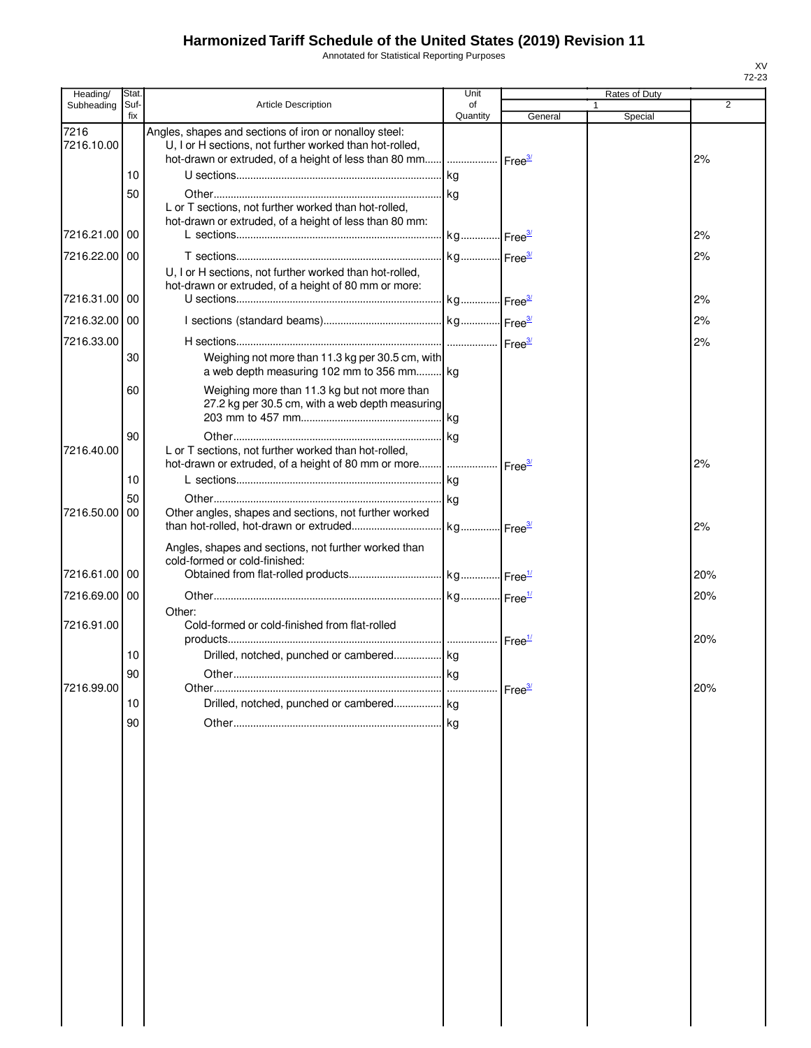Annotated for Statistical Reporting Purposes

| Heading/           | Stat.       |                                                                                                                                                                                                | Unit           |                    | Rates of Duty |     |
|--------------------|-------------|------------------------------------------------------------------------------------------------------------------------------------------------------------------------------------------------|----------------|--------------------|---------------|-----|
| Subheading         | Suf-<br>fix | <b>Article Description</b>                                                                                                                                                                     | of<br>Quantity | General            | Special       | 2   |
| 7216<br>7216.10.00 |             | Angles, shapes and sections of iron or nonalloy steel:<br>U, I or H sections, not further worked than hot-rolled,<br>hot-drawn or extruded, of a height of less than 80 mm  Free <sup>37</sup> |                |                    |               | 2%  |
|                    | 10          |                                                                                                                                                                                                | kg             |                    |               |     |
|                    | 50          |                                                                                                                                                                                                |                |                    |               |     |
|                    |             | L or T sections, not further worked than hot-rolled,                                                                                                                                           |                |                    |               |     |
| 7216.21.00         | 00          | hot-drawn or extruded, of a height of less than 80 mm:                                                                                                                                         |                |                    |               | 2%  |
|                    |             |                                                                                                                                                                                                |                |                    |               |     |
| 7216.22.00 00      |             | U, I or H sections, not further worked than hot-rolled,<br>hot-drawn or extruded, of a height of 80 mm or more:                                                                                |                |                    |               | 2%  |
| 7216.31.00 00      |             |                                                                                                                                                                                                |                |                    |               | 2%  |
| 7216.32.00         | 00          |                                                                                                                                                                                                |                |                    |               | 2%  |
|                    |             |                                                                                                                                                                                                |                |                    |               |     |
| 7216.33.00         | 30          | Weighing not more than 11.3 kg per 30.5 cm, with<br>a web depth measuring 102 mm to 356 mm kg                                                                                                  |                |                    |               | 2%  |
|                    | 60          | Weighing more than 11.3 kg but not more than<br>27.2 kg per 30.5 cm, with a web depth measuring                                                                                                |                |                    |               |     |
|                    | 90          |                                                                                                                                                                                                |                |                    |               |     |
| 7216.40.00         |             | L or T sections, not further worked than hot-rolled,                                                                                                                                           |                |                    |               |     |
|                    |             | hot-drawn or extruded, of a height of 80 mm or more                                                                                                                                            |                | Free <sup>3/</sup> |               | 2%  |
|                    | 10          |                                                                                                                                                                                                | kg             |                    |               |     |
|                    | 50          |                                                                                                                                                                                                |                |                    |               |     |
| 7216.50.00         | 00          | Other angles, shapes and sections, not further worked                                                                                                                                          |                |                    |               |     |
|                    |             |                                                                                                                                                                                                |                |                    |               | 2%  |
| 7216.61.00         | 00          | Angles, shapes and sections, not further worked than<br>cold-formed or cold-finished:                                                                                                          |                |                    |               | 20% |
|                    |             |                                                                                                                                                                                                |                |                    |               |     |
| 7216.69.00 00      |             | Other:                                                                                                                                                                                         |                |                    |               | 20% |
| 7216.91.00         |             | Cold-formed or cold-finished from flat-rolled                                                                                                                                                  |                |                    |               | 20% |
|                    | 10          |                                                                                                                                                                                                |                |                    |               |     |
|                    | ۹N          | Other.                                                                                                                                                                                         | kg             |                    |               |     |
| 7216.99.00         |             |                                                                                                                                                                                                |                | Free <sup>3/</sup> |               | 20% |
|                    | 10          | Drilled, notched, punched or cambered kg                                                                                                                                                       |                |                    |               |     |
|                    | 90          |                                                                                                                                                                                                |                |                    |               |     |
|                    |             |                                                                                                                                                                                                |                |                    |               |     |
|                    |             |                                                                                                                                                                                                |                |                    |               |     |
|                    |             |                                                                                                                                                                                                |                |                    |               |     |
|                    |             |                                                                                                                                                                                                |                |                    |               |     |
|                    |             |                                                                                                                                                                                                |                |                    |               |     |
|                    |             |                                                                                                                                                                                                |                |                    |               |     |
|                    |             |                                                                                                                                                                                                |                |                    |               |     |
|                    |             |                                                                                                                                                                                                |                |                    |               |     |
|                    |             |                                                                                                                                                                                                |                |                    |               |     |
|                    |             |                                                                                                                                                                                                |                |                    |               |     |
|                    |             |                                                                                                                                                                                                |                |                    |               |     |
|                    |             |                                                                                                                                                                                                |                |                    |               |     |
|                    |             |                                                                                                                                                                                                |                |                    |               |     |
|                    |             |                                                                                                                                                                                                |                |                    |               |     |
|                    |             |                                                                                                                                                                                                |                |                    |               |     |
|                    |             |                                                                                                                                                                                                |                |                    |               |     |
|                    |             |                                                                                                                                                                                                |                |                    |               |     |
|                    |             |                                                                                                                                                                                                |                |                    |               |     |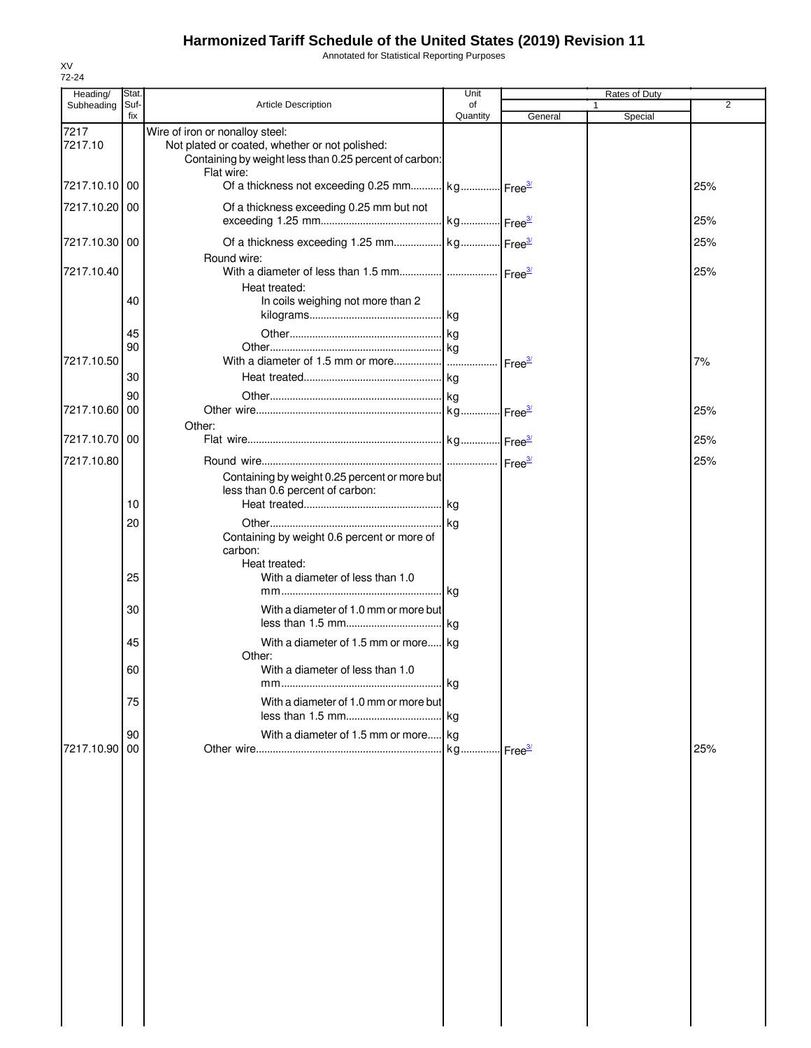Annotated for Statistical Reporting Purposes

| Heading/        | Stat.       |                                                                                                                                                           | Unit           |         | Rates of Duty |                |
|-----------------|-------------|-----------------------------------------------------------------------------------------------------------------------------------------------------------|----------------|---------|---------------|----------------|
| Subheading      | Suf-<br>fix | <b>Article Description</b>                                                                                                                                | of<br>Quantity | General | 1<br>Special  | $\overline{2}$ |
| 7217<br>7217.10 |             | Wire of iron or nonalloy steel:<br>Not plated or coated, whether or not polished:<br>Containing by weight less than 0.25 percent of carbon:<br>Flat wire: |                |         |               |                |
| 7217.10.10 00   |             | Of a thickness not exceeding 0.25 mm kg Free <sup>3/</sup>                                                                                                |                |         |               | 25%            |
| 7217.10.20 00   |             | Of a thickness exceeding 0.25 mm but not                                                                                                                  |                |         |               | 25%            |
| 7217.10.30 00   |             | Round wire:                                                                                                                                               |                |         |               | 25%            |
| 7217.10.40      |             | Heat treated:                                                                                                                                             |                |         |               | 25%            |
|                 | 40          | In coils weighing not more than 2                                                                                                                         |                |         |               |                |
| 7217.10.50      | 45<br>90    |                                                                                                                                                           |                |         |               | 7%             |
|                 | 30          |                                                                                                                                                           |                |         |               |                |
|                 | 90          |                                                                                                                                                           |                |         |               |                |
| 7217.10.60      | 00          | Other:                                                                                                                                                    |                |         |               | 25%            |
| 7217.10.70 00   |             |                                                                                                                                                           |                |         |               | 25%            |
| 7217.10.80      |             | Containing by weight 0.25 percent or more but                                                                                                             |                |         |               | 25%            |
|                 | 10          | less than 0.6 percent of carbon:                                                                                                                          |                |         |               |                |
|                 | 20          |                                                                                                                                                           |                |         |               |                |
|                 |             | Containing by weight 0.6 percent or more of<br>carbon:<br>Heat treated:                                                                                   |                |         |               |                |
|                 | 25          | With a diameter of less than 1.0                                                                                                                          |                |         |               |                |
|                 | 30          | With a diameter of 1.0 mm or more but                                                                                                                     |                |         |               |                |
|                 | 45          | With a diameter of 1.5 mm or more kg                                                                                                                      |                |         |               |                |
|                 | 60          | Other:<br>With a diameter of less than 1.0                                                                                                                |                |         |               |                |
|                 | 75          | With a diameter of 1.0 mm or more but                                                                                                                     |                |         |               |                |
|                 |             | With a diameter of 1.5 mm or more kg                                                                                                                      |                |         |               |                |
| 7217.10.90 00   | 90          |                                                                                                                                                           |                |         |               | 25%            |
|                 |             |                                                                                                                                                           |                |         |               |                |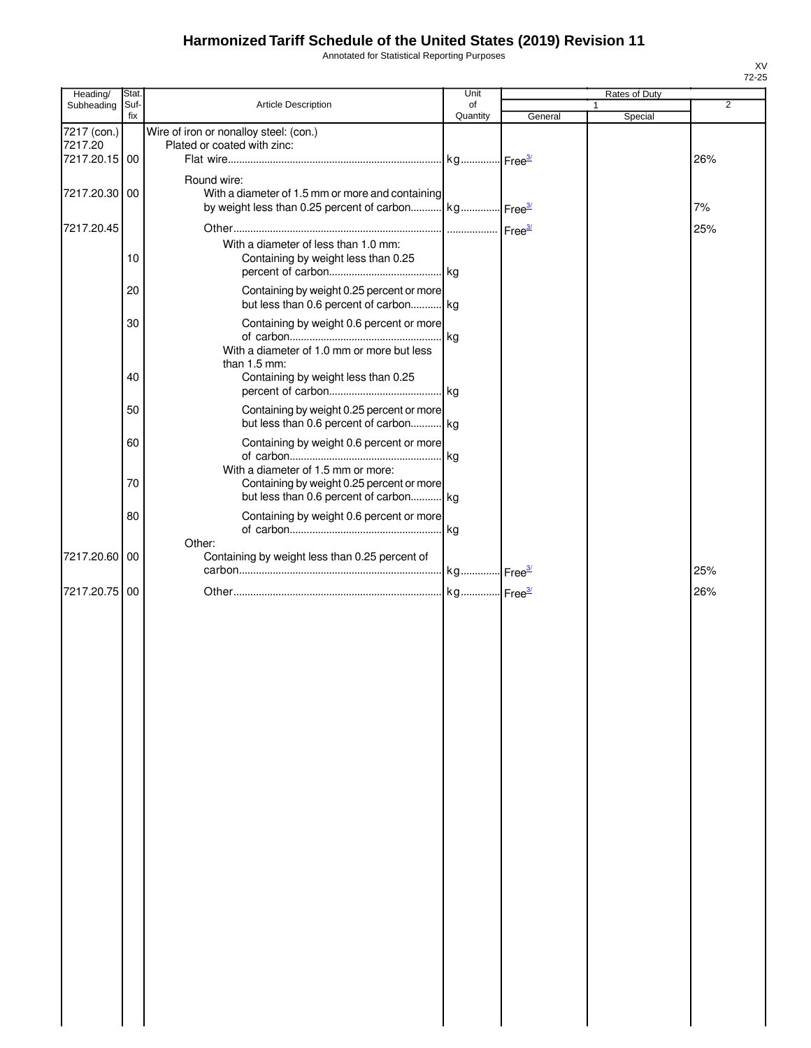Annotated for Statistical Reporting Purposes

| Heading/               | Stat. |                                                                                                                                     | Unit                  |         | Rates of Duty |                |
|------------------------|-------|-------------------------------------------------------------------------------------------------------------------------------------|-----------------------|---------|---------------|----------------|
| Subheading             | Suf-  | Article Description                                                                                                                 | of                    |         |               | $\overline{2}$ |
| 7217 (con.)<br>7217.20 | fix   | Wire of iron or nonalloy steel: (con.)<br>Plated or coated with zinc:                                                               | Quantity              | General | Special       |                |
| 7217.20.15 00          |       |                                                                                                                                     |                       |         |               | 26%            |
|                        |       |                                                                                                                                     |                       |         |               |                |
| 7217.20.30 00          |       | Round wire:<br>With a diameter of 1.5 mm or more and containing<br>by weight less than 0.25 percent of carbon kg Free <sup>3/</sup> |                       |         |               | 7%             |
|                        |       |                                                                                                                                     |                       |         |               |                |
| 7217.20.45             |       |                                                                                                                                     |                       |         |               | 25%            |
|                        | 10    | With a diameter of less than 1.0 mm:<br>Containing by weight less than 0.25                                                         |                       |         |               |                |
|                        | 20    | Containing by weight 0.25 percent or more<br>but less than 0.6 percent of carbon kg                                                 |                       |         |               |                |
|                        | 30    | Containing by weight 0.6 percent or more                                                                                            |                       |         |               |                |
|                        |       | With a diameter of 1.0 mm or more but less<br>than 1.5 mm:                                                                          | kg                    |         |               |                |
|                        | 40    | Containing by weight less than 0.25                                                                                                 |                       |         |               |                |
|                        | 50    | Containing by weight 0.25 percent or more<br>but less than 0.6 percent of carbon kg                                                 |                       |         |               |                |
|                        | 60    | Containing by weight 0.6 percent or more                                                                                            | . kg                  |         |               |                |
|                        | 70    | With a diameter of 1.5 mm or more:<br>Containing by weight 0.25 percent or more<br>but less than 0.6 percent of carbon kg           |                       |         |               |                |
|                        | 80    | Containing by weight 0.6 percent or more                                                                                            | . kg                  |         |               |                |
| 7217.20.60             | 00    | Other:<br>Containing by weight less than 0.25 percent of                                                                            |                       |         |               | 25%            |
|                        |       |                                                                                                                                     | kg Free <sup>3/</sup> |         |               |                |
| 7217.20.75             | 00    |                                                                                                                                     |                       |         |               | 26%            |
|                        |       |                                                                                                                                     |                       |         |               |                |
|                        |       |                                                                                                                                     |                       |         |               |                |
|                        |       |                                                                                                                                     |                       |         |               |                |
|                        |       |                                                                                                                                     |                       |         |               |                |
|                        |       |                                                                                                                                     |                       |         |               |                |
|                        |       |                                                                                                                                     |                       |         |               |                |
|                        |       |                                                                                                                                     |                       |         |               |                |
|                        |       |                                                                                                                                     |                       |         |               |                |
|                        |       |                                                                                                                                     |                       |         |               |                |
|                        |       |                                                                                                                                     |                       |         |               |                |
|                        |       |                                                                                                                                     |                       |         |               |                |
|                        |       |                                                                                                                                     |                       |         |               |                |
|                        |       |                                                                                                                                     |                       |         |               |                |
|                        |       |                                                                                                                                     |                       |         |               |                |
|                        |       |                                                                                                                                     |                       |         |               |                |
|                        |       |                                                                                                                                     |                       |         |               |                |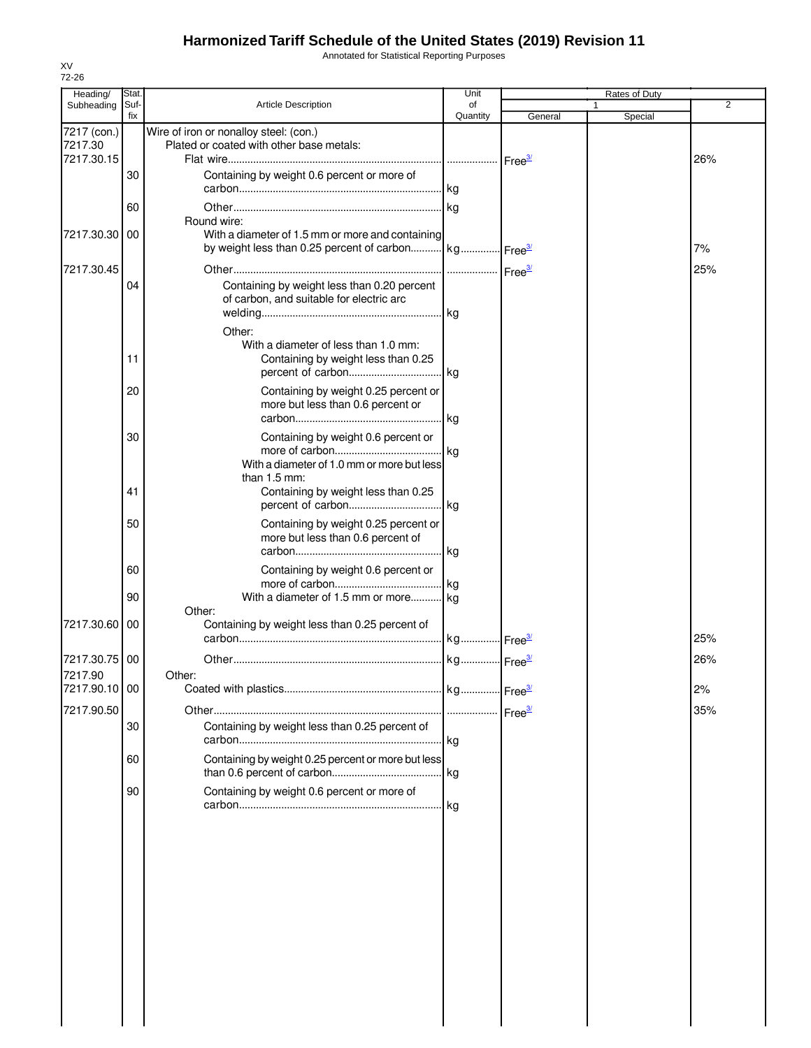Annotated for Statistical Reporting Purposes

| Heading/                 | Stat.       |                                                                                                                                     | Unit           |                                 | Rates of Duty           |     |
|--------------------------|-------------|-------------------------------------------------------------------------------------------------------------------------------------|----------------|---------------------------------|-------------------------|-----|
| Subheading               | Suf-<br>fix | <b>Article Description</b>                                                                                                          | of<br>Quantity | General                         | $\mathbf{1}$<br>Special | 2   |
| 7217 (con.)<br>7217.30   |             | Wire of iron or nonalloy steel: (con.)<br>Plated or coated with other base metals:                                                  |                |                                 |                         |     |
| 7217.30.15               |             |                                                                                                                                     |                | ⊶ Free <del><sup>3</sup>″</del> |                         | 26% |
|                          | 30          | Containing by weight 0.6 percent or more of                                                                                         |                |                                 |                         |     |
|                          | 60          |                                                                                                                                     |                |                                 |                         |     |
| 7217.30.30               | 00          | Round wire:<br>With a diameter of 1.5 mm or more and containing<br>by weight less than 0.25 percent of carbon kg Free <sup>3/</sup> |                |                                 |                         | 7%  |
|                          |             |                                                                                                                                     |                |                                 |                         |     |
| 7217.30.45               | 04          | Containing by weight less than 0.20 percent<br>of carbon, and suitable for electric arc                                             |                |                                 |                         | 25% |
|                          |             | Other:                                                                                                                              |                |                                 |                         |     |
|                          | 11          | With a diameter of less than 1.0 mm:<br>Containing by weight less than 0.25                                                         |                |                                 |                         |     |
|                          | 20          | Containing by weight 0.25 percent or<br>more but less than 0.6 percent or                                                           | .lkg           |                                 |                         |     |
|                          | 30          | Containing by weight 0.6 percent or<br>With a diameter of 1.0 mm or more but less                                                   |                |                                 |                         |     |
|                          | 41          | than 1.5 mm:<br>Containing by weight less than 0.25                                                                                 |                |                                 |                         |     |
|                          | 50          | Containing by weight 0.25 percent or<br>more but less than 0.6 percent of                                                           | kg             |                                 |                         |     |
|                          | 60          | Containing by weight 0.6 percent or                                                                                                 |                |                                 |                         |     |
|                          | 90          | With a diameter of 1.5 mm or more kg<br>Other:                                                                                      |                |                                 |                         |     |
| 7217.30.60               | 00          | Containing by weight less than 0.25 percent of                                                                                      |                |                                 |                         | 25% |
| 7217.30.75               | 00          |                                                                                                                                     |                |                                 |                         | 26% |
| 7217.90<br>7217.90.10 00 |             | Other:                                                                                                                              |                |                                 |                         | 2%  |
| 7217.90.50               |             |                                                                                                                                     |                |                                 |                         | 35% |
|                          | 30          | Containing by weight less than 0.25 percent of                                                                                      |                |                                 |                         |     |
|                          | 60          | Containing by weight 0.25 percent or more but less                                                                                  |                |                                 |                         |     |
|                          | 90          | Containing by weight 0.6 percent or more of                                                                                         | kg             |                                 |                         |     |
|                          |             |                                                                                                                                     |                |                                 |                         |     |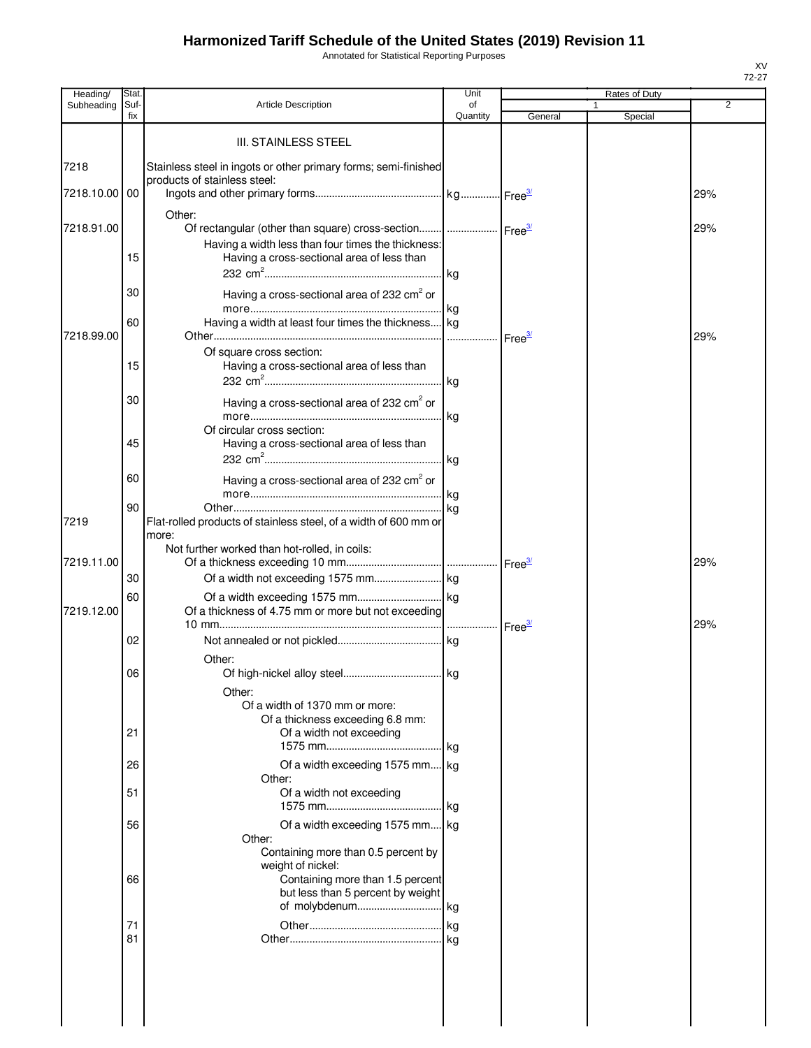Annotated for Statistical Reporting Purposes

| Heading/   | Stat.       |                                                                                  | Unit           |         | Rates of Duty |     |
|------------|-------------|----------------------------------------------------------------------------------|----------------|---------|---------------|-----|
| Subheading | Suf-<br>fix | <b>Article Description</b>                                                       | of<br>Quantity | General | Special       | 2   |
|            |             |                                                                                  |                |         |               |     |
|            |             | <b>III. STAINLESS STEEL</b>                                                      |                |         |               |     |
| 7218       |             | Stainless steel in ingots or other primary forms; semi-finished                  |                |         |               |     |
| 7218.10.00 | 00          | products of stainless steel:                                                     |                |         |               | 29% |
|            |             |                                                                                  |                |         |               |     |
| 7218.91.00 |             | Other:<br>Of rectangular (other than square) cross-section    Free <sup>34</sup> |                |         |               | 29% |
|            |             | Having a width less than four times the thickness:                               |                |         |               |     |
|            | 15          | Having a cross-sectional area of less than                                       |                |         |               |     |
|            |             |                                                                                  |                |         |               |     |
|            | 30          | Having a cross-sectional area of 232 cm <sup>2</sup> or                          |                |         |               |     |
|            |             |                                                                                  |                |         |               |     |
| 7218.99.00 | 60          | Having a width at least four times the thickness kg                              |                |         |               | 29% |
|            |             | Of square cross section:                                                         |                |         |               |     |
|            | 15          | Having a cross-sectional area of less than                                       |                |         |               |     |
|            |             |                                                                                  |                |         |               |     |
|            | 30          | Having a cross-sectional area of 232 cm <sup>2</sup> or                          |                |         |               |     |
|            |             |                                                                                  |                |         |               |     |
|            | 45          | Of circular cross section:<br>Having a cross-sectional area of less than         |                |         |               |     |
|            |             |                                                                                  | kg             |         |               |     |
|            | 60          | Having a cross-sectional area of 232 cm <sup>2</sup> or                          |                |         |               |     |
|            |             |                                                                                  |                |         |               |     |
|            | 90          |                                                                                  | kg             |         |               |     |
| 7219       |             | Flat-rolled products of stainless steel, of a width of 600 mm or<br>more:        |                |         |               |     |
|            |             | Not further worked than hot-rolled, in coils:                                    |                |         |               |     |
| 7219.11.00 |             |                                                                                  |                |         |               | 29% |
|            | 30          |                                                                                  |                |         |               |     |
|            | 60          |                                                                                  |                |         |               |     |
| 7219.12.00 |             | Of a thickness of 4.75 mm or more but not exceeding                              |                |         |               | 29% |
|            | 02          |                                                                                  |                |         |               |     |
|            |             | Other:                                                                           |                |         |               |     |
|            | 06          |                                                                                  |                |         |               |     |
|            |             | Other:                                                                           |                |         |               |     |
|            |             | Of a width of 1370 mm or more:                                                   |                |         |               |     |
|            | 21          | Of a thickness exceeding 6.8 mm:<br>Of a width not exceeding                     |                |         |               |     |
|            |             |                                                                                  | kg             |         |               |     |
|            | 26          | Of a width exceeding 1575 mm kg                                                  |                |         |               |     |
|            |             | Other:                                                                           |                |         |               |     |
|            | 51          | Of a width not exceeding                                                         | kg             |         |               |     |
|            | 56          | Of a width exceeding 1575 mm kg                                                  |                |         |               |     |
|            |             | Other:                                                                           |                |         |               |     |
|            |             | Containing more than 0.5 percent by                                              |                |         |               |     |
|            | 66          | weight of nickel:<br>Containing more than 1.5 percent                            |                |         |               |     |
|            |             | but less than 5 percent by weight                                                |                |         |               |     |
|            |             |                                                                                  |                |         |               |     |
|            | 71          |                                                                                  |                |         |               |     |
|            | 81          |                                                                                  |                |         |               |     |
|            |             |                                                                                  |                |         |               |     |
|            |             |                                                                                  |                |         |               |     |
|            |             |                                                                                  |                |         |               |     |
|            |             |                                                                                  |                |         |               |     |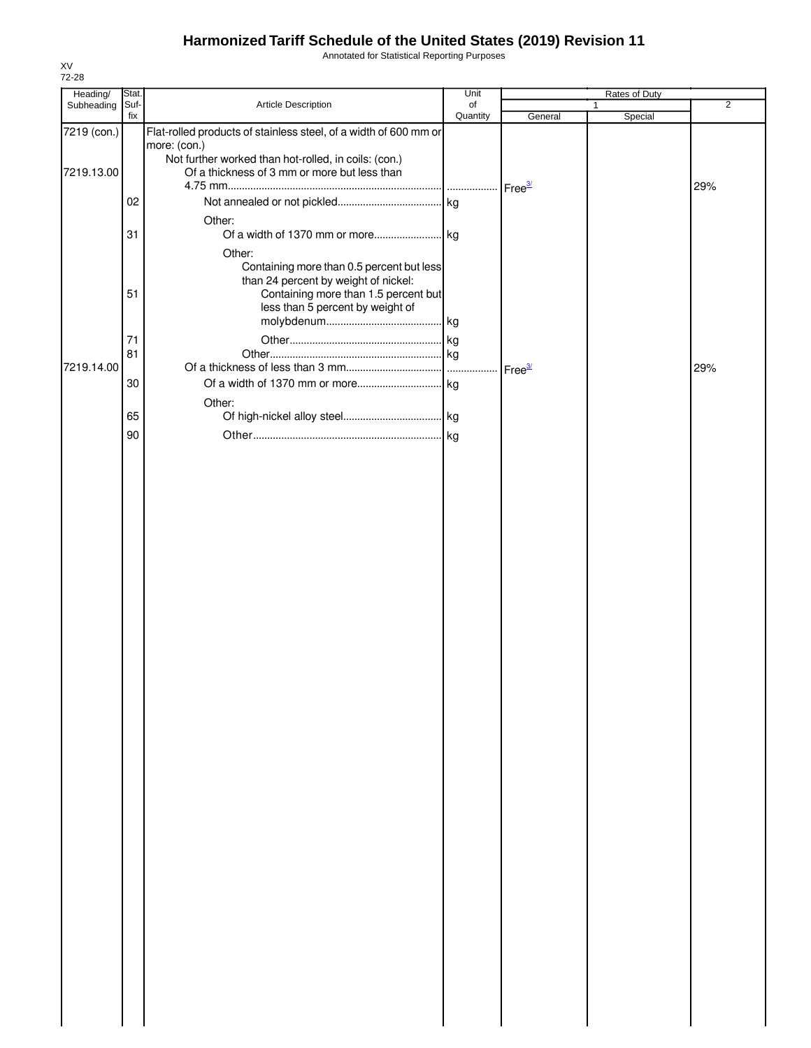Annotated for Statistical Reporting Purposes

| Heading/    | Stat. |                                                                  | Unit     |                    | Rates of Duty |                |
|-------------|-------|------------------------------------------------------------------|----------|--------------------|---------------|----------------|
| Subheading  | Suf-  | Article Description                                              | of       |                    | $\mathbf{1}$  | $\overline{2}$ |
|             | fix   |                                                                  | Quantity | General            | Special       |                |
| 7219 (con.) |       | Flat-rolled products of stainless steel, of a width of 600 mm or |          |                    |               |                |
|             |       | more: (con.)                                                     |          |                    |               |                |
|             |       | Not further worked than hot-rolled, in coils: (con.)             |          |                    |               |                |
| 7219.13.00  |       | Of a thickness of 3 mm or more but less than                     |          |                    |               |                |
|             |       |                                                                  |          |                    |               | 29%            |
|             | 02    |                                                                  |          |                    |               |                |
|             |       | Other:                                                           |          |                    |               |                |
|             | 31    |                                                                  |          |                    |               |                |
|             |       |                                                                  |          |                    |               |                |
|             |       | Other:                                                           |          |                    |               |                |
|             |       | Containing more than 0.5 percent but less                        |          |                    |               |                |
|             |       | than 24 percent by weight of nickel:                             |          |                    |               |                |
|             | 51    | Containing more than 1.5 percent but                             |          |                    |               |                |
|             |       | less than 5 percent by weight of                                 |          |                    |               |                |
|             |       |                                                                  |          |                    |               |                |
|             | 71    |                                                                  |          |                    |               |                |
|             | 81    |                                                                  |          |                    |               |                |
| 7219.14.00  |       |                                                                  |          | Free <sup>3/</sup> |               | 29%            |
|             | 30    |                                                                  |          |                    |               |                |
|             |       |                                                                  |          |                    |               |                |
|             |       | Other:                                                           |          |                    |               |                |
|             | 65    |                                                                  |          |                    |               |                |
|             | 90    |                                                                  |          |                    |               |                |
|             |       |                                                                  |          |                    |               |                |
|             |       |                                                                  |          |                    |               |                |
|             |       |                                                                  |          |                    |               |                |
|             |       |                                                                  |          |                    |               |                |
|             |       |                                                                  |          |                    |               |                |
|             |       |                                                                  |          |                    |               |                |
|             |       |                                                                  |          |                    |               |                |
|             |       |                                                                  |          |                    |               |                |
|             |       |                                                                  |          |                    |               |                |
|             |       |                                                                  |          |                    |               |                |
|             |       |                                                                  |          |                    |               |                |
|             |       |                                                                  |          |                    |               |                |
|             |       |                                                                  |          |                    |               |                |
|             |       |                                                                  |          |                    |               |                |
|             |       |                                                                  |          |                    |               |                |
|             |       |                                                                  |          |                    |               |                |
|             |       |                                                                  |          |                    |               |                |
|             |       |                                                                  |          |                    |               |                |
|             |       |                                                                  |          |                    |               |                |
|             |       |                                                                  |          |                    |               |                |
|             |       |                                                                  |          |                    |               |                |
|             |       |                                                                  |          |                    |               |                |
|             |       |                                                                  |          |                    |               |                |
|             |       |                                                                  |          |                    |               |                |
|             |       |                                                                  |          |                    |               |                |
|             |       |                                                                  |          |                    |               |                |
|             |       |                                                                  |          |                    |               |                |
|             |       |                                                                  |          |                    |               |                |
|             |       |                                                                  |          |                    |               |                |
|             |       |                                                                  |          |                    |               |                |
|             |       |                                                                  |          |                    |               |                |
|             |       |                                                                  |          |                    |               |                |
|             |       |                                                                  |          |                    |               |                |
|             |       |                                                                  |          |                    |               |                |
|             |       |                                                                  |          |                    |               |                |
|             |       |                                                                  |          |                    |               |                |
|             |       |                                                                  |          |                    |               |                |
|             |       |                                                                  |          |                    |               |                |
|             |       |                                                                  |          |                    |               |                |
|             |       |                                                                  |          |                    |               |                |
|             |       |                                                                  |          |                    |               |                |
|             |       |                                                                  |          |                    |               |                |
|             |       |                                                                  |          |                    |               |                |
|             |       |                                                                  |          |                    |               |                |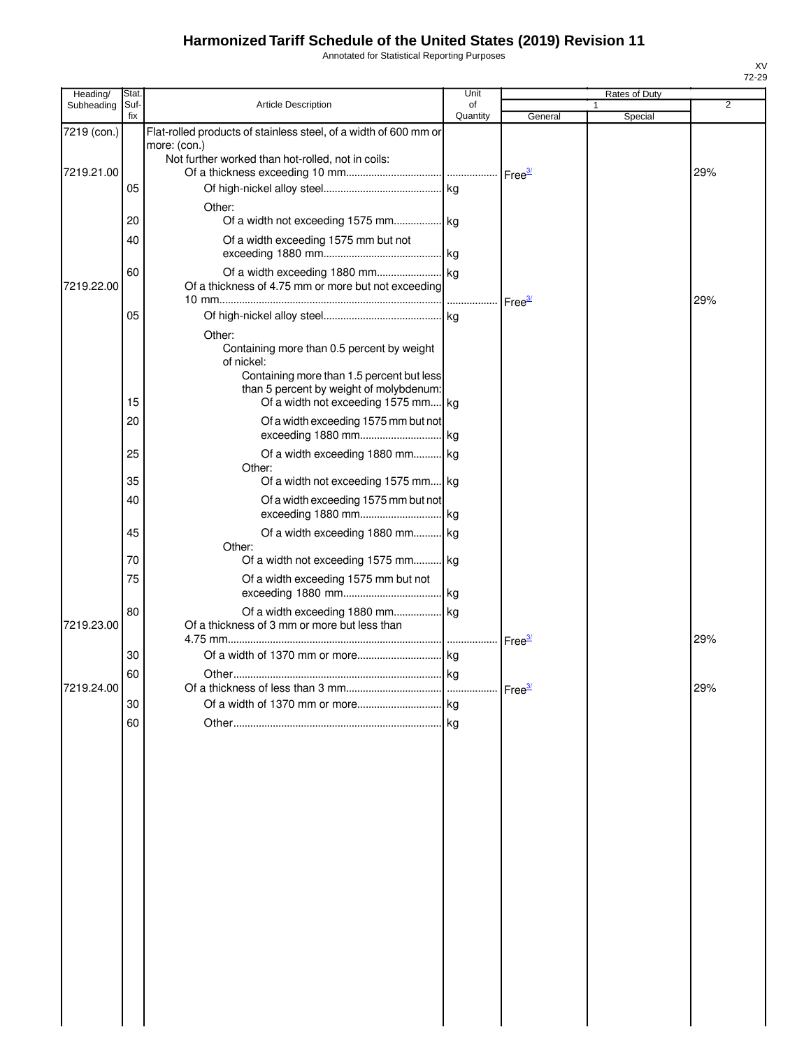Annotated for Statistical Reporting Purposes

| Heading/    | Stat.       |                                                                                                                                                                                                   | Unit           |                    | Rates of Duty |                |
|-------------|-------------|---------------------------------------------------------------------------------------------------------------------------------------------------------------------------------------------------|----------------|--------------------|---------------|----------------|
| Subheading  | Suf-<br>fix | <b>Article Description</b>                                                                                                                                                                        | of<br>Quantity | General            | Special       | $\overline{2}$ |
| 7219 (con.) |             | Flat-rolled products of stainless steel, of a width of 600 mm or<br>more: (con.)<br>Not further worked than hot-rolled, not in coils:                                                             |                |                    |               |                |
| 7219.21.00  | 05          |                                                                                                                                                                                                   |                |                    |               | 29%            |
|             | 20          | Other:<br>Of a width not exceeding 1575 mm kg                                                                                                                                                     |                |                    |               |                |
|             | 40          | Of a width exceeding 1575 mm but not                                                                                                                                                              |                |                    |               |                |
| 7219.22.00  | 60          | Of a thickness of 4.75 mm or more but not exceeding                                                                                                                                               |                | Free <sup>3/</sup> |               | 29%            |
|             | 05          |                                                                                                                                                                                                   |                |                    |               |                |
|             | 15          | Other:<br>Containing more than 0.5 percent by weight<br>of nickel:<br>Containing more than 1.5 percent but less<br>than 5 percent by weight of molybdenum:<br>Of a width not exceeding 1575 mm kg |                |                    |               |                |
|             | 20          | Of a width exceeding 1575 mm but not                                                                                                                                                              |                |                    |               |                |
|             | 25          | Of a width exceeding 1880 mm kg                                                                                                                                                                   |                |                    |               |                |
|             |             | Other:                                                                                                                                                                                            |                |                    |               |                |
|             | 35          | Of a width not exceeding 1575 mm kg                                                                                                                                                               |                |                    |               |                |
|             | 40          | Of a width exceeding 1575 mm but not                                                                                                                                                              |                |                    |               |                |
|             | 45<br>70    | Of a width exceeding 1880 mm kg<br>Other:<br>Of a width not exceeding 1575 mm kg                                                                                                                  |                |                    |               |                |
|             | 75          | Of a width exceeding 1575 mm but not                                                                                                                                                              |                |                    |               |                |
| 7219.23.00  | 80          | Of a width exceeding 1880 mm kg<br>Of a thickness of 3 mm or more but less than                                                                                                                   |                | Free <sup>3/</sup> |               | 29%            |
|             | 30          |                                                                                                                                                                                                   |                |                    |               |                |
|             | ĸ٨<br>υυ    | Other                                                                                                                                                                                             |                |                    |               |                |
| 7219.24.00  | 30          |                                                                                                                                                                                                   |                |                    |               | 29%            |
|             | 60          |                                                                                                                                                                                                   |                |                    |               |                |
|             |             |                                                                                                                                                                                                   |                |                    |               |                |
|             |             |                                                                                                                                                                                                   |                |                    |               |                |
|             |             |                                                                                                                                                                                                   |                |                    |               |                |
|             |             |                                                                                                                                                                                                   |                |                    |               |                |
|             |             |                                                                                                                                                                                                   |                |                    |               |                |
|             |             |                                                                                                                                                                                                   |                |                    |               |                |
|             |             |                                                                                                                                                                                                   |                |                    |               |                |
|             |             |                                                                                                                                                                                                   |                |                    |               |                |
|             |             |                                                                                                                                                                                                   |                |                    |               |                |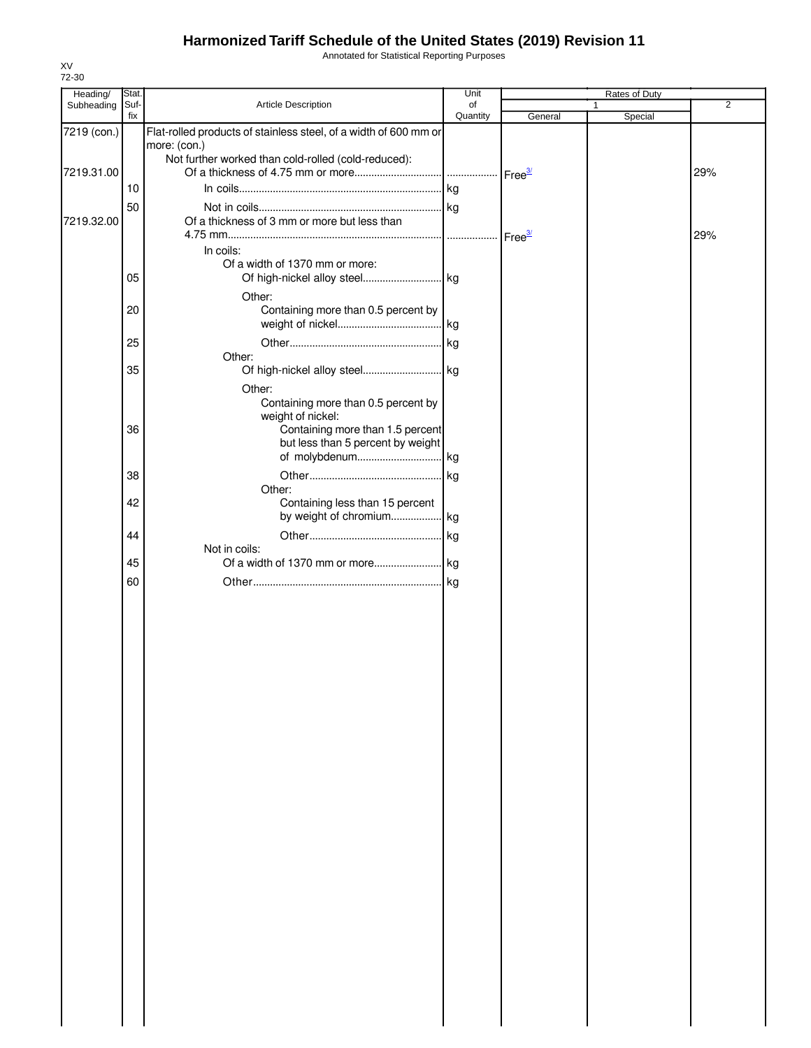Annotated for Statistical Reporting Purposes

| Heading/    | Stat. |                                                                  | Unit     |         | Rates of Duty |                |
|-------------|-------|------------------------------------------------------------------|----------|---------|---------------|----------------|
| Subheading  | Suf-  | Article Description                                              | of       |         | 1.            | $\overline{2}$ |
|             | fix   |                                                                  | Quantity | General | Special       |                |
| 7219 (con.) |       | Flat-rolled products of stainless steel, of a width of 600 mm or |          |         |               |                |
|             |       | more: (con.)                                                     |          |         |               |                |
| 7219.31.00  |       | Not further worked than cold-rolled (cold-reduced):              |          |         |               | 29%            |
|             | 10    |                                                                  |          |         |               |                |
|             |       |                                                                  |          |         |               |                |
|             | 50    |                                                                  |          |         |               |                |
| 7219.32.00  |       | Of a thickness of 3 mm or more but less than                     |          |         |               |                |
|             |       |                                                                  |          |         |               | 29%            |
|             |       | In coils:                                                        |          |         |               |                |
|             | 05    | Of a width of 1370 mm or more:<br>Of high-nickel alloy steel kg  |          |         |               |                |
|             |       |                                                                  |          |         |               |                |
|             |       | Other:                                                           |          |         |               |                |
|             | 20    | Containing more than 0.5 percent by                              |          |         |               |                |
|             |       |                                                                  |          |         |               |                |
|             | 25    |                                                                  | . kg     |         |               |                |
|             | 35    | Other:                                                           |          |         |               |                |
|             |       |                                                                  |          |         |               |                |
|             |       | Other:                                                           |          |         |               |                |
|             |       | Containing more than 0.5 percent by                              |          |         |               |                |
|             | 36    | weight of nickel:<br>Containing more than 1.5 percent            |          |         |               |                |
|             |       | but less than 5 percent by weight                                |          |         |               |                |
|             |       |                                                                  |          |         |               |                |
|             | 38    |                                                                  | . kg     |         |               |                |
|             |       | Other:                                                           |          |         |               |                |
|             | 42    | Containing less than 15 percent                                  |          |         |               |                |
|             |       | by weight of chromium kg                                         |          |         |               |                |
|             | 44    |                                                                  |          |         |               |                |
|             |       | Not in coils:                                                    |          |         |               |                |
|             | 45    |                                                                  |          |         |               |                |
|             | 60    |                                                                  |          |         |               |                |
|             |       |                                                                  |          |         |               |                |
|             |       |                                                                  |          |         |               |                |
|             |       |                                                                  |          |         |               |                |
|             |       |                                                                  |          |         |               |                |
|             |       |                                                                  |          |         |               |                |
|             |       |                                                                  |          |         |               |                |
|             |       |                                                                  |          |         |               |                |
|             |       |                                                                  |          |         |               |                |
|             |       |                                                                  |          |         |               |                |
|             |       |                                                                  |          |         |               |                |
|             |       |                                                                  |          |         |               |                |
|             |       |                                                                  |          |         |               |                |
|             |       |                                                                  |          |         |               |                |
|             |       |                                                                  |          |         |               |                |
|             |       |                                                                  |          |         |               |                |
|             |       |                                                                  |          |         |               |                |
|             |       |                                                                  |          |         |               |                |
|             |       |                                                                  |          |         |               |                |
|             |       |                                                                  |          |         |               |                |
|             |       |                                                                  |          |         |               |                |
|             |       |                                                                  |          |         |               |                |
|             |       |                                                                  |          |         |               |                |
|             |       |                                                                  |          |         |               |                |
|             |       |                                                                  |          |         |               |                |
|             |       |                                                                  |          |         |               |                |
|             |       |                                                                  |          |         |               |                |
|             |       |                                                                  |          |         |               |                |
|             |       |                                                                  |          |         |               |                |
|             |       |                                                                  |          |         |               |                |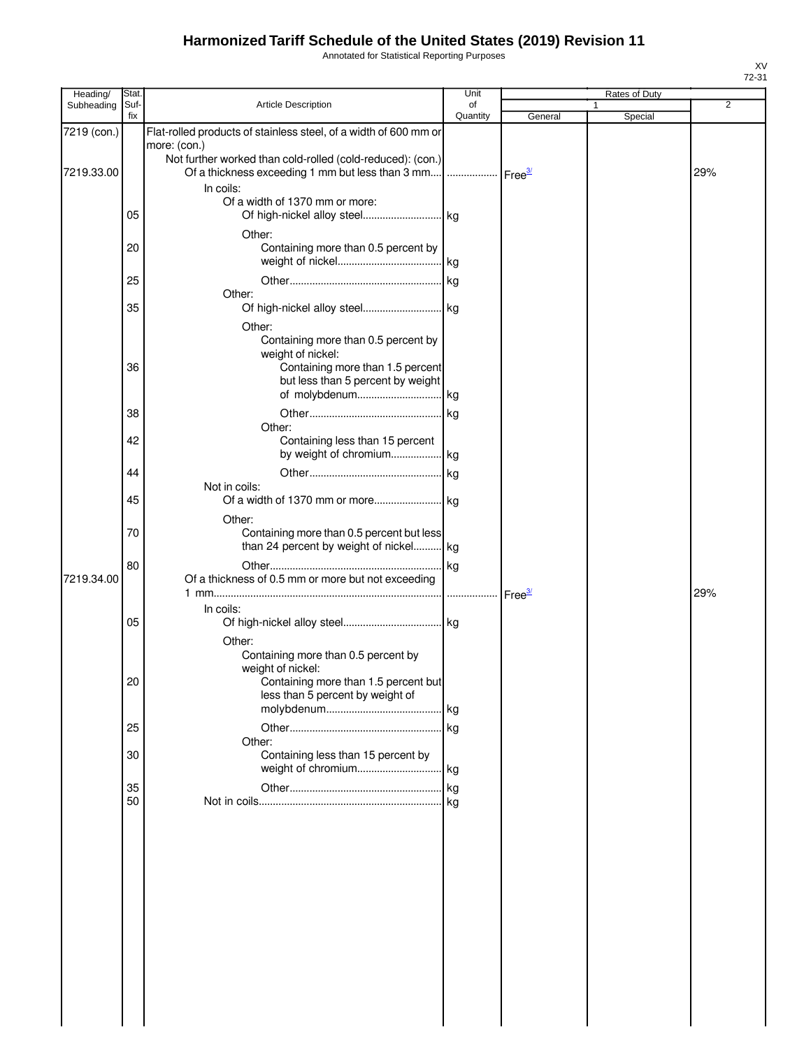Annotated for Statistical Reporting Purposes

| Heading/    | Stat.       |                                                                                     | Unit               |         | Rates of Duty |                |
|-------------|-------------|-------------------------------------------------------------------------------------|--------------------|---------|---------------|----------------|
| Subheading  | Suf-<br>fix | <b>Article Description</b>                                                          | of<br>Quantity     |         |               | $\overline{2}$ |
|             |             | Flat-rolled products of stainless steel, of a width of 600 mm or                    |                    | General | Special       |                |
| 7219 (con.) |             | more: (con.)                                                                        |                    |         |               |                |
|             |             | Not further worked than cold-rolled (cold-reduced): (con.)                          |                    |         |               |                |
| 7219.33.00  |             | Of a thickness exceeding 1 mm but less than 3 mm                                    | Free <sup>3/</sup> |         |               | 29%            |
|             |             | In coils:                                                                           |                    |         |               |                |
|             |             | Of a width of 1370 mm or more:                                                      |                    |         |               |                |
|             | 05          |                                                                                     |                    |         |               |                |
|             |             | Other:                                                                              |                    |         |               |                |
|             | 20          | Containing more than 0.5 percent by                                                 |                    |         |               |                |
|             |             |                                                                                     |                    |         |               |                |
|             | 25          |                                                                                     |                    |         |               |                |
|             |             | Other:                                                                              |                    |         |               |                |
|             | 35          |                                                                                     |                    |         |               |                |
|             |             | Other:                                                                              |                    |         |               |                |
|             |             | Containing more than 0.5 percent by                                                 |                    |         |               |                |
|             |             | weight of nickel:                                                                   |                    |         |               |                |
|             | 36          | Containing more than 1.5 percent                                                    |                    |         |               |                |
|             |             | but less than 5 percent by weight                                                   |                    |         |               |                |
|             |             | of molybdenum kg                                                                    |                    |         |               |                |
|             | 38          |                                                                                     |                    |         |               |                |
|             |             | Other:                                                                              |                    |         |               |                |
|             | 42          | Containing less than 15 percent<br>by weight of chromium kg                         |                    |         |               |                |
|             |             |                                                                                     |                    |         |               |                |
|             | 44          |                                                                                     | . kg               |         |               |                |
|             | 45          | Not in coils:                                                                       |                    |         |               |                |
|             |             |                                                                                     |                    |         |               |                |
|             |             | Other:                                                                              |                    |         |               |                |
|             | 70          | Containing more than 0.5 percent but less<br>than 24 percent by weight of nickel kg |                    |         |               |                |
|             |             |                                                                                     |                    |         |               |                |
| 7219.34.00  | 80          | Of a thickness of 0.5 mm or more but not exceeding                                  |                    |         |               |                |
|             |             |                                                                                     |                    |         |               | 29%            |
|             |             | In coils:                                                                           |                    |         |               |                |
|             | 05          |                                                                                     |                    |         |               |                |
|             |             | Other:                                                                              |                    |         |               |                |
|             |             | Containing more than 0.5 percent by                                                 |                    |         |               |                |
|             |             | weight of nickel:                                                                   |                    |         |               |                |
|             | 20          | Containing more than 1.5 percent but                                                |                    |         |               |                |
|             |             | less than 5 percent by weight of                                                    |                    |         |               |                |
|             |             |                                                                                     |                    |         |               |                |
|             | 25          |                                                                                     |                    |         |               |                |
|             |             | Other:                                                                              |                    |         |               |                |
|             | 30          | Containing less than 15 percent by                                                  |                    |         |               |                |
|             |             |                                                                                     |                    |         |               |                |
|             | 35          |                                                                                     |                    |         |               |                |
|             | 50          |                                                                                     |                    |         |               |                |
|             |             |                                                                                     |                    |         |               |                |
|             |             |                                                                                     |                    |         |               |                |
|             |             |                                                                                     |                    |         |               |                |
|             |             |                                                                                     |                    |         |               |                |
|             |             |                                                                                     |                    |         |               |                |
|             |             |                                                                                     |                    |         |               |                |
|             |             |                                                                                     |                    |         |               |                |
|             |             |                                                                                     |                    |         |               |                |
|             |             |                                                                                     |                    |         |               |                |
|             |             |                                                                                     |                    |         |               |                |
|             |             |                                                                                     |                    |         |               |                |
|             |             |                                                                                     |                    |         |               |                |
|             |             |                                                                                     |                    |         |               |                |
|             |             |                                                                                     |                    |         |               |                |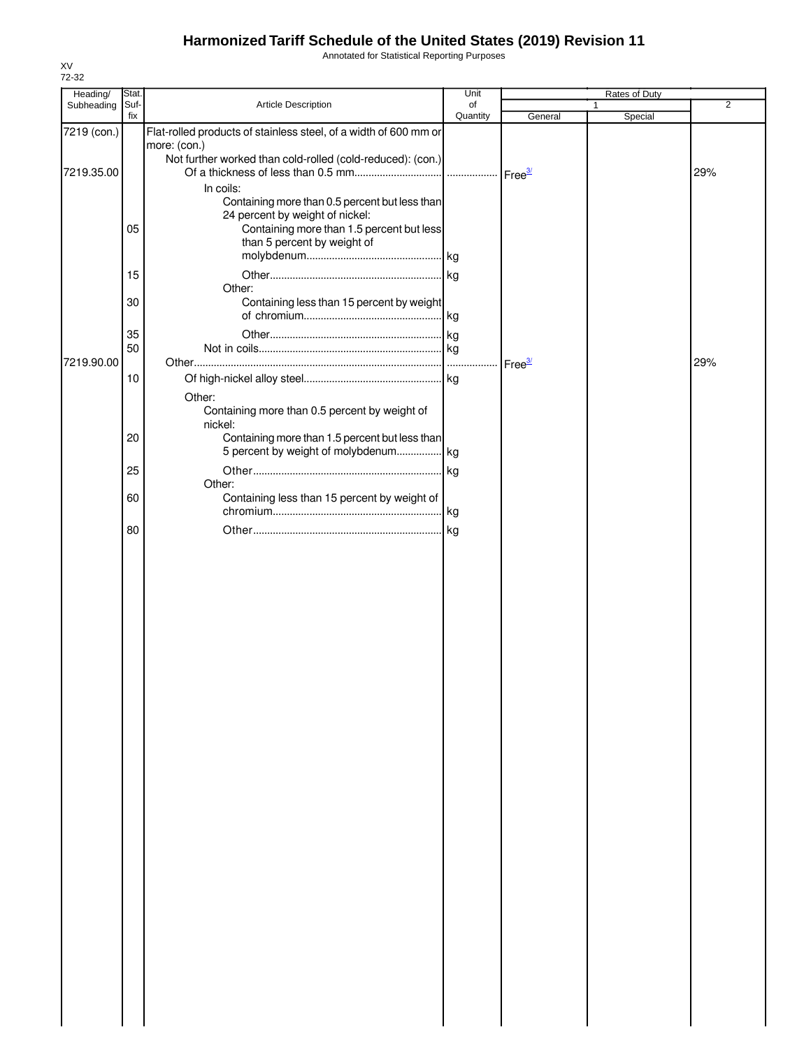Annotated for Statistical Reporting Purposes

| Heading/    | Stat.       |                                                                                                                                                               | Unit           |                    | Rates of Duty |                |
|-------------|-------------|---------------------------------------------------------------------------------------------------------------------------------------------------------------|----------------|--------------------|---------------|----------------|
| Subheading  | Suf-<br>fix | Article Description                                                                                                                                           | of<br>Quantity | General            | 1<br>Special  | $\overline{2}$ |
| 7219 (con.) |             | Flat-rolled products of stainless steel, of a width of 600 mm or<br>more: (con.)                                                                              |                |                    |               |                |
| 7219.35.00  |             | Not further worked than cold-rolled (cold-reduced): (con.)<br>In coils:                                                                                       |                |                    |               | 29%            |
|             | 05          | Containing more than 0.5 percent but less than<br>24 percent by weight of nickel:<br>Containing more than 1.5 percent but less<br>than 5 percent by weight of |                |                    |               |                |
|             | 15          | Other:                                                                                                                                                        |                |                    |               |                |
|             | 30          | Containing less than 15 percent by weight                                                                                                                     |                |                    |               |                |
|             | 35<br>50    |                                                                                                                                                               |                |                    |               |                |
| 7219.90.00  | $10$        |                                                                                                                                                               |                | Free <sup>3/</sup> |               | 29%            |
|             |             | Other:<br>Containing more than 0.5 percent by weight of<br>nickel:                                                                                            |                |                    |               |                |
|             | 20<br>25    | Containing more than 1.5 percent but less than<br>5 percent by weight of molybdenum kg                                                                        |                |                    |               |                |
|             | 60          | Other:<br>Containing less than 15 percent by weight of                                                                                                        |                |                    |               |                |
|             | 80          |                                                                                                                                                               |                |                    |               |                |
|             |             |                                                                                                                                                               |                |                    |               |                |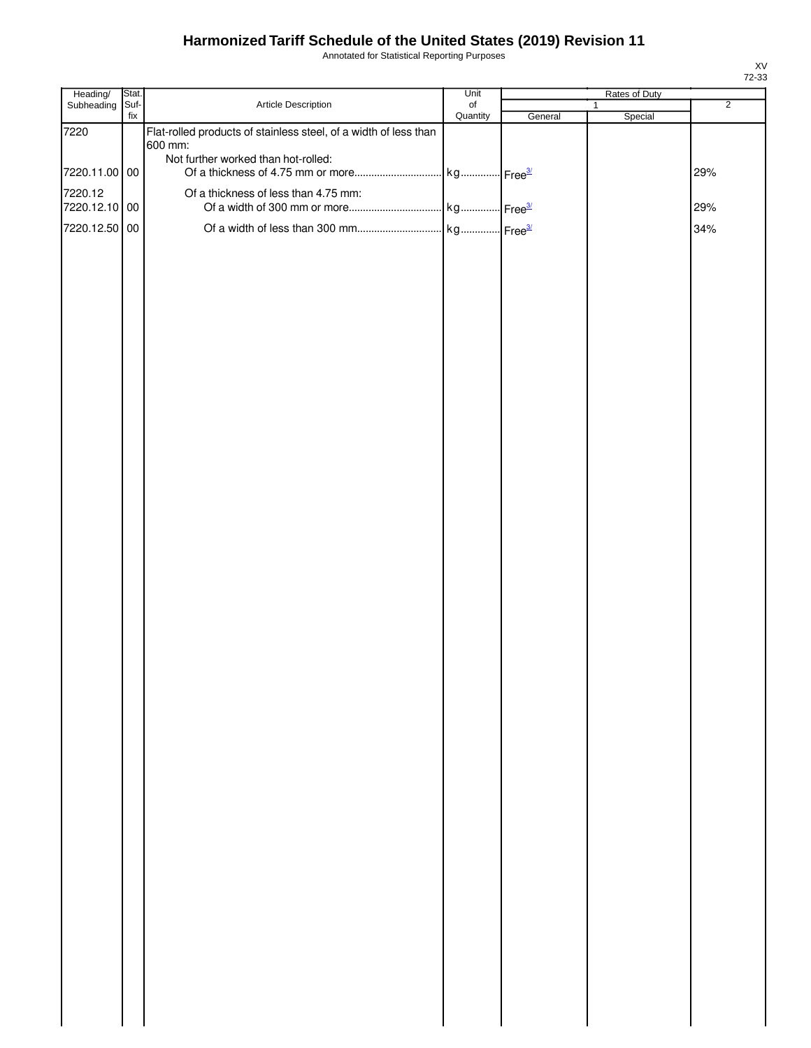Annotated for Statistical Reporting Purposes

| Heading/      | Stat.       |                                                                  | Unit                  |         | Rates of Duty           |                |
|---------------|-------------|------------------------------------------------------------------|-----------------------|---------|-------------------------|----------------|
| Subheading    | Suf-<br>fix | Article Description                                              | $\circ$ f<br>Quantity | General | $\mathbf{1}$<br>Special | $\overline{2}$ |
| 7220          |             | Flat-rolled products of stainless steel, of a width of less than |                       |         |                         |                |
|               |             | 600 mm:                                                          |                       |         |                         |                |
| 7220.11.00 00 |             | Not further worked than hot-rolled:                              |                       |         |                         | 29%            |
| 7220.12       |             | Of a thickness of less than 4.75 mm:                             |                       |         |                         |                |
| 7220.12.10 00 |             |                                                                  |                       |         |                         | 29%            |
| 7220.12.50 00 |             |                                                                  |                       |         |                         | 34%            |
|               |             |                                                                  |                       |         |                         |                |
|               |             |                                                                  |                       |         |                         |                |
|               |             |                                                                  |                       |         |                         |                |
|               |             |                                                                  |                       |         |                         |                |
|               |             |                                                                  |                       |         |                         |                |
|               |             |                                                                  |                       |         |                         |                |
|               |             |                                                                  |                       |         |                         |                |
|               |             |                                                                  |                       |         |                         |                |
|               |             |                                                                  |                       |         |                         |                |
|               |             |                                                                  |                       |         |                         |                |
|               |             |                                                                  |                       |         |                         |                |
|               |             |                                                                  |                       |         |                         |                |
|               |             |                                                                  |                       |         |                         |                |
|               |             |                                                                  |                       |         |                         |                |
|               |             |                                                                  |                       |         |                         |                |
|               |             |                                                                  |                       |         |                         |                |
|               |             |                                                                  |                       |         |                         |                |
|               |             |                                                                  |                       |         |                         |                |
|               |             |                                                                  |                       |         |                         |                |
|               |             |                                                                  |                       |         |                         |                |
|               |             |                                                                  |                       |         |                         |                |
|               |             |                                                                  |                       |         |                         |                |
|               |             |                                                                  |                       |         |                         |                |
|               |             |                                                                  |                       |         |                         |                |
|               |             |                                                                  |                       |         |                         |                |
|               |             |                                                                  |                       |         |                         |                |
|               |             |                                                                  |                       |         |                         |                |
|               |             |                                                                  |                       |         |                         |                |
|               |             |                                                                  |                       |         |                         |                |
|               |             |                                                                  |                       |         |                         |                |
|               |             |                                                                  |                       |         |                         |                |
|               |             |                                                                  |                       |         |                         |                |
|               |             |                                                                  |                       |         |                         |                |
|               |             |                                                                  |                       |         |                         |                |
|               |             |                                                                  |                       |         |                         |                |
|               |             |                                                                  |                       |         |                         |                |
|               |             |                                                                  |                       |         |                         |                |
|               |             |                                                                  |                       |         |                         |                |
|               |             |                                                                  |                       |         |                         |                |
|               |             |                                                                  |                       |         |                         |                |
|               |             |                                                                  |                       |         |                         |                |
|               |             |                                                                  |                       |         |                         |                |
|               |             |                                                                  |                       |         |                         |                |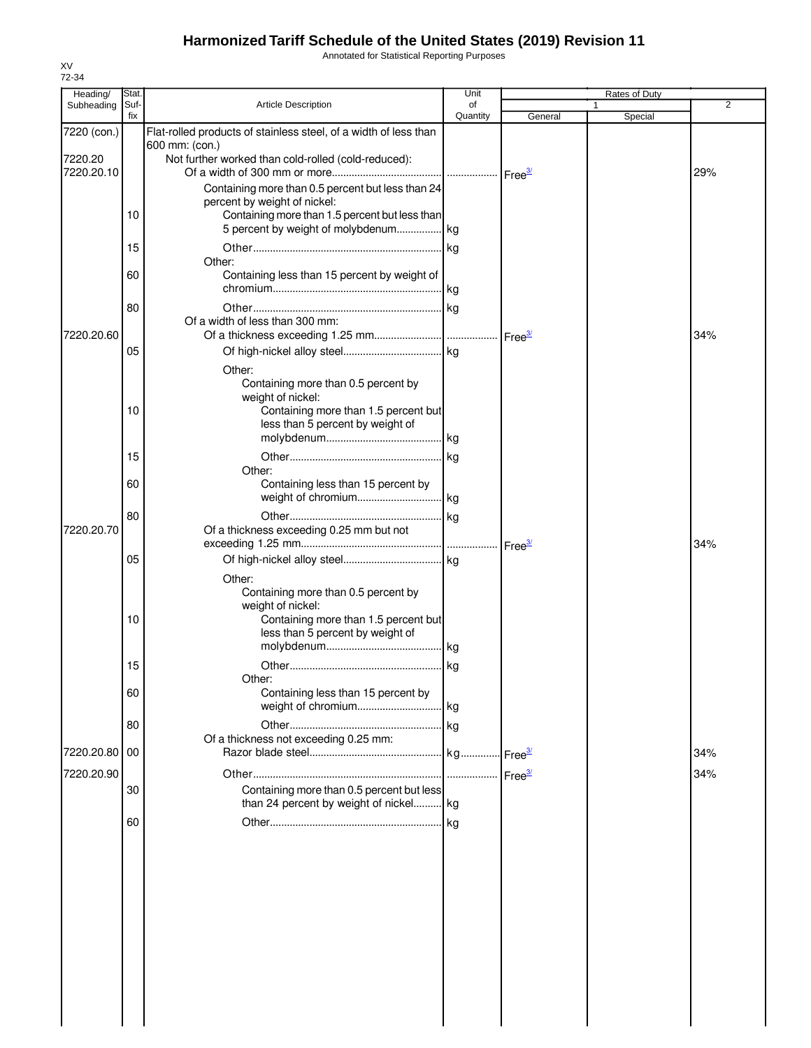Annotated for Statistical Reporting Purposes

| Heading/      | Stat.       |                                                                          | Unit           |         | Rates of Duty |     |
|---------------|-------------|--------------------------------------------------------------------------|----------------|---------|---------------|-----|
| Subheading    | Suf-<br>fix | <b>Article Description</b>                                               | of<br>Quantity | General | Special       | 2   |
| 7220 (con.)   |             | Flat-rolled products of stainless steel, of a width of less than         |                |         |               |     |
|               |             | 600 mm: (con.)                                                           |                |         |               |     |
| 7220.20       |             | Not further worked than cold-rolled (cold-reduced):                      |                |         |               |     |
| 7220.20.10    |             |                                                                          |                |         |               | 29% |
|               |             | Containing more than 0.5 percent but less than 24                        |                |         |               |     |
|               |             | percent by weight of nickel:                                             |                |         |               |     |
|               | 10          | Containing more than 1.5 percent but less than                           |                |         |               |     |
|               |             | 5 percent by weight of molybdenum kg                                     |                |         |               |     |
|               | 15          |                                                                          |                |         |               |     |
|               |             | Other:                                                                   |                |         |               |     |
|               | 60          | Containing less than 15 percent by weight of                             |                |         |               |     |
|               |             |                                                                          |                |         |               |     |
|               | 80          |                                                                          |                |         |               |     |
| 7220.20.60    |             | Of a width of less than 300 mm:                                          |                |         |               | 34% |
|               | 05          |                                                                          |                |         |               |     |
|               |             |                                                                          |                |         |               |     |
|               |             | Other:                                                                   |                |         |               |     |
|               |             | Containing more than 0.5 percent by<br>weight of nickel:                 |                |         |               |     |
|               | 10          | Containing more than 1.5 percent but                                     |                |         |               |     |
|               |             | less than 5 percent by weight of                                         |                |         |               |     |
|               |             |                                                                          |                |         |               |     |
|               | 15          |                                                                          |                |         |               |     |
|               |             | Other:                                                                   |                |         |               |     |
|               | 60          | Containing less than 15 percent by                                       |                |         |               |     |
|               |             |                                                                          |                |         |               |     |
|               | 80          |                                                                          |                |         |               |     |
| 7220.20.70    |             | Of a thickness exceeding 0.25 mm but not                                 |                |         |               |     |
|               |             |                                                                          |                |         |               | 34% |
|               | 05          |                                                                          |                |         |               |     |
|               |             | Other:                                                                   |                |         |               |     |
|               |             | Containing more than 0.5 percent by                                      |                |         |               |     |
|               |             | weight of nickel:                                                        |                |         |               |     |
|               | 10          | Containing more than 1.5 percent but<br>less than 5 percent by weight of |                |         |               |     |
|               |             |                                                                          |                |         |               |     |
|               | 15          |                                                                          |                |         |               |     |
|               |             | Other:                                                                   |                |         |               |     |
|               | 60          | Containing less than 15 percent by                                       |                |         |               |     |
|               |             |                                                                          |                |         |               |     |
|               | 80          |                                                                          |                |         |               |     |
|               |             | Of a thickness not exceeding 0.25 mm:                                    |                |         |               |     |
| 7220.20.80 00 |             |                                                                          |                |         |               | 34% |
| 7220.20.90    |             |                                                                          |                |         |               | 34% |
|               | 30          | Containing more than 0.5 percent but less                                |                |         |               |     |
|               |             | than 24 percent by weight of nickel kg                                   |                |         |               |     |
|               | 60          |                                                                          |                |         |               |     |
|               |             |                                                                          |                |         |               |     |
|               |             |                                                                          |                |         |               |     |
|               |             |                                                                          |                |         |               |     |
|               |             |                                                                          |                |         |               |     |
|               |             |                                                                          |                |         |               |     |
|               |             |                                                                          |                |         |               |     |
|               |             |                                                                          |                |         |               |     |
|               |             |                                                                          |                |         |               |     |
|               |             |                                                                          |                |         |               |     |
|               |             |                                                                          |                |         |               |     |
|               |             |                                                                          |                |         |               |     |
|               |             |                                                                          |                |         |               |     |
|               |             |                                                                          |                |         |               |     |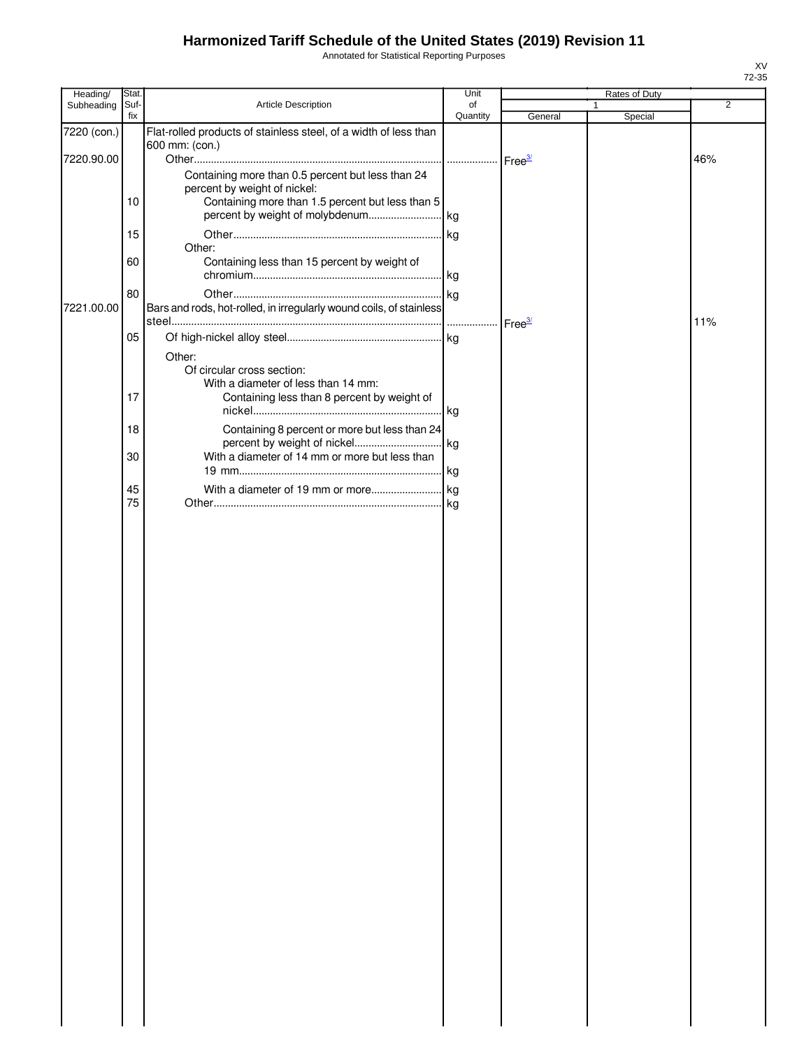Annotated for Statistical Reporting Purposes

| Heading/    | Stat.       |                                                                                    | Unit               |                    | Rates of Duty |                |
|-------------|-------------|------------------------------------------------------------------------------------|--------------------|--------------------|---------------|----------------|
| Subheading  | Suf-<br>fix | Article Description                                                                | of<br>Quantity     |                    | $\mathbf{1}$  | $\overline{2}$ |
| 7220 (con.) |             | Flat-rolled products of stainless steel, of a width of less than                   |                    | General            | Special       |                |
| 7220.90.00  |             | 600 mm: (con.)                                                                     |                    |                    |               | 46%            |
|             |             | Containing more than 0.5 percent but less than 24                                  | Free <sup>3/</sup> |                    |               |                |
|             |             | percent by weight of nickel:                                                       |                    |                    |               |                |
|             | 10          | Containing more than 1.5 percent but less than 5                                   |                    |                    |               |                |
|             |             |                                                                                    |                    |                    |               |                |
|             | 15          |                                                                                    |                    |                    |               |                |
|             | 60          | Other:<br>Containing less than 15 percent by weight of                             |                    |                    |               |                |
|             |             |                                                                                    |                    |                    |               |                |
|             | 80          |                                                                                    |                    |                    |               |                |
| 7221.00.00  |             | Bars and rods, hot-rolled, in irregularly wound coils, of stainless                |                    |                    |               |                |
|             |             |                                                                                    | .                  | Free <sup>3/</sup> |               | 11%            |
|             | 05          |                                                                                    |                    |                    |               |                |
|             |             | Other:                                                                             |                    |                    |               |                |
|             |             | Of circular cross section:                                                         |                    |                    |               |                |
|             | 17          | With a diameter of less than 14 mm:<br>Containing less than 8 percent by weight of |                    |                    |               |                |
|             |             |                                                                                    | kg                 |                    |               |                |
|             | 18          | Containing 8 percent or more but less than 24                                      |                    |                    |               |                |
|             |             | percent by weight of nickel                                                        | kg                 |                    |               |                |
|             | 30          | With a diameter of 14 mm or more but less than                                     |                    |                    |               |                |
|             |             |                                                                                    |                    |                    |               |                |
|             | 45<br>75    |                                                                                    |                    |                    |               |                |
|             |             |                                                                                    |                    |                    |               |                |
|             |             |                                                                                    |                    |                    |               |                |
|             |             |                                                                                    |                    |                    |               |                |
|             |             |                                                                                    |                    |                    |               |                |
|             |             |                                                                                    |                    |                    |               |                |
|             |             |                                                                                    |                    |                    |               |                |
|             |             |                                                                                    |                    |                    |               |                |
|             |             |                                                                                    |                    |                    |               |                |
|             |             |                                                                                    |                    |                    |               |                |
|             |             |                                                                                    |                    |                    |               |                |
|             |             |                                                                                    |                    |                    |               |                |
|             |             |                                                                                    |                    |                    |               |                |
|             |             |                                                                                    |                    |                    |               |                |
|             |             |                                                                                    |                    |                    |               |                |
|             |             |                                                                                    |                    |                    |               |                |
|             |             |                                                                                    |                    |                    |               |                |
|             |             |                                                                                    |                    |                    |               |                |
|             |             |                                                                                    |                    |                    |               |                |
|             |             |                                                                                    |                    |                    |               |                |
|             |             |                                                                                    |                    |                    |               |                |
|             |             |                                                                                    |                    |                    |               |                |
|             |             |                                                                                    |                    |                    |               |                |
|             |             |                                                                                    |                    |                    |               |                |
|             |             |                                                                                    |                    |                    |               |                |
|             |             |                                                                                    |                    |                    |               |                |
|             |             |                                                                                    |                    |                    |               |                |
|             |             |                                                                                    |                    |                    |               |                |
|             |             |                                                                                    |                    |                    |               |                |
|             |             |                                                                                    |                    |                    |               |                |
|             |             |                                                                                    |                    |                    |               |                |
|             |             |                                                                                    |                    |                    |               |                |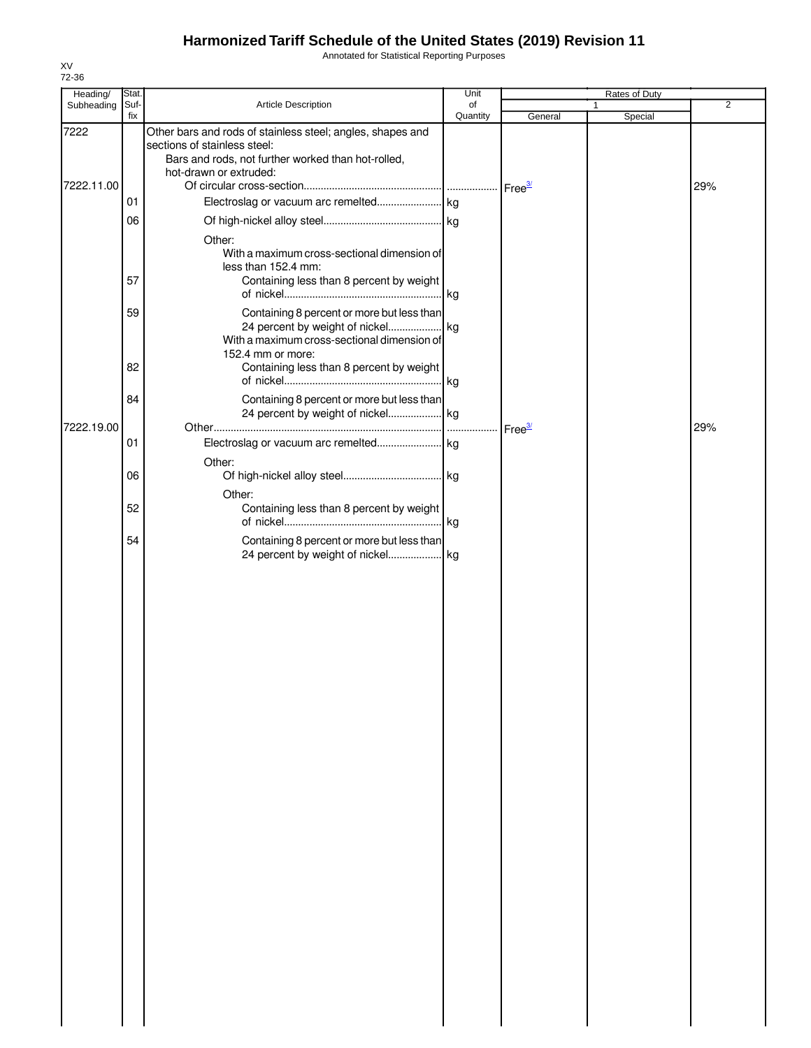Annotated for Statistical Reporting Purposes

| Heading/   | Stat.       |                                                            | Unit           |                      | Rates of Duty |                |
|------------|-------------|------------------------------------------------------------|----------------|----------------------|---------------|----------------|
| Subheading | Suf-<br>fix | Article Description                                        | of<br>Quantity | General              | Special       | $\overline{2}$ |
|            |             | Other bars and rods of stainless steel; angles, shapes and |                |                      |               |                |
| 7222       |             | sections of stainless steel:                               |                |                      |               |                |
|            |             | Bars and rods, not further worked than hot-rolled,         |                |                      |               |                |
|            |             | hot-drawn or extruded:                                     |                |                      |               |                |
| 7222.11.00 |             |                                                            |                | $Free^{\frac{3}{2}}$ |               | 29%            |
|            | 01          |                                                            |                |                      |               |                |
|            |             |                                                            |                |                      |               |                |
|            | 06          |                                                            |                |                      |               |                |
|            |             | Other:                                                     |                |                      |               |                |
|            |             | With a maximum cross-sectional dimension of                |                |                      |               |                |
|            |             | less than 152.4 mm:                                        |                |                      |               |                |
|            | 57          | Containing less than 8 percent by weight                   |                |                      |               |                |
|            |             |                                                            |                |                      |               |                |
|            | 59          | Containing 8 percent or more but less than                 |                |                      |               |                |
|            |             |                                                            |                |                      |               |                |
|            |             | With a maximum cross-sectional dimension of                |                |                      |               |                |
|            |             | 152.4 mm or more:                                          |                |                      |               |                |
|            | 82          | Containing less than 8 percent by weight                   |                |                      |               |                |
|            |             |                                                            |                |                      |               |                |
|            |             |                                                            |                |                      |               |                |
|            | 84          | Containing 8 percent or more but less than                 |                |                      |               |                |
|            |             |                                                            |                |                      |               |                |
| 7222.19.00 |             |                                                            |                | Free <sup>3/</sup>   |               | 29%            |
|            | 01          |                                                            |                |                      |               |                |
|            |             | Other:                                                     |                |                      |               |                |
|            | 06          |                                                            |                |                      |               |                |
|            |             |                                                            |                |                      |               |                |
|            |             | Other:                                                     |                |                      |               |                |
|            | 52          | Containing less than 8 percent by weight                   |                |                      |               |                |
|            |             |                                                            |                |                      |               |                |
|            | 54          | Containing 8 percent or more but less than                 |                |                      |               |                |
|            |             | 24 percent by weight of nickel kg                          |                |                      |               |                |
|            |             |                                                            |                |                      |               |                |
|            |             |                                                            |                |                      |               |                |
|            |             |                                                            |                |                      |               |                |
|            |             |                                                            |                |                      |               |                |
|            |             |                                                            |                |                      |               |                |
|            |             |                                                            |                |                      |               |                |
|            |             |                                                            |                |                      |               |                |
|            |             |                                                            |                |                      |               |                |
|            |             |                                                            |                |                      |               |                |
|            |             |                                                            |                |                      |               |                |
|            |             |                                                            |                |                      |               |                |
|            |             |                                                            |                |                      |               |                |
|            |             |                                                            |                |                      |               |                |
|            |             |                                                            |                |                      |               |                |
|            |             |                                                            |                |                      |               |                |
|            |             |                                                            |                |                      |               |                |
|            |             |                                                            |                |                      |               |                |
|            |             |                                                            |                |                      |               |                |
|            |             |                                                            |                |                      |               |                |
|            |             |                                                            |                |                      |               |                |
|            |             |                                                            |                |                      |               |                |
|            |             |                                                            |                |                      |               |                |
|            |             |                                                            |                |                      |               |                |
|            |             |                                                            |                |                      |               |                |
|            |             |                                                            |                |                      |               |                |
|            |             |                                                            |                |                      |               |                |
|            |             |                                                            |                |                      |               |                |
|            |             |                                                            |                |                      |               |                |
|            |             |                                                            |                |                      |               |                |
|            |             |                                                            |                |                      |               |                |
|            |             |                                                            |                |                      |               |                |
|            |             |                                                            |                |                      |               |                |
|            |             |                                                            |                |                      |               |                |
|            |             |                                                            |                |                      |               |                |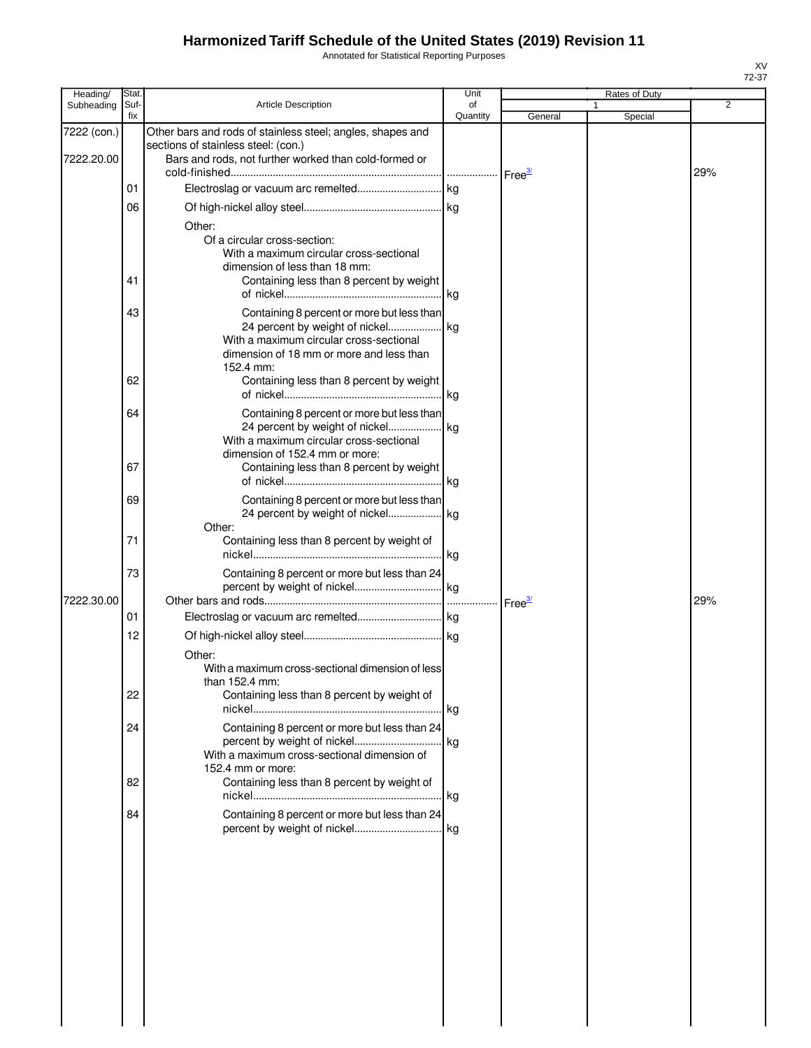Annotated for Statistical Reporting Purposes

| Heading/                  | Stat.       |                                                                                                                                                                                                                                 | Unit           |                    | Rates of Duty |     |
|---------------------------|-------------|---------------------------------------------------------------------------------------------------------------------------------------------------------------------------------------------------------------------------------|----------------|--------------------|---------------|-----|
| Subheading                | Suf-<br>fix | <b>Article Description</b>                                                                                                                                                                                                      | of<br>Quantity | General            | Special       | 2   |
| 7222 (con.)<br>7222.20.00 |             | Other bars and rods of stainless steel; angles, shapes and<br>sections of stainless steel: (con.)<br>Bars and rods, not further worked than cold-formed or                                                                      |                |                    |               |     |
|                           | 01          |                                                                                                                                                                                                                                 |                |                    |               | 29% |
|                           | 06          |                                                                                                                                                                                                                                 |                |                    |               |     |
|                           | 41          | Other:<br>Of a circular cross-section:<br>With a maximum circular cross-sectional<br>dimension of less than 18 mm:<br>Containing less than 8 percent by weight                                                                  |                |                    |               |     |
|                           | 43<br>62    | Containing 8 percent or more but less than<br>24 percent by weight of nickel kg<br>With a maximum circular cross-sectional<br>dimension of 18 mm or more and less than<br>152.4 mm:<br>Containing less than 8 percent by weight |                |                    |               |     |
|                           | 64          | Containing 8 percent or more but less than<br>24 percent by weight of nickel kg<br>With a maximum circular cross-sectional                                                                                                      |                |                    |               |     |
|                           | 67          | dimension of 152.4 mm or more:<br>Containing less than 8 percent by weight                                                                                                                                                      |                |                    |               |     |
|                           | 69          | Containing 8 percent or more but less than<br>24 percent by weight of nickel kg<br>Other:                                                                                                                                       |                |                    |               |     |
|                           | 71          | Containing less than 8 percent by weight of                                                                                                                                                                                     | kg             |                    |               |     |
| 7222.30.00                | 73          | Containing 8 percent or more but less than 24                                                                                                                                                                                   |                | Free <sup>37</sup> |               | 29% |
|                           | 01          |                                                                                                                                                                                                                                 |                |                    |               |     |
|                           | 12          | Other:<br>With a maximum cross-sectional dimension of less                                                                                                                                                                      |                |                    |               |     |
|                           | 22          | than 152.4 mm:<br>Containing less than 8 percent by weight of                                                                                                                                                                   |                |                    |               |     |
|                           | 24          | Containing 8 percent or more but less than 24<br>With a maximum cross-sectional dimension of                                                                                                                                    |                |                    |               |     |
|                           | 82          | 152.4 mm or more:<br>Containing less than 8 percent by weight of                                                                                                                                                                |                |                    |               |     |
|                           | 84          | Containing 8 percent or more but less than 24                                                                                                                                                                                   |                |                    |               |     |
|                           |             |                                                                                                                                                                                                                                 |                |                    |               |     |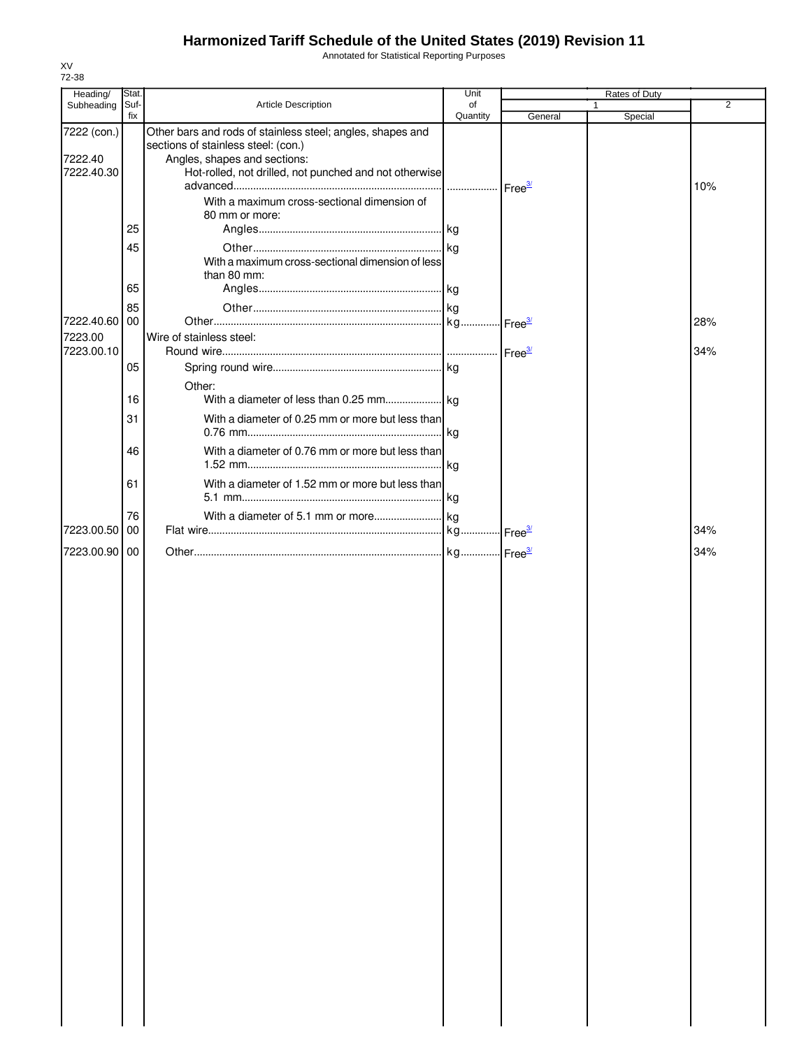Annotated for Statistical Reporting Purposes

| Heading/               | Stat.       |                                                                                                                                   | Unit               |         | Rates of Duty |     |
|------------------------|-------------|-----------------------------------------------------------------------------------------------------------------------------------|--------------------|---------|---------------|-----|
| Subheading             | Suf-<br>fix | Article Description                                                                                                               | of<br>Quantity     | General | 1<br>Special  | 2   |
| 7222 (con.)<br>7222.40 |             | Other bars and rods of stainless steel; angles, shapes and<br>sections of stainless steel: (con.)<br>Angles, shapes and sections: |                    |         |               |     |
| 7222.40.30             |             | Hot-rolled, not drilled, not punched and not otherwise                                                                            | Free <sup>3/</sup> |         |               | 10% |
|                        |             | With a maximum cross-sectional dimension of<br>80 mm or more:                                                                     |                    |         |               |     |
|                        | 25          |                                                                                                                                   |                    |         |               |     |
|                        | 45          | With a maximum cross-sectional dimension of less<br>than 80 mm:                                                                   |                    |         |               |     |
|                        | 65          |                                                                                                                                   |                    |         |               |     |
| 7222.40.60             | 85<br>00    |                                                                                                                                   |                    |         |               | 28% |
| 7223.00<br>7223.00.10  |             | Wire of stainless steel:                                                                                                          |                    |         |               | 34% |
|                        | 05          |                                                                                                                                   |                    |         |               |     |
|                        | 16          | Other:                                                                                                                            |                    |         |               |     |
|                        | 31          | With a diameter of 0.25 mm or more but less than                                                                                  |                    |         |               |     |
|                        | 46          | With a diameter of 0.76 mm or more but less than                                                                                  |                    |         |               |     |
|                        | 61          | With a diameter of 1.52 mm or more but less than                                                                                  |                    |         |               |     |
| 7223.00.50             | 76<br>00    |                                                                                                                                   |                    |         |               | 34% |
| 7223.00.90 00          |             |                                                                                                                                   |                    |         |               | 34% |
|                        |             |                                                                                                                                   |                    |         |               |     |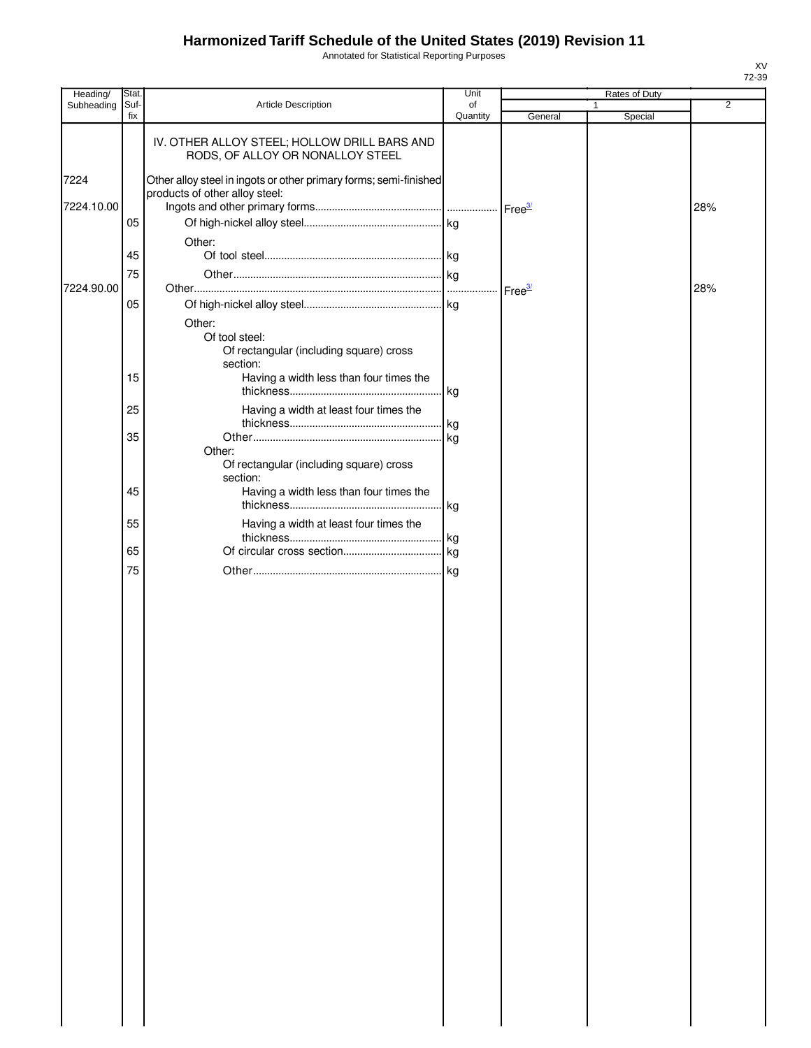Annotated for Statistical Reporting Purposes

| Heading/   | Stat.       |                                                                                                     | Unit           |                    | Rates of Duty           |                |
|------------|-------------|-----------------------------------------------------------------------------------------------------|----------------|--------------------|-------------------------|----------------|
| Subheading | Suf-<br>fix | Article Description                                                                                 | of<br>Quantity | General            | $\mathbf{1}$<br>Special | $\overline{2}$ |
|            |             | IV. OTHER ALLOY STEEL; HOLLOW DRILL BARS AND<br>RODS, OF ALLOY OR NONALLOY STEEL                    |                |                    |                         |                |
| 7224       |             | Other alloy steel in ingots or other primary forms; semi-finished<br>products of other alloy steel: |                |                    |                         |                |
| 7224.10.00 | 05          |                                                                                                     |                |                    |                         | 28%            |
|            |             | Other:                                                                                              |                |                    |                         |                |
|            | 45          |                                                                                                     |                |                    |                         |                |
| 7224.90.00 | 75          |                                                                                                     |                | Free <sup>3/</sup> |                         | 28%            |
|            | 05          |                                                                                                     |                |                    |                         |                |
|            |             | Other:                                                                                              |                |                    |                         |                |
|            |             | Of tool steel:<br>Of rectangular (including square) cross<br>section:                               |                |                    |                         |                |
|            | 15          | Having a width less than four times the                                                             |                |                    |                         |                |
|            | 25          | Having a width at least four times the                                                              |                |                    |                         |                |
|            | 35          |                                                                                                     | kg<br>. kg     |                    |                         |                |
|            |             | Other:<br>Of rectangular (including square) cross<br>section:                                       |                |                    |                         |                |
|            | 45          | Having a width less than four times the                                                             |                |                    |                         |                |
|            | 55          | Having a width at least four times the                                                              |                |                    |                         |                |
|            |             |                                                                                                     |                |                    |                         |                |
|            | 65<br>75    |                                                                                                     |                |                    |                         |                |
|            |             |                                                                                                     |                |                    |                         |                |
|            |             |                                                                                                     |                |                    |                         |                |
|            |             |                                                                                                     |                |                    |                         |                |
|            |             |                                                                                                     |                |                    |                         |                |
|            |             |                                                                                                     |                |                    |                         |                |
|            |             |                                                                                                     |                |                    |                         |                |
|            |             |                                                                                                     |                |                    |                         |                |
|            |             |                                                                                                     |                |                    |                         |                |
|            |             |                                                                                                     |                |                    |                         |                |
|            |             |                                                                                                     |                |                    |                         |                |
|            |             |                                                                                                     |                |                    |                         |                |
|            |             |                                                                                                     |                |                    |                         |                |
|            |             |                                                                                                     |                |                    |                         |                |
|            |             |                                                                                                     |                |                    |                         |                |
|            |             |                                                                                                     |                |                    |                         |                |
|            |             |                                                                                                     |                |                    |                         |                |
|            |             |                                                                                                     |                |                    |                         |                |
|            |             |                                                                                                     |                |                    |                         |                |
|            |             |                                                                                                     |                |                    |                         |                |
|            |             |                                                                                                     |                |                    |                         |                |
|            |             |                                                                                                     |                |                    |                         |                |
|            |             |                                                                                                     |                |                    |                         |                |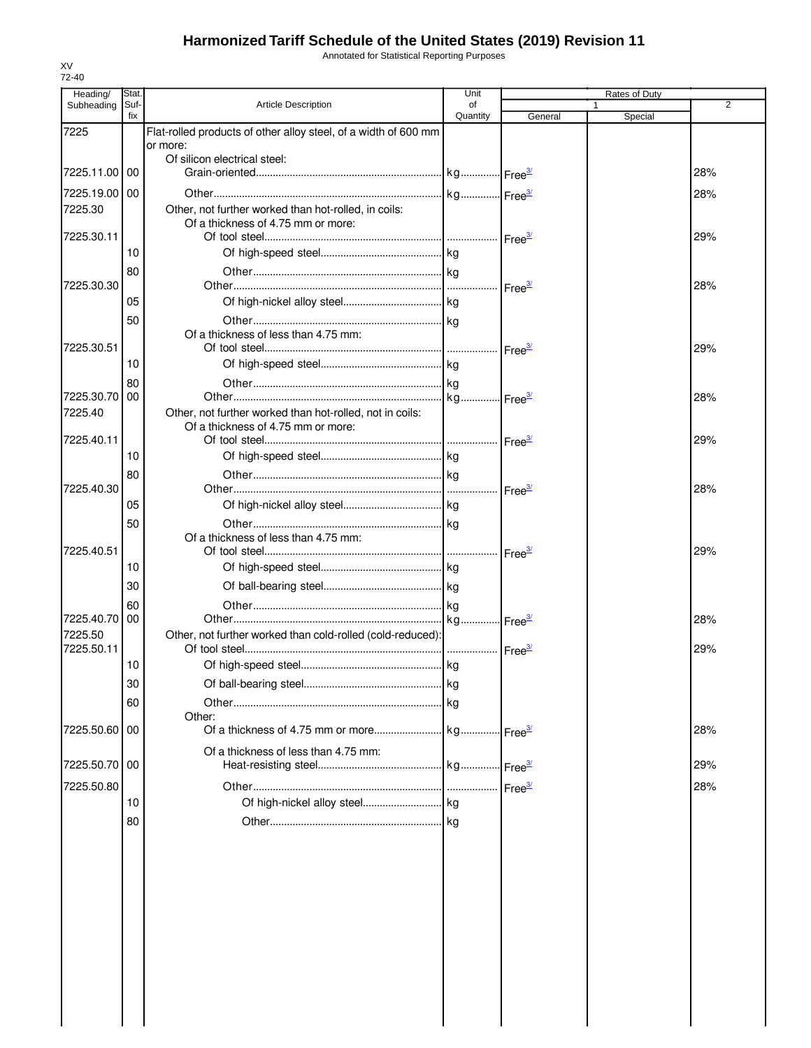Annotated for Statistical Reporting Purposes

| fix<br>Quantity<br>Special<br>General<br>Flat-rolled products of other alloy steel, of a width of 600 mm<br>or more:<br>Of silicon electrical steel:<br>7225.11.00 00<br>28%<br>7225.19.00   00<br>28%<br>7225.30<br>Other, not further worked than hot-rolled, in coils:<br>Of a thickness of 4.75 mm or more:<br>7225.30.11<br>29%<br>10<br>80<br>7225.30.30<br>28%<br>Free <sup>3/</sup><br>05<br>50<br>Of a thickness of less than 4.75 mm:<br>7225.30.51<br>29%<br>10<br>80<br>7225.30.70   00<br>28%<br>Other, not further worked than hot-rolled, not in coils:<br>7225.40<br>Of a thickness of 4.75 mm or more:<br>7225.40.11<br>29%<br>10<br>80<br>7225.40.30<br>28%<br>Free <sup>3/</sup><br>05<br>50<br>Of a thickness of less than 4.75 mm:<br>7225.40.51<br>29%<br>$r = e^{\frac{3}{2}}$<br>10<br>30<br>60<br>7225.40.70 00<br>28%<br>Other, not further worked than cold-rolled (cold-reduced):<br>29%<br>10<br>30<br>60<br>Other:<br>7225.50.60 00<br>28%<br>Of a thickness of less than 4.75 mm:<br>7225.50.70 00<br>29%<br>28%<br>10<br>80 | Heading/<br>Subheading | Stat<br>Suf- | <b>Article Description</b> | Unit<br>of | Rates of Duty<br>$\mathbf{1}$ | 2 |
|-------------------------------------------------------------------------------------------------------------------------------------------------------------------------------------------------------------------------------------------------------------------------------------------------------------------------------------------------------------------------------------------------------------------------------------------------------------------------------------------------------------------------------------------------------------------------------------------------------------------------------------------------------------------------------------------------------------------------------------------------------------------------------------------------------------------------------------------------------------------------------------------------------------------------------------------------------------------------------------------------------------------------------------------------------------|------------------------|--------------|----------------------------|------------|-------------------------------|---|
|                                                                                                                                                                                                                                                                                                                                                                                                                                                                                                                                                                                                                                                                                                                                                                                                                                                                                                                                                                                                                                                             |                        |              |                            |            |                               |   |
|                                                                                                                                                                                                                                                                                                                                                                                                                                                                                                                                                                                                                                                                                                                                                                                                                                                                                                                                                                                                                                                             | 7225                   |              |                            |            |                               |   |
|                                                                                                                                                                                                                                                                                                                                                                                                                                                                                                                                                                                                                                                                                                                                                                                                                                                                                                                                                                                                                                                             |                        |              |                            |            |                               |   |
|                                                                                                                                                                                                                                                                                                                                                                                                                                                                                                                                                                                                                                                                                                                                                                                                                                                                                                                                                                                                                                                             |                        |              |                            |            |                               |   |
|                                                                                                                                                                                                                                                                                                                                                                                                                                                                                                                                                                                                                                                                                                                                                                                                                                                                                                                                                                                                                                                             |                        |              |                            |            |                               |   |
|                                                                                                                                                                                                                                                                                                                                                                                                                                                                                                                                                                                                                                                                                                                                                                                                                                                                                                                                                                                                                                                             |                        |              |                            |            |                               |   |
|                                                                                                                                                                                                                                                                                                                                                                                                                                                                                                                                                                                                                                                                                                                                                                                                                                                                                                                                                                                                                                                             |                        |              |                            |            |                               |   |
|                                                                                                                                                                                                                                                                                                                                                                                                                                                                                                                                                                                                                                                                                                                                                                                                                                                                                                                                                                                                                                                             |                        |              |                            |            |                               |   |
|                                                                                                                                                                                                                                                                                                                                                                                                                                                                                                                                                                                                                                                                                                                                                                                                                                                                                                                                                                                                                                                             |                        |              |                            |            |                               |   |
|                                                                                                                                                                                                                                                                                                                                                                                                                                                                                                                                                                                                                                                                                                                                                                                                                                                                                                                                                                                                                                                             |                        |              |                            |            |                               |   |
|                                                                                                                                                                                                                                                                                                                                                                                                                                                                                                                                                                                                                                                                                                                                                                                                                                                                                                                                                                                                                                                             |                        |              |                            |            |                               |   |
|                                                                                                                                                                                                                                                                                                                                                                                                                                                                                                                                                                                                                                                                                                                                                                                                                                                                                                                                                                                                                                                             |                        |              |                            |            |                               |   |
|                                                                                                                                                                                                                                                                                                                                                                                                                                                                                                                                                                                                                                                                                                                                                                                                                                                                                                                                                                                                                                                             |                        |              |                            |            |                               |   |
|                                                                                                                                                                                                                                                                                                                                                                                                                                                                                                                                                                                                                                                                                                                                                                                                                                                                                                                                                                                                                                                             |                        |              |                            |            |                               |   |
|                                                                                                                                                                                                                                                                                                                                                                                                                                                                                                                                                                                                                                                                                                                                                                                                                                                                                                                                                                                                                                                             |                        |              |                            |            |                               |   |
|                                                                                                                                                                                                                                                                                                                                                                                                                                                                                                                                                                                                                                                                                                                                                                                                                                                                                                                                                                                                                                                             |                        |              |                            |            |                               |   |
|                                                                                                                                                                                                                                                                                                                                                                                                                                                                                                                                                                                                                                                                                                                                                                                                                                                                                                                                                                                                                                                             |                        |              |                            |            |                               |   |
|                                                                                                                                                                                                                                                                                                                                                                                                                                                                                                                                                                                                                                                                                                                                                                                                                                                                                                                                                                                                                                                             |                        |              |                            |            |                               |   |
|                                                                                                                                                                                                                                                                                                                                                                                                                                                                                                                                                                                                                                                                                                                                                                                                                                                                                                                                                                                                                                                             |                        |              |                            |            |                               |   |
|                                                                                                                                                                                                                                                                                                                                                                                                                                                                                                                                                                                                                                                                                                                                                                                                                                                                                                                                                                                                                                                             |                        |              |                            |            |                               |   |
|                                                                                                                                                                                                                                                                                                                                                                                                                                                                                                                                                                                                                                                                                                                                                                                                                                                                                                                                                                                                                                                             |                        |              |                            |            |                               |   |
|                                                                                                                                                                                                                                                                                                                                                                                                                                                                                                                                                                                                                                                                                                                                                                                                                                                                                                                                                                                                                                                             |                        |              |                            |            |                               |   |
|                                                                                                                                                                                                                                                                                                                                                                                                                                                                                                                                                                                                                                                                                                                                                                                                                                                                                                                                                                                                                                                             |                        |              |                            |            |                               |   |
|                                                                                                                                                                                                                                                                                                                                                                                                                                                                                                                                                                                                                                                                                                                                                                                                                                                                                                                                                                                                                                                             |                        |              |                            |            |                               |   |
|                                                                                                                                                                                                                                                                                                                                                                                                                                                                                                                                                                                                                                                                                                                                                                                                                                                                                                                                                                                                                                                             |                        |              |                            |            |                               |   |
|                                                                                                                                                                                                                                                                                                                                                                                                                                                                                                                                                                                                                                                                                                                                                                                                                                                                                                                                                                                                                                                             |                        |              |                            |            |                               |   |
|                                                                                                                                                                                                                                                                                                                                                                                                                                                                                                                                                                                                                                                                                                                                                                                                                                                                                                                                                                                                                                                             |                        |              |                            |            |                               |   |
|                                                                                                                                                                                                                                                                                                                                                                                                                                                                                                                                                                                                                                                                                                                                                                                                                                                                                                                                                                                                                                                             |                        |              |                            |            |                               |   |
|                                                                                                                                                                                                                                                                                                                                                                                                                                                                                                                                                                                                                                                                                                                                                                                                                                                                                                                                                                                                                                                             |                        |              |                            |            |                               |   |
|                                                                                                                                                                                                                                                                                                                                                                                                                                                                                                                                                                                                                                                                                                                                                                                                                                                                                                                                                                                                                                                             | 7225.50                |              |                            |            |                               |   |
|                                                                                                                                                                                                                                                                                                                                                                                                                                                                                                                                                                                                                                                                                                                                                                                                                                                                                                                                                                                                                                                             | 7225.50.11             |              |                            |            |                               |   |
|                                                                                                                                                                                                                                                                                                                                                                                                                                                                                                                                                                                                                                                                                                                                                                                                                                                                                                                                                                                                                                                             |                        |              |                            |            |                               |   |
|                                                                                                                                                                                                                                                                                                                                                                                                                                                                                                                                                                                                                                                                                                                                                                                                                                                                                                                                                                                                                                                             |                        |              |                            |            |                               |   |
|                                                                                                                                                                                                                                                                                                                                                                                                                                                                                                                                                                                                                                                                                                                                                                                                                                                                                                                                                                                                                                                             |                        |              |                            |            |                               |   |
|                                                                                                                                                                                                                                                                                                                                                                                                                                                                                                                                                                                                                                                                                                                                                                                                                                                                                                                                                                                                                                                             |                        |              |                            |            |                               |   |
|                                                                                                                                                                                                                                                                                                                                                                                                                                                                                                                                                                                                                                                                                                                                                                                                                                                                                                                                                                                                                                                             |                        |              |                            |            |                               |   |
|                                                                                                                                                                                                                                                                                                                                                                                                                                                                                                                                                                                                                                                                                                                                                                                                                                                                                                                                                                                                                                                             |                        |              |                            |            |                               |   |
|                                                                                                                                                                                                                                                                                                                                                                                                                                                                                                                                                                                                                                                                                                                                                                                                                                                                                                                                                                                                                                                             |                        |              |                            |            |                               |   |
|                                                                                                                                                                                                                                                                                                                                                                                                                                                                                                                                                                                                                                                                                                                                                                                                                                                                                                                                                                                                                                                             |                        |              |                            |            |                               |   |
|                                                                                                                                                                                                                                                                                                                                                                                                                                                                                                                                                                                                                                                                                                                                                                                                                                                                                                                                                                                                                                                             |                        |              |                            |            |                               |   |
|                                                                                                                                                                                                                                                                                                                                                                                                                                                                                                                                                                                                                                                                                                                                                                                                                                                                                                                                                                                                                                                             |                        |              |                            |            |                               |   |
|                                                                                                                                                                                                                                                                                                                                                                                                                                                                                                                                                                                                                                                                                                                                                                                                                                                                                                                                                                                                                                                             | 7225.50.80             |              |                            |            |                               |   |
|                                                                                                                                                                                                                                                                                                                                                                                                                                                                                                                                                                                                                                                                                                                                                                                                                                                                                                                                                                                                                                                             |                        |              |                            |            |                               |   |
|                                                                                                                                                                                                                                                                                                                                                                                                                                                                                                                                                                                                                                                                                                                                                                                                                                                                                                                                                                                                                                                             |                        |              |                            |            |                               |   |
|                                                                                                                                                                                                                                                                                                                                                                                                                                                                                                                                                                                                                                                                                                                                                                                                                                                                                                                                                                                                                                                             |                        |              |                            |            |                               |   |
|                                                                                                                                                                                                                                                                                                                                                                                                                                                                                                                                                                                                                                                                                                                                                                                                                                                                                                                                                                                                                                                             |                        |              |                            |            |                               |   |
|                                                                                                                                                                                                                                                                                                                                                                                                                                                                                                                                                                                                                                                                                                                                                                                                                                                                                                                                                                                                                                                             |                        |              |                            |            |                               |   |
|                                                                                                                                                                                                                                                                                                                                                                                                                                                                                                                                                                                                                                                                                                                                                                                                                                                                                                                                                                                                                                                             |                        |              |                            |            |                               |   |
|                                                                                                                                                                                                                                                                                                                                                                                                                                                                                                                                                                                                                                                                                                                                                                                                                                                                                                                                                                                                                                                             |                        |              |                            |            |                               |   |
|                                                                                                                                                                                                                                                                                                                                                                                                                                                                                                                                                                                                                                                                                                                                                                                                                                                                                                                                                                                                                                                             |                        |              |                            |            |                               |   |
|                                                                                                                                                                                                                                                                                                                                                                                                                                                                                                                                                                                                                                                                                                                                                                                                                                                                                                                                                                                                                                                             |                        |              |                            |            |                               |   |
|                                                                                                                                                                                                                                                                                                                                                                                                                                                                                                                                                                                                                                                                                                                                                                                                                                                                                                                                                                                                                                                             |                        |              |                            |            |                               |   |
|                                                                                                                                                                                                                                                                                                                                                                                                                                                                                                                                                                                                                                                                                                                                                                                                                                                                                                                                                                                                                                                             |                        |              |                            |            |                               |   |
|                                                                                                                                                                                                                                                                                                                                                                                                                                                                                                                                                                                                                                                                                                                                                                                                                                                                                                                                                                                                                                                             |                        |              |                            |            |                               |   |

XV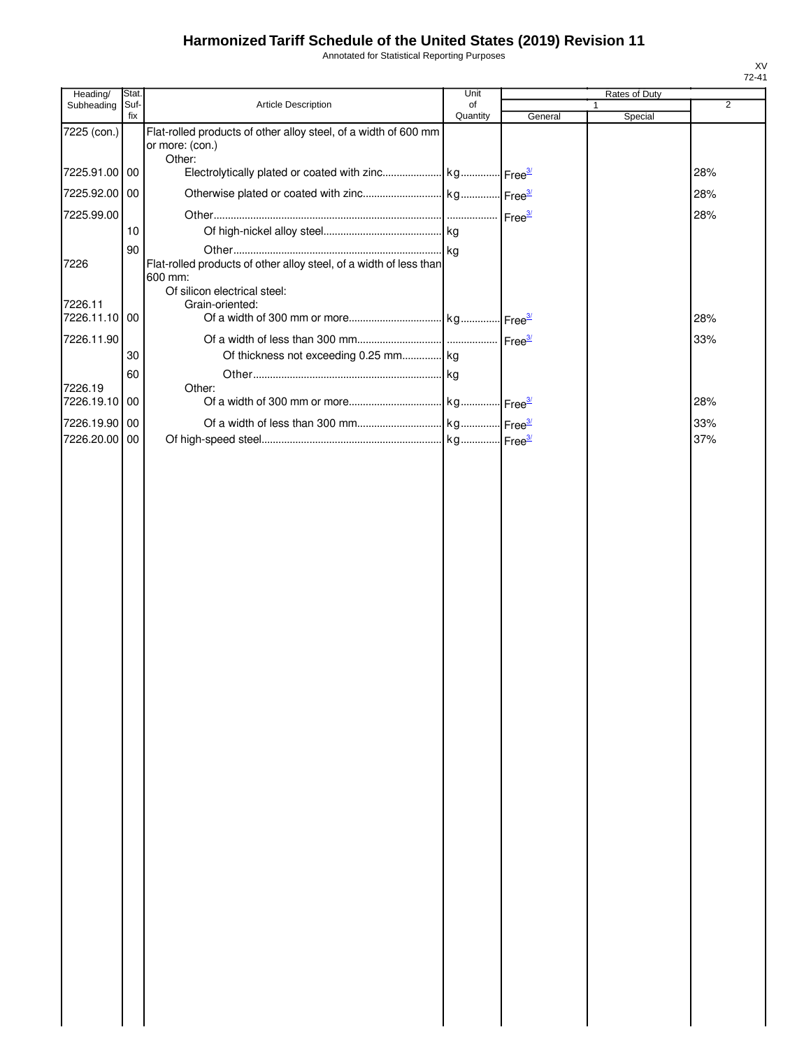Annotated for Statistical Reporting Purposes

| Heading/      | Stat.       |                                                                                    | Unit           |         | Rates of Duty |                |
|---------------|-------------|------------------------------------------------------------------------------------|----------------|---------|---------------|----------------|
| Subheading    | Suf-<br>fix | Article Description                                                                | of<br>Quantity | General | 1<br>Special  | $\overline{2}$ |
| 7225 (con.)   |             | Flat-rolled products of other alloy steel, of a width of 600 mm<br>or more: (con.) |                |         |               |                |
| 7225.91.00 00 |             | Other:                                                                             |                |         |               | 28%            |
| 7225.92.00 00 |             |                                                                                    |                |         |               | 28%            |
| 7225.99.00    |             |                                                                                    |                |         |               | 28%            |
|               | 10          |                                                                                    |                |         |               |                |
| 7226          | 90          | Flat-rolled products of other alloy steel, of a width of less than<br>600 mm:      |                |         |               |                |
| 7226.11       |             | Of silicon electrical steel:<br>Grain-oriented:                                    |                |         |               |                |
| 7226.11.10 00 |             |                                                                                    |                |         |               | 28%            |
| 7226.11.90    |             |                                                                                    |                |         |               | 33%            |
|               | 30          | Of thickness not exceeding 0.25 mm kg                                              |                |         |               |                |
| 7226.19       | 60          | Other:                                                                             |                |         |               |                |
| 7226.19.10 00 |             |                                                                                    |                |         |               | 28%            |
| 7226.19.90 00 |             |                                                                                    |                |         |               | 33%            |
| 7226.20.00 00 |             |                                                                                    |                |         |               | 37%            |
|               |             |                                                                                    |                |         |               |                |
|               |             |                                                                                    |                |         |               |                |
|               |             |                                                                                    |                |         |               |                |
|               |             |                                                                                    |                |         |               |                |
|               |             |                                                                                    |                |         |               |                |
|               |             |                                                                                    |                |         |               |                |
|               |             |                                                                                    |                |         |               |                |
|               |             |                                                                                    |                |         |               |                |
|               |             |                                                                                    |                |         |               |                |
|               |             |                                                                                    |                |         |               |                |
|               |             |                                                                                    |                |         |               |                |
|               |             |                                                                                    |                |         |               |                |
|               |             |                                                                                    |                |         |               |                |
|               |             |                                                                                    |                |         |               |                |
|               |             |                                                                                    |                |         |               |                |
|               |             |                                                                                    |                |         |               |                |
|               |             |                                                                                    |                |         |               |                |
|               |             |                                                                                    |                |         |               |                |
|               |             |                                                                                    |                |         |               |                |
|               |             |                                                                                    |                |         |               |                |
|               |             |                                                                                    |                |         |               |                |
|               |             |                                                                                    |                |         |               |                |
|               |             |                                                                                    |                |         |               |                |
|               |             |                                                                                    |                |         |               |                |
|               |             |                                                                                    |                |         |               |                |
|               |             |                                                                                    |                |         |               |                |
|               |             |                                                                                    |                |         |               |                |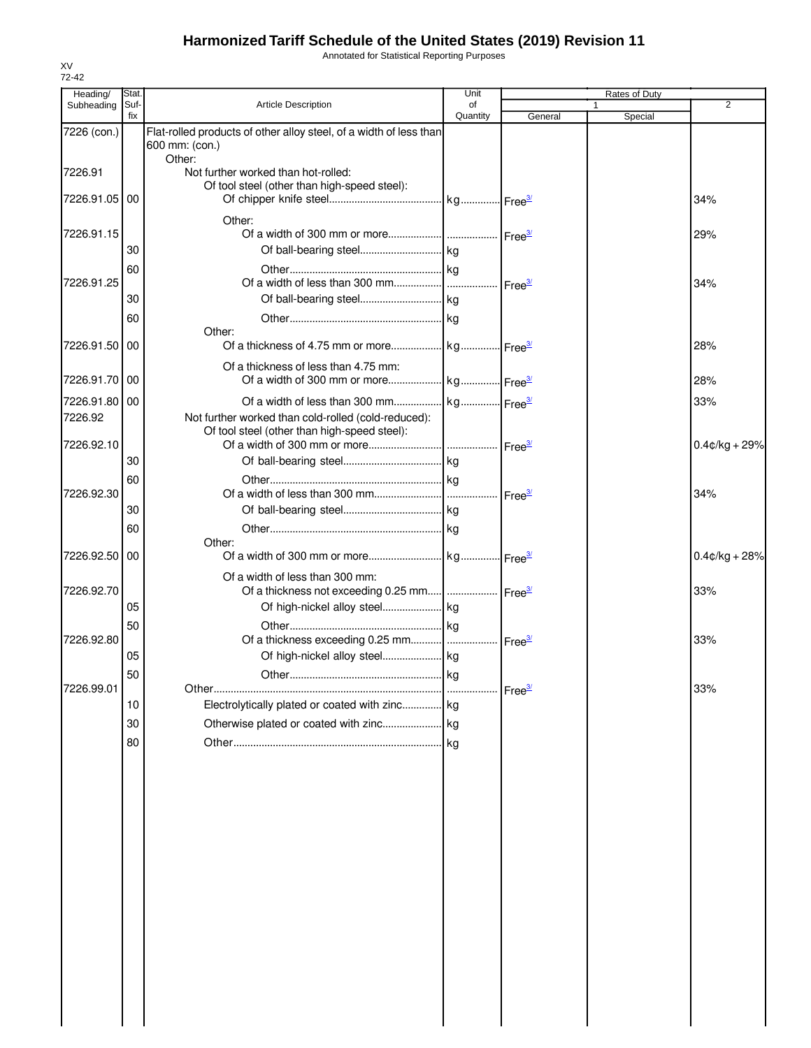Annotated for Statistical Reporting Purposes

| Heading/                       | Stat.       |                                                                                                     | Unit           |                    | Rates of Duty           |                  |
|--------------------------------|-------------|-----------------------------------------------------------------------------------------------------|----------------|--------------------|-------------------------|------------------|
| Subheading                     | Suf-<br>fix | <b>Article Description</b>                                                                          | of<br>Quantity | General            | $\mathbf{1}$<br>Special | 2                |
| 7226 (con.)                    |             | Flat-rolled products of other alloy steel, of a width of less than<br>600 mm: (con.)                |                |                    |                         |                  |
| 7226.91                        |             | Other:<br>Not further worked than hot-rolled:                                                       |                |                    |                         |                  |
| 7226.91.05                     | 00          | Of tool steel (other than high-speed steel):                                                        |                |                    |                         | 34%              |
| 7226.91.15                     | 30          | Other:                                                                                              |                |                    |                         | 29%              |
| 7226.91.25                     | 60          |                                                                                                     |                |                    |                         |                  |
|                                | 30          |                                                                                                     | .              | Free <sup>3/</sup> |                         | 34%              |
| 7226.91.50                     | 60<br>00    | Other:                                                                                              |                |                    |                         | 28%              |
|                                |             | Of a thickness of less than 4.75 mm:                                                                |                |                    |                         |                  |
| 7226.91.70 00<br>7226.91.80 00 |             |                                                                                                     |                |                    |                         | 28%<br>33%       |
| 7226.92                        |             | Not further worked than cold-rolled (cold-reduced):<br>Of tool steel (other than high-speed steel): |                |                    |                         |                  |
| 7226.92.10                     | 30          |                                                                                                     |                |                    |                         | $0.4$ ¢/kg + 29% |
| 7226.92.30                     | 60          |                                                                                                     |                |                    |                         | 34%              |
|                                | 30<br>60    |                                                                                                     |                |                    |                         |                  |
| 7226.92.50                     | 00          | Other:                                                                                              |                |                    |                         | $0.4$ ¢/kg + 28% |
| 7226.92.70                     |             | Of a width of less than 300 mm:<br>Of a thickness not exceeding 0.25 mm    Free3                    |                |                    |                         | 33%              |
|                                | 05<br>50    |                                                                                                     |                |                    |                         |                  |
| 7226.92.80                     | 05          |                                                                                                     |                |                    |                         | 33%              |
| 7226.99.01                     | 50          |                                                                                                     | . kg           | Free <sup>3/</sup> |                         | 33%              |
|                                | 10<br>30    | Electrolytically plated or coated with zinc kg                                                      |                |                    |                         |                  |
|                                | 80          |                                                                                                     |                |                    |                         |                  |
|                                |             |                                                                                                     |                |                    |                         |                  |
|                                |             |                                                                                                     |                |                    |                         |                  |
|                                |             |                                                                                                     |                |                    |                         |                  |
|                                |             |                                                                                                     |                |                    |                         |                  |
|                                |             |                                                                                                     |                |                    |                         |                  |
|                                |             |                                                                                                     |                |                    |                         |                  |
|                                |             |                                                                                                     |                |                    |                         |                  |
|                                |             |                                                                                                     |                |                    |                         |                  |
|                                |             |                                                                                                     |                |                    |                         |                  |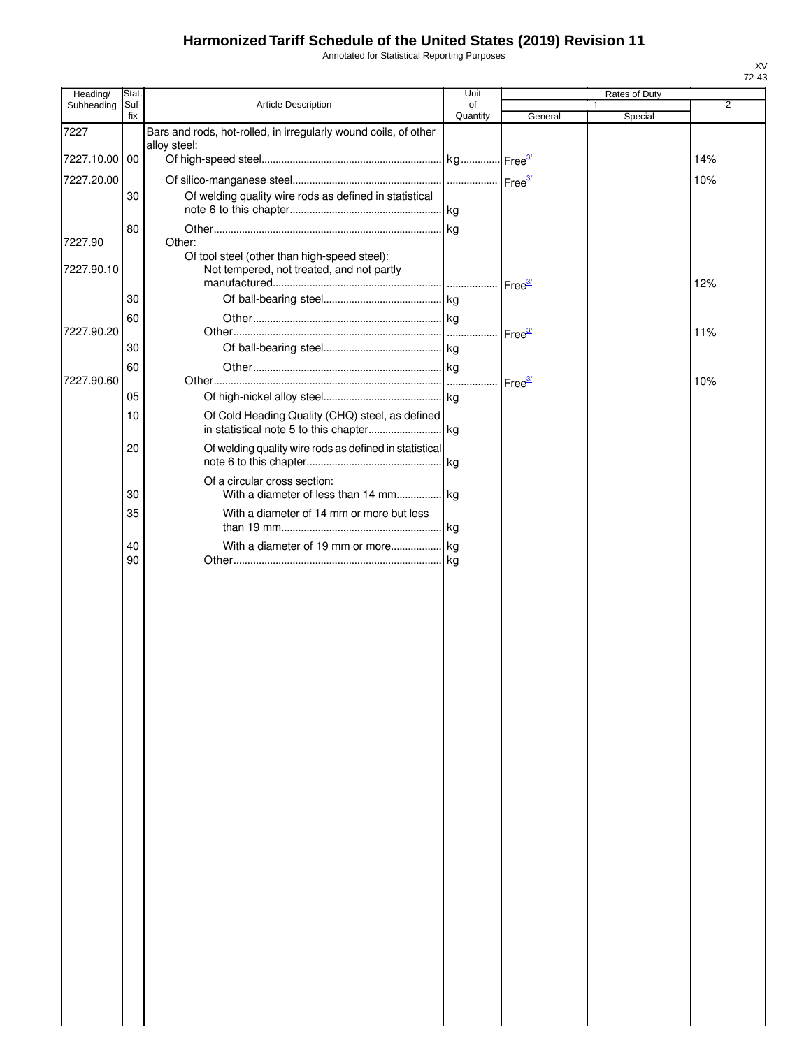Annotated for Statistical Reporting Purposes

| Stat. |                                                                                           | Unit                                                                                                                                          |                                                                                                                                                                | Rates of Duty                                       |         |
|-------|-------------------------------------------------------------------------------------------|-----------------------------------------------------------------------------------------------------------------------------------------------|----------------------------------------------------------------------------------------------------------------------------------------------------------------|-----------------------------------------------------|---------|
| Suf-  |                                                                                           | of                                                                                                                                            |                                                                                                                                                                | 1                                                   | 2       |
|       |                                                                                           |                                                                                                                                               |                                                                                                                                                                |                                                     |         |
|       | alloy steel:                                                                              |                                                                                                                                               |                                                                                                                                                                |                                                     |         |
|       |                                                                                           |                                                                                                                                               |                                                                                                                                                                |                                                     | 14%     |
|       |                                                                                           |                                                                                                                                               | Free <sup>3/</sup>                                                                                                                                             |                                                     | 10%     |
| 30    | Of welding quality wire rods as defined in statistical                                    |                                                                                                                                               |                                                                                                                                                                |                                                     |         |
|       |                                                                                           |                                                                                                                                               |                                                                                                                                                                |                                                     |         |
|       |                                                                                           |                                                                                                                                               |                                                                                                                                                                |                                                     |         |
|       | Of tool steel (other than high-speed steel):<br>Not tempered, not treated, and not partly |                                                                                                                                               |                                                                                                                                                                |                                                     |         |
|       |                                                                                           |                                                                                                                                               |                                                                                                                                                                |                                                     | 12%     |
|       |                                                                                           |                                                                                                                                               |                                                                                                                                                                |                                                     |         |
|       |                                                                                           |                                                                                                                                               |                                                                                                                                                                |                                                     | 11%     |
| 30    |                                                                                           |                                                                                                                                               |                                                                                                                                                                |                                                     |         |
|       |                                                                                           |                                                                                                                                               |                                                                                                                                                                |                                                     |         |
|       |                                                                                           |                                                                                                                                               | Free <sup>3/</sup>                                                                                                                                             |                                                     | 10%     |
| 05    |                                                                                           |                                                                                                                                               |                                                                                                                                                                |                                                     |         |
| 10    |                                                                                           |                                                                                                                                               |                                                                                                                                                                |                                                     |         |
| 20    |                                                                                           |                                                                                                                                               |                                                                                                                                                                |                                                     |         |
| 30    | Of a circular cross section:                                                              |                                                                                                                                               |                                                                                                                                                                |                                                     |         |
|       |                                                                                           |                                                                                                                                               |                                                                                                                                                                |                                                     |         |
|       |                                                                                           |                                                                                                                                               |                                                                                                                                                                |                                                     |         |
|       |                                                                                           |                                                                                                                                               |                                                                                                                                                                |                                                     |         |
|       |                                                                                           |                                                                                                                                               |                                                                                                                                                                |                                                     |         |
|       | fix<br>7227.10.00 00<br>80<br>30<br>60<br>60<br>35<br>40<br>90                            | Article Description<br>Bars and rods, hot-rolled, in irregularly wound coils, of other<br>Other:<br>With a diameter of 14 mm or more but less | Quantity<br>Of Cold Heading Quality (CHQ) steel, as defined<br>Of welding quality wire rods as defined in statistical<br>With a diameter of less than 14 mm kg | General<br>Free <sup>3/</sup><br>Free <sup>3/</sup> | Special |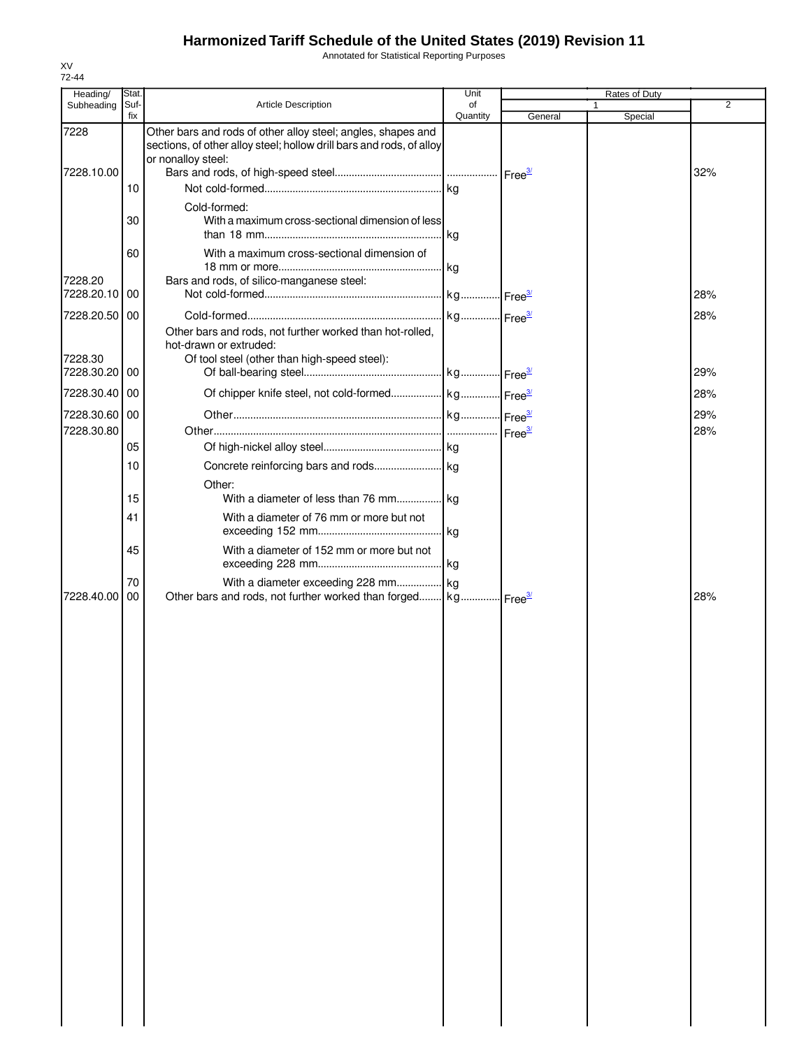Annotated for Statistical Reporting Purposes

| Heading/              | Stat.       |                                                                                                                                                            | Unit           |         | Rates of Duty |     |
|-----------------------|-------------|------------------------------------------------------------------------------------------------------------------------------------------------------------|----------------|---------|---------------|-----|
| Subheading            | Suf-<br>fix | <b>Article Description</b>                                                                                                                                 | of<br>Quantity | General | 1<br>Special  | 2   |
| 7228                  |             | Other bars and rods of other alloy steel; angles, shapes and<br>sections, of other alloy steel; hollow drill bars and rods, of alloy<br>or nonalloy steel: |                |         |               |     |
| 7228.10.00            |             |                                                                                                                                                            |                |         |               | 32% |
|                       | 10          |                                                                                                                                                            |                |         |               |     |
|                       | 30          | Cold-formed:<br>With a maximum cross-sectional dimension of less                                                                                           |                |         |               |     |
|                       | 60          | With a maximum cross-sectional dimension of                                                                                                                |                |         |               |     |
| 7228.20<br>7228.20.10 | 00          | Bars and rods, of silico-manganese steel:                                                                                                                  |                |         |               | 28% |
| 7228.20.50 00         |             |                                                                                                                                                            |                |         |               | 28% |
| 7228.30<br>7228.30.20 | 00          | Other bars and rods, not further worked than hot-rolled,<br>hot-drawn or extruded:<br>Of tool steel (other than high-speed steel):                         |                |         |               | 29% |
| 7228.30.40 00         |             |                                                                                                                                                            |                |         |               | 28% |
|                       |             |                                                                                                                                                            |                |         |               |     |
| 7228.30.60 00         |             |                                                                                                                                                            |                |         |               | 29% |
| 7228.30.80            | 05          |                                                                                                                                                            |                |         |               | 28% |
|                       | 10          |                                                                                                                                                            |                |         |               |     |
|                       |             | Other:                                                                                                                                                     |                |         |               |     |
|                       | 15          | With a diameter of less than 76 mm kg                                                                                                                      |                |         |               |     |
|                       | 41          | With a diameter of 76 mm or more but not                                                                                                                   |                |         |               |     |
|                       | 45          | With a diameter of 152 mm or more but not                                                                                                                  |                |         |               |     |
|                       | 70          | With a diameter exceeding 228 mm kg                                                                                                                        |                |         |               |     |
| 7228.40.00            | 00          | Other bars and rods, not further worked than forged kg Free 3/                                                                                             |                |         |               | 28% |
|                       |             |                                                                                                                                                            |                |         |               |     |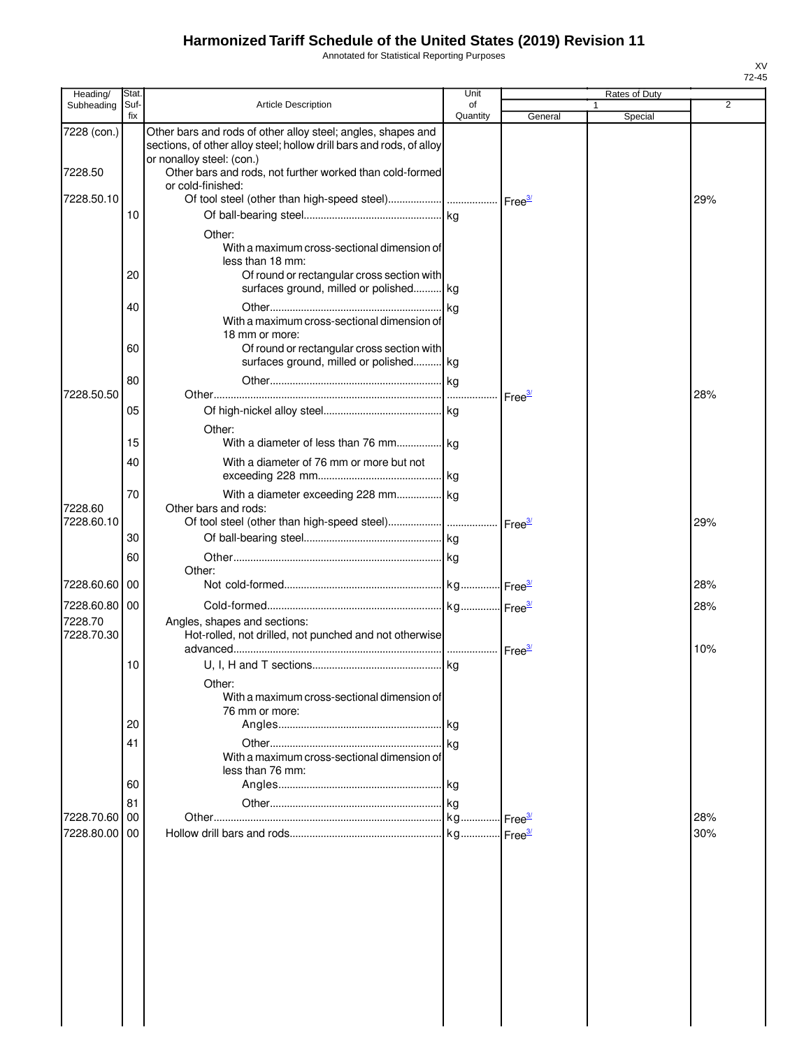Annotated for Statistical Reporting Purposes

| Heading/                               | Stat.       |                                                                                                                                                                   | Unit           |                    | Rates of Duty |            |
|----------------------------------------|-------------|-------------------------------------------------------------------------------------------------------------------------------------------------------------------|----------------|--------------------|---------------|------------|
| Subheading                             | Suf-<br>fix | <b>Article Description</b>                                                                                                                                        | οf<br>Quantity | General            | 1<br>Special  | 2          |
| 7228 (con.)                            |             | Other bars and rods of other alloy steel; angles, shapes and<br>sections, of other alloy steel; hollow drill bars and rods, of alloy<br>or nonalloy steel: (con.) |                |                    |               |            |
| 7228.50                                |             | Other bars and rods, not further worked than cold-formed<br>or cold-finished:                                                                                     |                |                    |               |            |
| 7228.50.10                             | 10          |                                                                                                                                                                   |                |                    |               | 29%        |
|                                        |             | Other:                                                                                                                                                            |                |                    |               |            |
|                                        | 20          | With a maximum cross-sectional dimension of<br>less than 18 mm:<br>Of round or rectangular cross section with<br>surfaces ground, milled or polished kg           |                |                    |               |            |
|                                        | 40          | With a maximum cross-sectional dimension of                                                                                                                       |                |                    |               |            |
|                                        | 60          | 18 mm or more:<br>Of round or rectangular cross section with<br>surfaces ground, milled or polished kg                                                            |                |                    |               |            |
| 7228.50.50                             | 80          |                                                                                                                                                                   |                |                    |               | 28%        |
|                                        | 05          |                                                                                                                                                                   |                | Free <sup>37</sup> |               |            |
|                                        | 15          | Other:<br>With a diameter of less than 76 mm kg                                                                                                                   |                |                    |               |            |
|                                        | 40          | With a diameter of 76 mm or more but not                                                                                                                          |                |                    |               |            |
| 7228.60<br>7228.60.10                  | 70          | With a diameter exceeding 228 mm kg<br>Other bars and rods:                                                                                                       |                |                    |               |            |
|                                        | 30          |                                                                                                                                                                   |                |                    |               | 29%        |
|                                        | 60          | Other:                                                                                                                                                            |                |                    |               |            |
| 7228.60.60                             | 00          |                                                                                                                                                                   |                |                    |               | 28%        |
| 7228.60.80 00<br>7228.70<br>7228.70.30 |             | Angles, shapes and sections:<br>Hot-rolled, not drilled, not punched and not otherwise                                                                            |                |                    |               | 28%<br>10% |
|                                        | 10          | Other:<br>With a maximum cross-sectional dimension of                                                                                                             |                |                    |               |            |
|                                        | 20          | 76 mm or more:                                                                                                                                                    |                |                    |               |            |
|                                        | 41          |                                                                                                                                                                   | kg             |                    |               |            |
|                                        |             | With a maximum cross-sectional dimension of<br>less than 76 mm:                                                                                                   |                |                    |               |            |
|                                        | 60<br>81    |                                                                                                                                                                   |                |                    |               |            |
| 7228.70.60                             | 00          |                                                                                                                                                                   |                |                    |               | 28%        |
| 7228.80.00                             | 00          |                                                                                                                                                                   |                |                    |               | 30%        |
|                                        |             |                                                                                                                                                                   |                |                    |               |            |
|                                        |             |                                                                                                                                                                   |                |                    |               |            |
|                                        |             |                                                                                                                                                                   |                |                    |               |            |
|                                        |             |                                                                                                                                                                   |                |                    |               |            |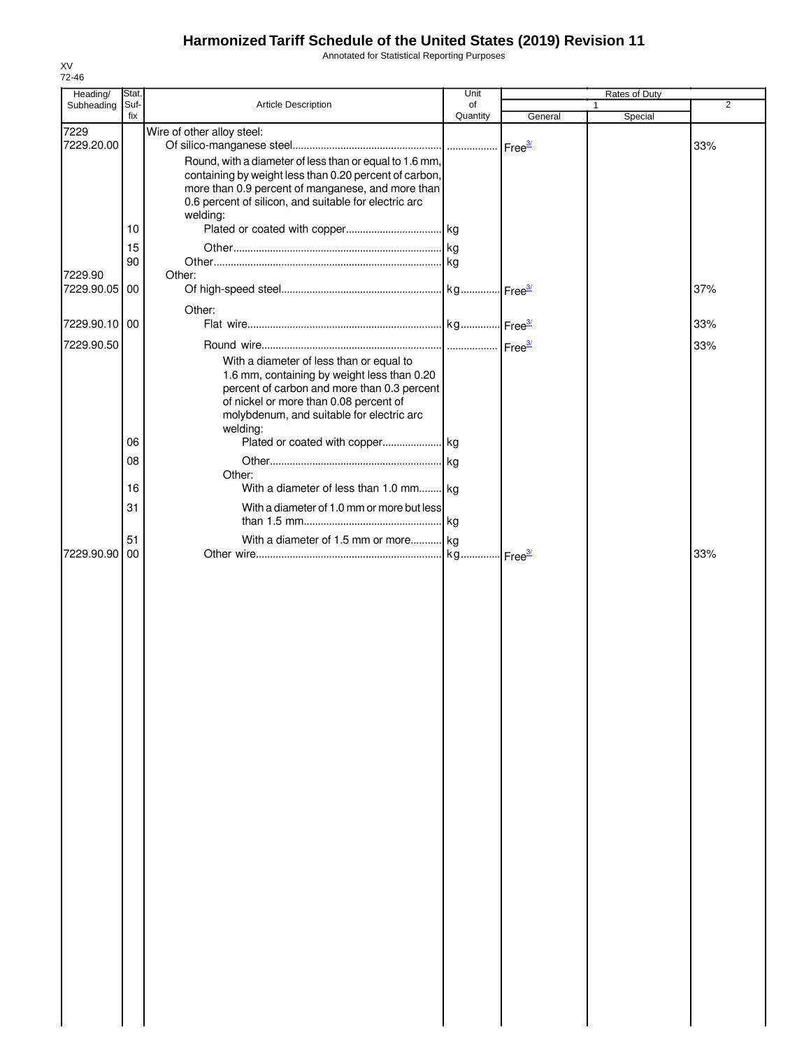Annotated for Statistical Reporting Purposes

| Heading/              | Stat        |                                                                                                            | Unit           |         | Rates of Duty |                |
|-----------------------|-------------|------------------------------------------------------------------------------------------------------------|----------------|---------|---------------|----------------|
| Subheading            | Suf-<br>fix | Article Description                                                                                        | of<br>Quantity | General |               | $\overline{2}$ |
| 7229                  |             | Wire of other alloy steel:                                                                                 |                |         | Special       |                |
| 7229.20.00            |             |                                                                                                            |                |         |               | 33%            |
|                       |             | Round, with a diameter of less than or equal to 1.6 mm,                                                    |                |         |               |                |
|                       |             | containing by weight less than 0.20 percent of carbon,                                                     |                |         |               |                |
|                       |             | more than 0.9 percent of manganese, and more than<br>0.6 percent of silicon, and suitable for electric arc |                |         |               |                |
|                       |             | welding:                                                                                                   |                |         |               |                |
|                       | 10          |                                                                                                            |                |         |               |                |
|                       | 15          |                                                                                                            |                |         |               |                |
|                       | 90          |                                                                                                            |                |         |               |                |
| 7229.90<br>7229.90.05 | 00          | Other:                                                                                                     |                |         |               |                |
|                       |             |                                                                                                            |                |         |               | 37%            |
|                       |             | Other:                                                                                                     |                |         |               |                |
| 7229.90.10 00         |             |                                                                                                            |                |         |               | 33%            |
| 7229.90.50            |             |                                                                                                            |                |         |               | 33%            |
|                       |             | With a diameter of less than or equal to<br>1.6 mm, containing by weight less than 0.20                    |                |         |               |                |
|                       |             | percent of carbon and more than 0.3 percent                                                                |                |         |               |                |
|                       |             | of nickel or more than 0.08 percent of                                                                     |                |         |               |                |
|                       |             | molybdenum, and suitable for electric arc                                                                  |                |         |               |                |
|                       | 06          | welding:                                                                                                   |                |         |               |                |
|                       | 08          |                                                                                                            |                |         |               |                |
|                       |             | Other:                                                                                                     |                |         |               |                |
|                       | 16          | With a diameter of less than 1.0 mm kg                                                                     |                |         |               |                |
|                       | 31          | With a diameter of 1.0 mm or more but less                                                                 |                |         |               |                |
|                       |             |                                                                                                            |                |         |               |                |
|                       | 51          | With a diameter of 1.5 mm or more kg                                                                       |                |         |               |                |
| 7229.90.90            | 00          |                                                                                                            |                |         |               | 33%            |
|                       |             |                                                                                                            |                |         |               |                |
|                       |             |                                                                                                            |                |         |               |                |
|                       |             |                                                                                                            |                |         |               |                |
|                       |             |                                                                                                            |                |         |               |                |
|                       |             |                                                                                                            |                |         |               |                |
|                       |             |                                                                                                            |                |         |               |                |
|                       |             |                                                                                                            |                |         |               |                |
|                       |             |                                                                                                            |                |         |               |                |
|                       |             |                                                                                                            |                |         |               |                |
|                       |             |                                                                                                            |                |         |               |                |
|                       |             |                                                                                                            |                |         |               |                |
|                       |             |                                                                                                            |                |         |               |                |
|                       |             |                                                                                                            |                |         |               |                |
|                       |             |                                                                                                            |                |         |               |                |
|                       |             |                                                                                                            |                |         |               |                |
|                       |             |                                                                                                            |                |         |               |                |
|                       |             |                                                                                                            |                |         |               |                |
|                       |             |                                                                                                            |                |         |               |                |
|                       |             |                                                                                                            |                |         |               |                |
|                       |             |                                                                                                            |                |         |               |                |
|                       |             |                                                                                                            |                |         |               |                |
|                       |             |                                                                                                            |                |         |               |                |
|                       |             |                                                                                                            |                |         |               |                |
|                       |             |                                                                                                            |                |         |               |                |
|                       |             |                                                                                                            |                |         |               |                |
|                       |             |                                                                                                            |                |         |               |                |
|                       |             |                                                                                                            |                |         |               |                |